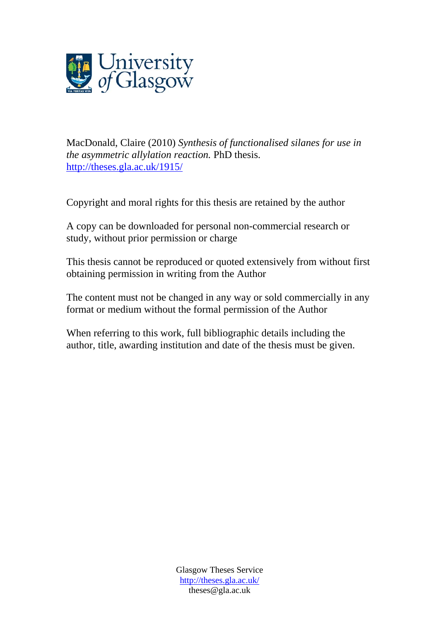

MacDonald, Claire (2010) *Synthesis of functionalised silanes for use in the asymmetric allylation reaction.* PhD thesis. <http://theses.gla.ac.uk/1915/>

Copyright and moral rights for this thesis are retained by the author

A copy can be downloaded for personal non-commercial research or study, without prior permission or charge

This thesis cannot be reproduced or quoted extensively from without first obtaining permission in writing from the Author

The content must not be changed in any way or sold commercially in any format or medium without the formal permission of the Author

When referring to this work, full bibliographic details including the author, title, awarding institution and date of the thesis must be given.

> Glasgow Theses Service http://theses.gla.ac.uk/ theses@gla.ac.uk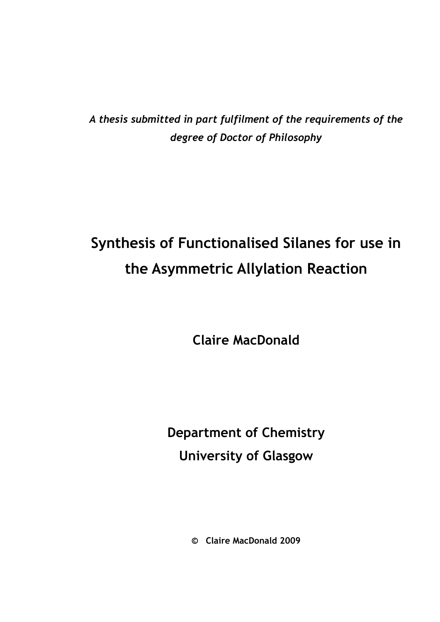*A thesis submitted in part fulfilment of the requirements of the degree of Doctor of Philosophy*

# **Synthesis of Functionalised Silanes for use in the Asymmetric Allylation Reaction**

**Claire MacDonald**

**Department of Chemistry University of Glasgow**

**© Claire MacDonald 2009**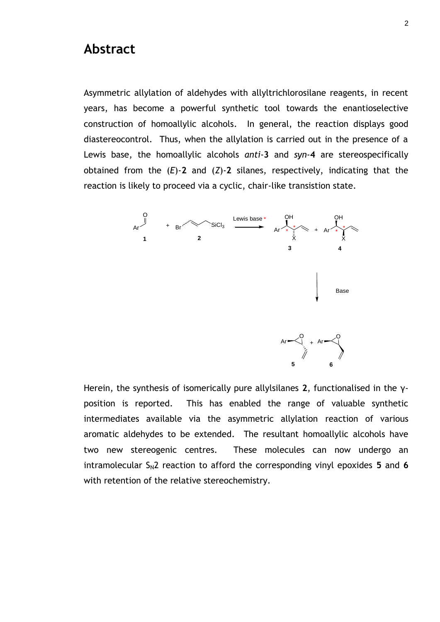#### **Abstract**

Asymmetric allylation of aldehydes with allyltrichlorosilane reagents, in recent years, has become a powerful synthetic tool towards the enantioselective construction of homoallylic alcohols. In general, the reaction displays good diastereocontrol. Thus, when the allylation is carried out in the presence of a Lewis base, the homoallylic alcohols *anti*-**3** and *syn*-**4** are stereospecifically obtained from the (*E*)-**2** and (*Z*)-**2** silanes, respectively, indicating that the reaction is likely to proceed via a cyclic, chair-like transistion state.



Herein, the synthesis of isomerically pure allylsilanes **2**, functionalised in the γposition is reported. This has enabled the range of valuable synthetic intermediates available via the asymmetric allylation reaction of various aromatic aldehydes to be extended. The resultant homoallylic alcohols have two new stereogenic centres. These molecules can now undergo an intramolecular  $S_N2$  reaction to afford the corresponding vinyl epoxides 5 and 6 with retention of the relative stereochemistry.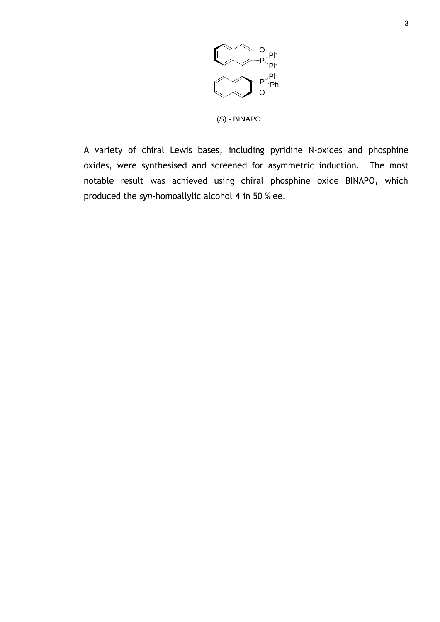

(*S*) - BINAPO

A variety of chiral Lewis bases, including pyridine N-oxides and phosphine oxides, were synthesised and screened for asymmetric induction. The most notable result was achieved using chiral phosphine oxide BINAPO, which produced the *syn*-homoallylic alcohol **4** in 50 % ee.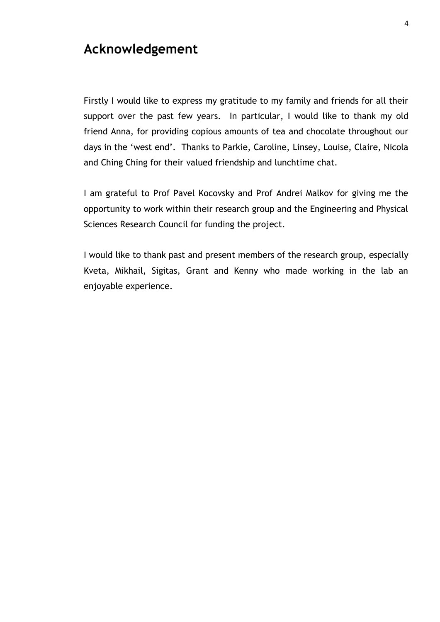### **Acknowledgement**

Firstly I would like to express my gratitude to my family and friends for all their support over the past few years. In particular, I would like to thank my old friend Anna, for providing copious amounts of tea and chocolate throughout our days in the 'west end'. Thanks to Parkie, Caroline, Linsey, Louise, Claire, Nicola and Ching Ching for their valued friendship and lunchtime chat.

I am grateful to Prof Pavel Kocovsky and Prof Andrei Malkov for giving me the opportunity to work within their research group and the Engineering and Physical Sciences Research Council for funding the project.

I would like to thank past and present members of the research group, especially Kveta, Mikhail, Sigitas, Grant and Kenny who made working in the lab an enjoyable experience.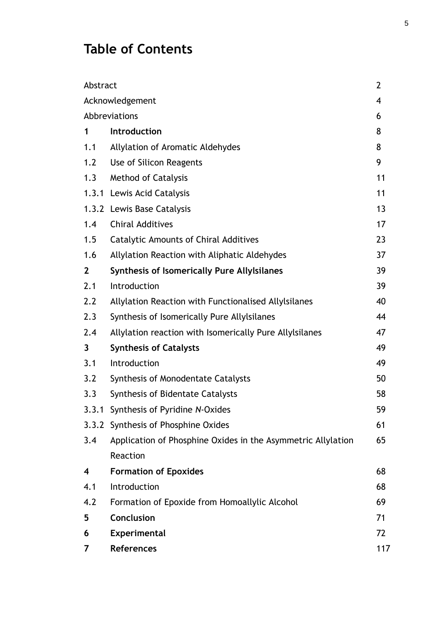## **Table of Contents**

| Abstract     |                                                              | $\overline{2}$          |
|--------------|--------------------------------------------------------------|-------------------------|
|              | Acknowledgement                                              | $\overline{\mathbf{4}}$ |
|              | Abbreviations                                                | 6                       |
| 1            | Introduction                                                 | 8                       |
| 1.1          | Allylation of Aromatic Aldehydes                             | 8                       |
| 1.2          | Use of Silicon Reagents                                      | 9                       |
| 1.3          | <b>Method of Catalysis</b>                                   | 11                      |
|              | 1.3.1 Lewis Acid Catalysis                                   | 11                      |
|              | 1.3.2 Lewis Base Catalysis                                   | 13                      |
| 1.4          | <b>Chiral Additives</b>                                      | 17                      |
| 1.5          | <b>Catalytic Amounts of Chiral Additives</b>                 | 23                      |
| 1.6          | Allylation Reaction with Aliphatic Aldehydes                 | 37                      |
| $\mathbf{2}$ | <b>Synthesis of Isomerically Pure Allylsilanes</b>           | 39                      |
| 2.1          | Introduction                                                 | 39                      |
| 2.2          | Allylation Reaction with Functionalised Allylsilanes         | 40                      |
| 2.3          | Synthesis of Isomerically Pure Allylsilanes                  | 44                      |
| 2.4          | Allylation reaction with Isomerically Pure Allylsilanes      | 47                      |
| 3            | <b>Synthesis of Catalysts</b>                                | 49                      |
| 3.1          | Introduction                                                 | 49                      |
| 3.2          | Synthesis of Monodentate Catalysts                           | 50                      |
| 3.3          | Synthesis of Bidentate Catalysts                             | 58                      |
| 3.3.1        | Synthesis of Pyridine N-Oxides                               | 59                      |
|              | 3.3.2 Synthesis of Phosphine Oxides                          | 61                      |
| 3.4          | Application of Phosphine Oxides in the Asymmetric Allylation | 65                      |
|              | Reaction                                                     |                         |
| 4            | <b>Formation of Epoxides</b>                                 | 68                      |
| 4.1          | Introduction                                                 | 68                      |
| 4.2          | Formation of Epoxide from Homoallylic Alcohol                | 69                      |
| 5            | Conclusion                                                   | 71                      |
| 6            | <b>Experimental</b>                                          | 72                      |
| 7            | <b>References</b>                                            | 117                     |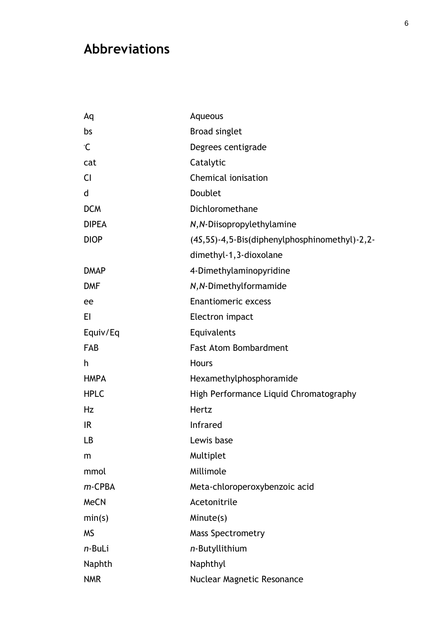## **Abbreviations**

| Aq            | Aqueous                                          |
|---------------|--------------------------------------------------|
| bs            | <b>Broad singlet</b>                             |
| $\mathcal{C}$ | Degrees centigrade                               |
| cat           | Catalytic                                        |
| CI            | Chemical ionisation                              |
| d             | Doublet                                          |
| <b>DCM</b>    | Dichloromethane                                  |
| <b>DIPEA</b>  | N, N-Diisopropylethylamine                       |
| <b>DIOP</b>   | (4S, 5S)-4, 5-Bis(diphenylphosphinomethyl)-2, 2- |
|               | dimethyl-1,3-dioxolane                           |
| <b>DMAP</b>   | 4-Dimethylaminopyridine                          |
| <b>DMF</b>    | N, N-Dimethylformamide                           |
| ee            | <b>Enantiomeric excess</b>                       |
| EI            | Electron impact                                  |
| Equiv/Eq      | Equivalents                                      |
| <b>FAB</b>    | <b>Fast Atom Bombardment</b>                     |
| h             | <b>Hours</b>                                     |
| <b>HMPA</b>   | Hexamethylphosphoramide                          |
| <b>HPLC</b>   | High Performance Liquid Chromatography           |
| Hz            | Hertz                                            |
| IR            | Infrared                                         |
| LB            | Lewis base                                       |
| m             | Multiplet                                        |
| mmol          | Millimole                                        |
| $m$ -CPBA     | Meta-chloroperoxybenzoic acid                    |
| <b>MeCN</b>   | Acetonitrile                                     |
| min(s)        | Minute(s)                                        |
| <b>MS</b>     | <b>Mass Spectrometry</b>                         |
| n-BuLi        | n-Butyllithium                                   |
| Naphth        | Naphthyl                                         |
| <b>NMR</b>    | Nuclear Magnetic Resonance                       |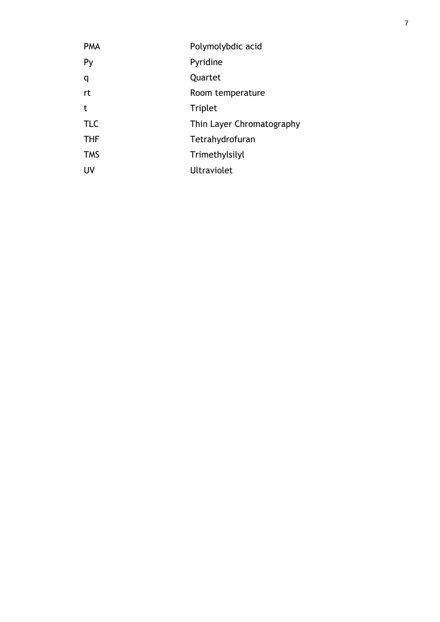| <b>PMA</b> | Polymolybdic acid         |
|------------|---------------------------|
| Py         | Pyridine                  |
| q          | Quartet                   |
| rt         | Room temperature          |
| t          | <b>Triplet</b>            |
| <b>TLC</b> | Thin Layer Chromatography |
| <b>THF</b> | Tetrahydrofuran           |
| <b>TMS</b> | Trimethylsilyl            |
| UV         | <b>Ultraviolet</b>        |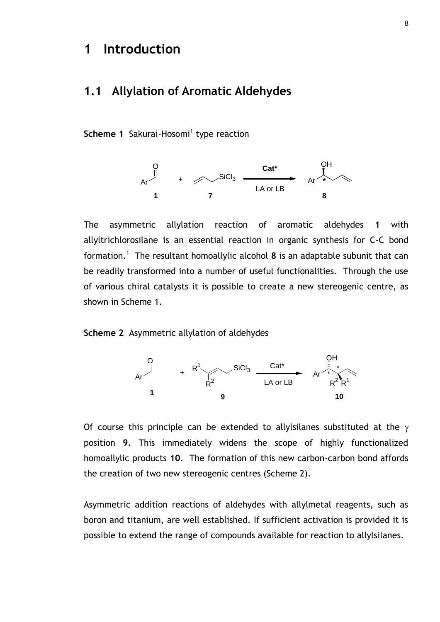### **1 Introduction**

#### **1.1 Allylation of Aromatic Aldehydes**

**Scheme 1** Sakurai-Hosomi<sup>1</sup> type reaction



The asymmetric allylation reaction of aromatic aldehydes **1** with allyltrichlorosilane is an essential reaction in organic synthesis for C-C bond formation.<sup>1</sup> The resultant homoallylic alcohol **8** is an adaptable subunit that can be readily transformed into a number of useful functionalities. Through the use of various chiral catalysts it is possible to create a new stereogenic centre, as shown in Scheme 1.

**Scheme 2** Asymmetric allylation of aldehydes



Of course this principle can be extended to allylsilanes substituted at the  $\gamma$ position **9.** This immediately widens the scope of highly functionalized homoallylic products **10**. The formation of this new carbon-carbon bond affords the creation of two new stereogenic centres (Scheme 2).

Asymmetric addition reactions of aldehydes with allylmetal reagents, such as boron and titanium, are well established. If sufficient activation is provided it is possible to extend the range of compounds available for reaction to allylsilanes.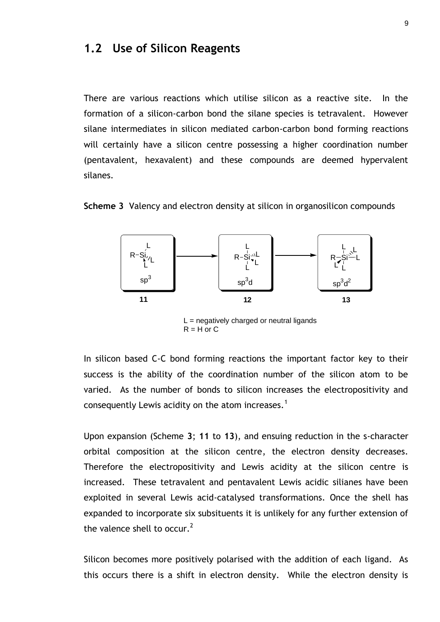#### **1.2 Use of Silicon Reagents**

There are various reactions which utilise silicon as a reactive site. In the formation of a silicon-carbon bond the silane species is tetravalent. However silane intermediates in silicon mediated carbon-carbon bond forming reactions will certainly have a silicon centre possessing a higher coordination number (pentavalent, hexavalent) and these compounds are deemed hypervalent silanes.

**Scheme 3** Valency and electron density at silicon in organosilicon compounds



 $L =$  negatively charged or neutral ligands  $R = H$  or C

In silicon based C-C bond forming reactions the important factor key to their success is the ability of the coordination number of the silicon atom to be varied. As the number of bonds to silicon increases the electropositivity and consequently Lewis acidity on the atom increases.<sup>1</sup>

Upon expansion (Scheme **3**; **11** to **13**), and ensuing reduction in the s-character orbital composition at the silicon centre, the electron density decreases. Therefore the electropositivity and Lewis acidity at the silicon centre is increased. These tetravalent and pentavalent Lewis acidic silianes have been exploited in several Lewis acid-catalysed transformations. Once the shell has expanded to incorporate six subsituents it is unlikely for any further extension of the valence shell to occur.<sup>2</sup>

Silicon becomes more positively polarised with the addition of each ligand. As this occurs there is a shift in electron density. While the electron density is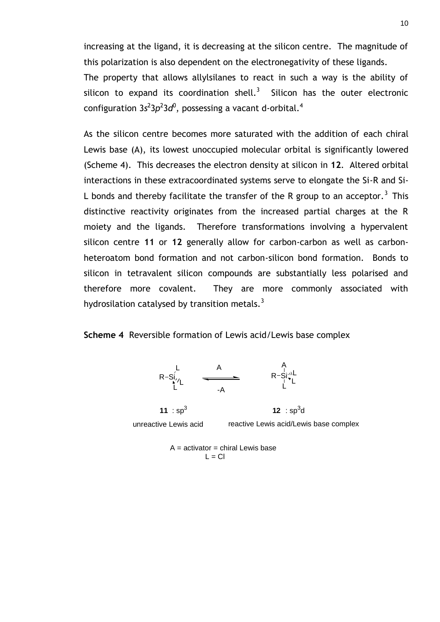increasing at the ligand, it is decreasing at the silicon centre. The magnitude of this polarization is also dependent on the electronegativity of these ligands.

<span id="page-10-0"></span>The property that allows allylsilanes to react in such a way is the ability of silicon to expand its coordination shell.<sup>3</sup> Silicon has the outer electronic configuration 3*s* 2 3*p* 2 3*d* 0 , possessing a vacant d-orbital. 4

As the silicon centre becomes more saturated with the addition of each chiral Lewis base (A), its lowest unoccupied molecular orbital is significantly lowered (Scheme 4). This decreases the electron density at silicon in **12**. Altered orbital interactions in these extracoordinated systems serve to elongate the Si-R and Si-L bonds and thereby facilitate the transfer of the R group to an acceptor.<sup>3</sup> This distinctive reactivity originates from the increased partial charges at the R moiety and the ligands. Therefore transformations involving a hypervalent silicon centre **11** or **12** generally allow for carbon-carbon as well as carbonheteroatom bond formation and not carbon-silicon bond formation. Bonds to silicon in tetravalent silicon compounds are substantially less polarised and therefore more covalent. They are more commonly associated with hydrosilation catalysed by transition metals. $3$ 

**Scheme 4** Reversible formation of Lewis acid/Lewis base complex



 $A =$  activator = chiral Lewis base  $L = Cl$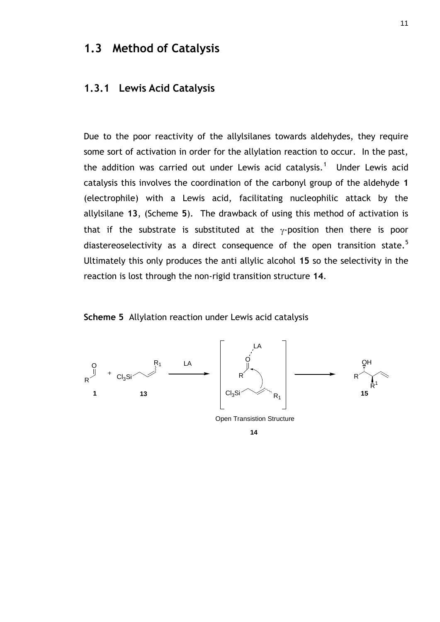#### **1.3 Method of Catalysis**

#### **1.3.1 Lewis Acid Catalysis**

Due to the poor reactivity of the allylsilanes towards aldehydes, they require some sort of activation in order for the allylation reaction to occur. In the past, the addition was carried out under Lewis acid catalysis.<sup>1</sup> Under Lewis acid catalysis this involves the coordination of the carbonyl group of the aldehyde **1** (electrophile) with a Lewis acid, facilitating nucleophilic attack by the allylsilane **13**, (Scheme **5**). The drawback of using this method of activation is that if the substrate is substituted at the  $\gamma$ -position then there is poor diastereoselectivity as a direct consequence of the open transition state.<sup>5</sup> Ultimately this only produces the anti allylic alcohol **15** so the selectivity in the reaction is lost through the non-rigid transition structure **14**.

#### <span id="page-11-0"></span>**Scheme 5** Allylation reaction under Lewis acid catalysis

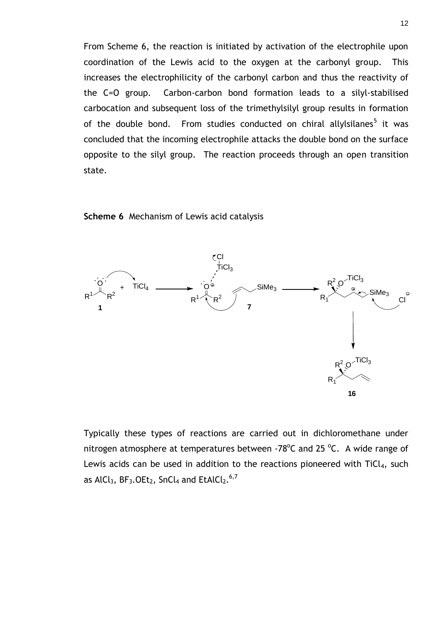From Scheme 6, the reaction is initiated by activation of the electrophile upon coordination of the Lewis acid to the oxygen at the carbonyl group. This increases the electrophilicity of the carbonyl carbon and thus the reactivity of the C=O group. Carbon-carbon bond formation leads to a silyl-stabilised carbocation and subsequent loss of the trimethylsilyl group results in formation of the double bond. From studies conducted on chiral allylsilanes<sup>[5](#page-11-0)</sup> it was concluded that the incoming electrophile attacks the double bond on the surface opposite to the silyl group. The reaction proceeds through an open transition state.





Typically these types of reactions are carried out in dichloromethane under nitrogen atmosphere at temperatures between -78 $^{\circ}$ C and 25  $^{\circ}$ C. A wide range of Lewis acids can be used in addition to the reactions pioneered with  $TiCl<sub>4</sub>$ , such as AlCl $_3$ , BF $_3$ .OEt $_2$ , SnCl $_4$  and EtAlCl $_2$ .<sup>6,7</sup>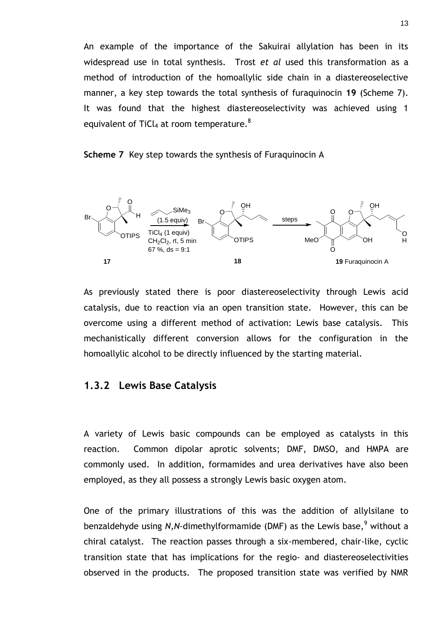An example of the importance of the Sakuirai allylation has been in its widespread use in total synthesis. Trost *et al* used this transformation as a method of introduction of the homoallylic side chain in a diastereoselective manner, a key step towards the total synthesis of furaquinocin **19** (Scheme 7). It was found that the highest diastereoselectivity was achieved using 1 equivalent of TiCl<sub>4</sub> at room temperature.<sup>8</sup>

**Scheme 7** Key step towards the synthesis of Furaquinocin A



As previously stated there is poor diastereoselectivity through Lewis acid catalysis, due to reaction via an open transition state. However, this can be overcome using a different method of activation: Lewis base catalysis. This mechanistically different conversion allows for the configuration in the homoallylic alcohol to be directly influenced by the starting material.

#### **1.3.2 Lewis Base Catalysis**

A variety of Lewis basic compounds can be employed as catalysts in this reaction. Common dipolar aprotic solvents; DMF, DMSO, and HMPA are commonly used. In addition, formamides and urea derivatives have also been employed, as they all possess a strongly Lewis basic oxygen atom.

<span id="page-13-0"></span>One of the primary illustrations of this was the addition of allylsilane to benzaldehyde using N,N-dimethylformamide (DMF) as the Lewis base.<sup>9</sup> without a chiral catalyst. The reaction passes through a six-membered, chair-like, cyclic transition state that has implications for the regio- and diastereoselectivities observed in the products. The proposed transition state was verified by NMR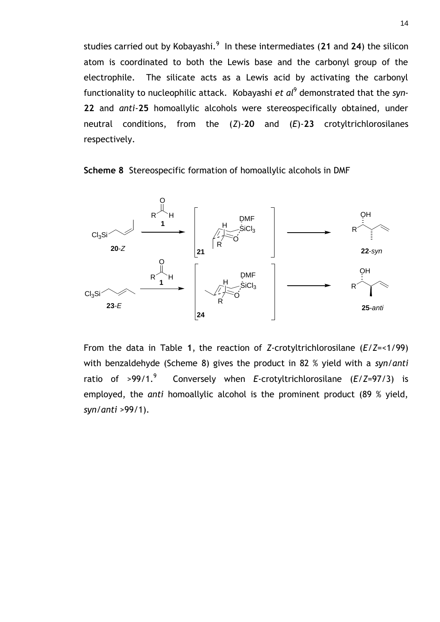studies carried out by Kobayashi[.](#page-13-0)<sup>9</sup> In these intermediates (21 and 24) the silicon atom is coordinated to both the Lewis base and the carbonyl group of the electrophile. The silicate acts as a Lewis acid by activating the carbonyl functionality to nucleophilic attack. Kobayashi *et al*[9](#page-13-0) demonstrated that the *syn*-**22** and *anti*-**25** homoallylic alcohols were stereospecifically obtained, under neutral conditions, from the (*Z*)-**20** and (*E*)-**23** crotyltrichlorosilanes respectively.

**Scheme 8** Stereospecific formation of homoallylic alcohols in DMF



From the data in Table **1**, the reaction of *Z*-crotyltrichlorosilane (*E*/*Z*=<1/99) with benzaldehyde (Scheme 8) gives the product in 82 % yield with a *syn/anti* ratio of  $>99/1.9$  $>99/1.9$  $>99/1.9$  Conversely when *E-*crotyltrichlorosilane (*E*/*Z*=97/3) is employed, the *anti* homoallylic alcohol is the prominent product (89 % yield, *syn/anti* >99/1).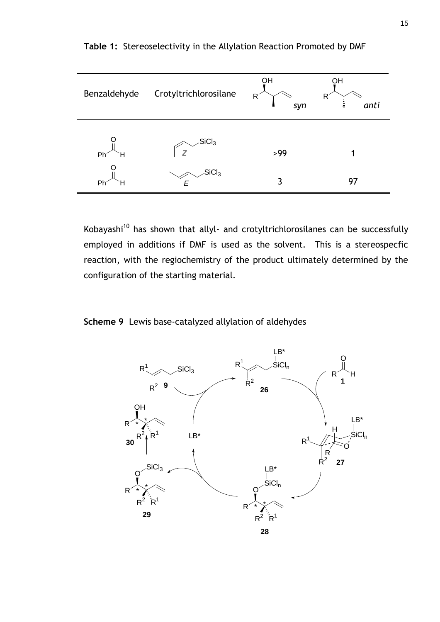| Benzaldehyde | Crotyltrichlorosilane               | OH<br>R<br>syn | OH<br>R<br>anti |  |
|--------------|-------------------------------------|----------------|-----------------|--|
| Ph<br>Н      | SiCl <sub>3</sub><br>$\overline{z}$ | >99            |                 |  |
| Ph<br>Н      | SiCl <sub>3</sub>                   | 3              | 97              |  |

**Table 1:** Stereoselectivity in the Allylation Reaction Promoted by DMF

Kobayashi<sup>10</sup> has shown that allyl- and crotyltrichlorosilanes can be successfully employed in additions if DMF is used as the solvent. This is a stereospecfic reaction, with the regiochemistry of the product ultimately determined by the configuration of the starting material.

**Scheme 9** Lewis base-catalyzed allylation of aldehydes

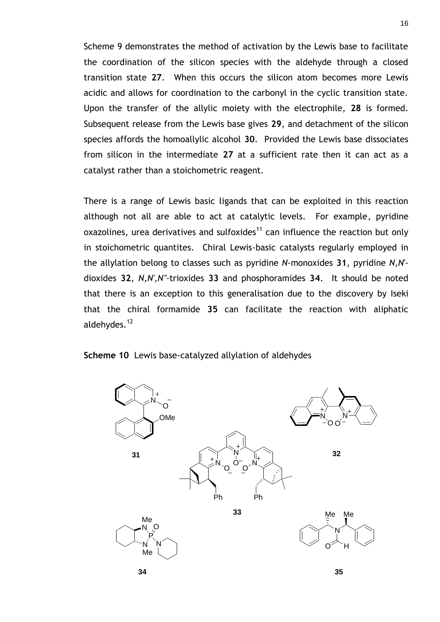Scheme 9 demonstrates the method of activation by the Lewis base to facilitate the coordination of the silicon species with the aldehyde through a closed transition state **27**. When this occurs the silicon atom becomes more Lewis acidic and allows for coordination to the carbonyl in the cyclic transition state. Upon the transfer of the allylic moiety with the electrophile, **28** is formed. Subsequent release from the Lewis base gives **29**, and detachment of the silicon species affords the homoallylic alcohol **30**. Provided the Lewis base dissociates from silicon in the intermediate **27** at a sufficient rate then it can act as a catalyst rather than a stoichometric reagent.

There is a range of Lewis basic ligands that can be exploited in this reaction although not all are able to act at catalytic levels. For example, pyridine oxazolines, urea derivatives and sulfoxides<sup>11</sup> can influence the reaction but only in stoichometric quantites. Chiral Lewis-basic catalysts regularly employed in the allylation belong to classes such as pyridine *N*-monoxides **31**, pyridine *N,N*′ dioxides **32**, *N,N′,N″*-trioxides **33** and phosphoramides **34**. It should be noted that there is an exception to this generalisation due to the discovery by Iseki that the chiral formamide **35** can facilitate the reaction with aliphatic aldehydes.<sup>12</sup>

**Scheme 10** Lewis base-catalyzed allylation of aldehydes

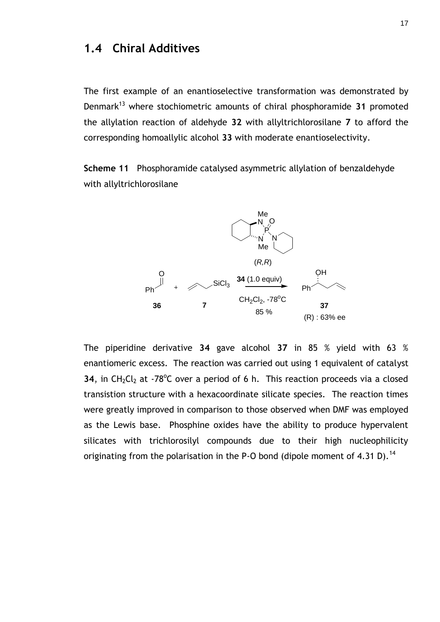#### **1.4 Chiral Additives**

<span id="page-17-0"></span>The first example of an enantioselective transformation was demonstrated by Denmark<sup>13</sup> where stochiometric amounts of chiral phosphoramide **31** promoted the allylation reaction of aldehyde **32** with allyltrichlorosilane **7** to afford the corresponding homoallylic alcohol **33** with moderate enantioselectivity.

**Scheme 11** Phosphoramide catalysed asymmetric allylation of benzaldehyde with allyltrichlorosilane



The piperidine derivative **34** gave alcohol **37** in 85 % yield with 63 % enantiomeric excess. The reaction was carried out using 1 equivalent of catalyst 34, in CH<sub>2</sub>Cl<sub>2</sub> at -78°C over a period of 6 h. This reaction proceeds via a closed transistion structure with a hexacoordinate silicate species. The reaction times were greatly improved in comparison to those observed when DMF was employed as the Lewis base. Phosphine oxides have the ability to produce hypervalent silicates with trichlorosilyl compounds due to their high nucleophilicity originating from the polarisation in the P-O bond (dipole moment of 4.31 D).<sup>14</sup>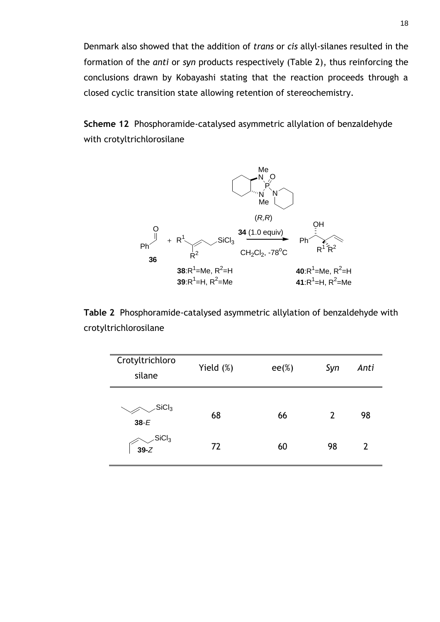Denmark also showed that the addition of *trans* or *cis* allyl-silanes resulted in the formation of the *anti* or *syn* products respectively (Table 2), thus reinforcing the conclusions drawn by Kobayashi stating that the reaction proceeds through a closed cyclic transition state allowing retention of stereochemistry.

**Scheme 12** Phosphoramide-catalysed asymmetric allylation of benzaldehyde with crotyltrichlorosilane



**Table 2** Phosphoramide-catalysed asymmetric allylation of benzaldehyde with crotyltrichlorosilane

| Crotyltrichloro<br>silane            | Yield (%) | $ee(\%)$ | Syn | Anti |
|--------------------------------------|-----------|----------|-----|------|
| $\angle$ SiCl <sub>3</sub><br>$38-E$ | 68        | 66       | 2   | 98   |
| $\searrow$ SiCl <sub>3</sub><br>39-Z | 72        | 60       | 98  | 2    |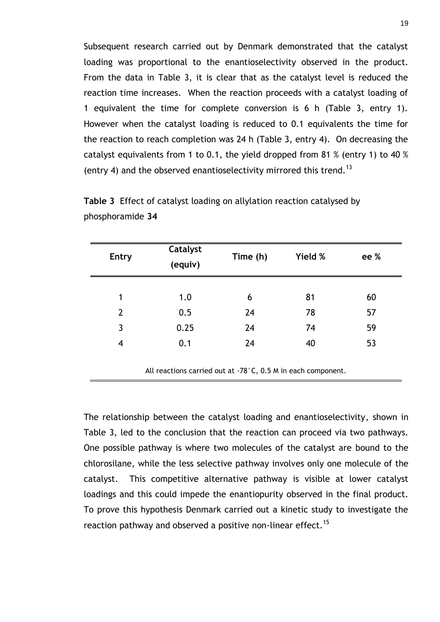Subsequent research carried out by Denmark demonstrated that the catalyst loading was proportional to the enantioselectivity observed in the product. From the data in Table 3, it is clear that as the catalyst level is reduced the reaction time increases. When the reaction proceeds with a catalyst loading of 1 equivalent the time for complete conversion is 6 h (Table 3, entry 1). However when the catalyst loading is reduced to 0.1 equivalents the time for the reaction to reach completion was 24 h (Table 3, entry 4). On decreasing the catalyst equivalents from 1 to 0.1, the yield dropped from 81 % (entry 1) to 40 % (entry 4) and the observed enantioselectivity mirrored this trend.<sup>[13](#page-17-0)</sup>

| <b>Entry</b>   | Catalyst<br>(equiv)                                                    | Time (h) | Yield % | ee % |  |
|----------------|------------------------------------------------------------------------|----------|---------|------|--|
| 1              | 1.0                                                                    |          | 81      | 60   |  |
|                |                                                                        | 6        |         |      |  |
| $\overline{2}$ | 0.5                                                                    | 24       | 78      | 57   |  |
| 3              | 0.25                                                                   | 24       | 74      | 59   |  |
| 4              | 0.1                                                                    | 24       | 40      | 53   |  |
|                | All reactions carried out at $-78^{\circ}$ C, 0.5 M in each component. |          |         |      |  |

|                  |  | Table 3 Effect of catalyst loading on allylation reaction catalysed by |  |  |
|------------------|--|------------------------------------------------------------------------|--|--|
| phosphoramide 34 |  |                                                                        |  |  |

The relationship between the catalyst loading and enantioselectivity, shown in Table 3, led to the conclusion that the reaction can proceed via two pathways. One possible pathway is where two molecules of the catalyst are bound to the chlorosilane, while the less selective pathway involves only one molecule of the catalyst. This competitive alternative pathway is visible at lower catalyst loadings and this could impede the enantiopurity observed in the final product. To prove this hypothesis Denmark carried out a kinetic study to investigate the reaction pathway and observed a positive non-linear effect.<sup>15</sup>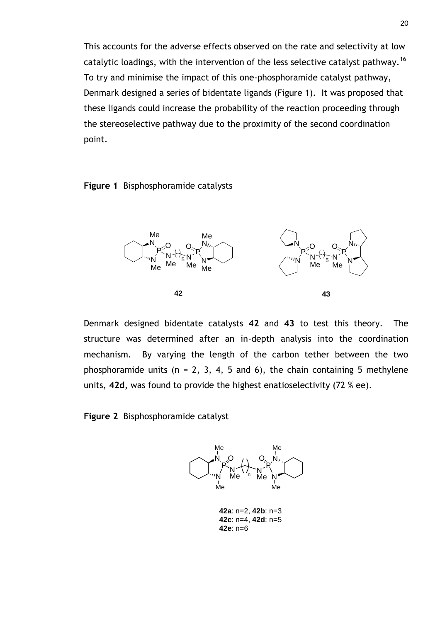This accounts for the adverse effects observed on the rate and selectivity at low catalytic loadings, with the intervention of the less selective catalyst pathway.<sup>16</sup> To try and minimise the impact of this one-phosphoramide catalyst pathway, Denmark designed a series of bidentate ligands (Figure 1). It was proposed that these ligands could increase the probability of the reaction proceeding through the stereoselective pathway due to the proximity of the second coordination point.

**Figure 1** Bisphosphoramide catalysts



Denmark designed bidentate catalysts **42** and **43** to test this theory. The structure was determined after an in-depth analysis into the coordination mechanism. By varying the length of the carbon tether between the two phosphoramide units ( $n = 2, 3, 4, 5$  and 6), the chain containing 5 methylene units, **42d**, was found to provide the highest enatioselectivity (72 % ee).

**Figure 2** Bisphosphoramide catalyst



**42a**: n=2, **42b**: n=3 **42c**: n=4, **42d**: n=5 **42e**: n=6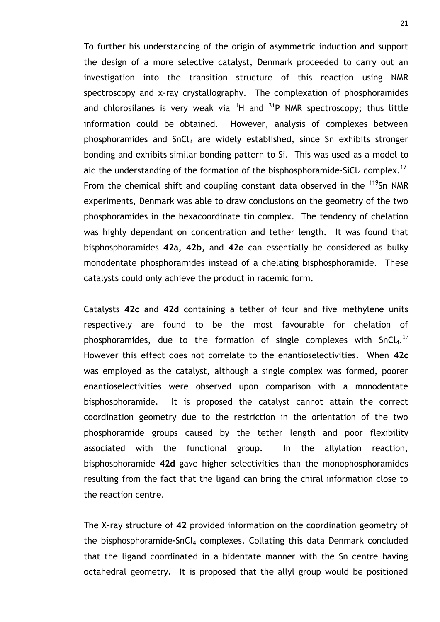<span id="page-21-0"></span>To further his understanding of the origin of asymmetric induction and support the design of a more selective catalyst, Denmark proceeded to carry out an investigation into the transition structure of this reaction using NMR spectroscopy and x-ray crystallography. The complexation of phosphoramides and chlorosilanes is very weak via  ${}^{1}H$  and  ${}^{31}P$  NMR spectroscopy; thus little information could be obtained. However, analysis of complexes between phosphoramides and  $SnCl<sub>4</sub>$  are widely established, since Sn exhibits stronger bonding and exhibits similar bonding pattern to Si. This was used as a model to aid the understanding of the formation of the bisphosphoramide∙SiCl<sub>4</sub> complex.<sup>17</sup> From the chemical shift and coupling constant data observed in the  $119$ Sn NMR experiments, Denmark was able to draw conclusions on the geometry of the two phosphoramides in the hexacoordinate tin complex. The tendency of chelation was highly dependant on concentration and tether length. It was found that bisphosphoramides **42a, 42b,** and **42e** can essentially be considered as bulky monodentate phosphoramides instead of a chelating bisphosphoramide. These catalysts could only achieve the product in racemic form.

Catalysts **42c** and **42d** containing a tether of four and five methylene units respectively are found to be the most favourable for chelation of phosphoramides, due to the formation of single complexes with  $SnCl<sub>4</sub>$ .<sup>[17](#page-21-0)</sup> However this effect does not correlate to the enantioselectivities. When **42c** was employed as the catalyst, although a single complex was formed, poorer enantioselectivities were observed upon comparison with a monodentate bisphosphoramide. It is proposed the catalyst cannot attain the correct coordination geometry due to the restriction in the orientation of the two phosphoramide groups caused by the tether length and poor flexibility associated with the functional group. In the allylation reaction, bisphosphoramide **42d** gave higher selectivities than the monophosphoramides resulting from the fact that the ligand can bring the chiral information close to the reaction centre.

The X-ray structure of **42** provided information on the coordination geometry of the bisphosphoramide∙SnCl<sup>4</sup> complexes. Collating this data Denmark concluded that the ligand coordinated in a bidentate manner with the Sn centre having octahedral geometry. It is proposed that the allyl group would be positioned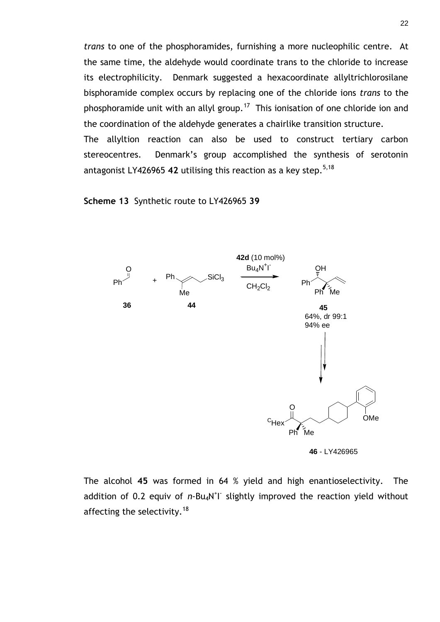*trans* to one of the phosphoramides, furnishing a more nucleophilic centre. At the same time, the aldehyde would coordinate trans to the chloride to increase its electrophilicity. Denmark suggested a hexacoordinate allyltrichlorosilane bisphoramide complex occurs by replacing one of the chloride ions *trans* to the phosphoramide unit with an allyl group.<sup>17</sup> This ionisation of one chloride ion and the coordination of the aldehyde generates a chairlike transition structure.

The allyltion reaction can also be used to construct tertiary carbon stereocentres. Denmark's group accomplished the synthesis of serotonin antagonist LY426965 42 utilising this reaction as a key step.<sup>[5,](#page-11-0)18</sup>

**Scheme 13** Synthetic route to LY426965 **39**

<span id="page-22-0"></span>

**46** - LY426965

The alcohol **45** was formed in 64 % yield and high enantioselectivity. The addition of 0.2 equiv of n-Bu<sub>4</sub>N<sup>+</sup>I<sup>-</sup> slightly improved the reaction yield without affecting the selectivity.<sup>[18](#page-22-0)</sup>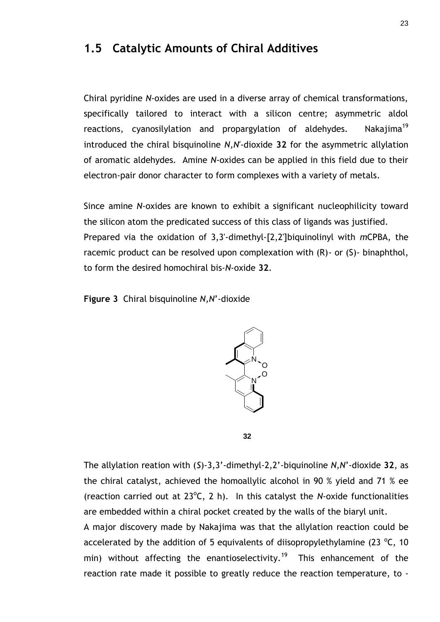#### **1.5 Catalytic Amounts of Chiral Additives**

Chiral pyridine *N*-oxides are used in a diverse array of chemical transformations, specifically tailored to interact with a silicon centre; asymmetric aldol reactions, cyanosilylation and propargylation of aldehydes. Nakajima<sup>19</sup> introduced the chiral bisquinoline *N,N*′-dioxide **32** for the asymmetric allylation of aromatic aldehydes. Amine *N*-oxides can be applied in this field due to their electron-pair donor character to form complexes with a variety of metals.

Since amine *N*-oxides are known to exhibit a significant nucleophilicity toward the silicon atom the predicated success of this class of ligands was justified. Prepared via the oxidation of 3,3'-dimethyl-[2,2']biquinolinyl with *m*CPBA, the racemic product can be resolved upon complexation with (R)- or (S)- binaphthol, to form the desired homochiral bis-*N*-oxide **32**.

**Figure 3** Chiral bisquinoline *N,N*'-dioxide

<span id="page-23-0"></span>

**32**

The allylation reation with (*S*)-3,3'-dimethyl-2,2'-biquinoline *N,N*'-dioxide **32**, as the chiral catalyst, achieved the homoallylic alcohol in 90 % yield and 71 % ee (reaction carried out at 23°C, 2 h). In this catalyst the *N*-oxide functionalities are embedded within a chiral pocket created by the walls of the biaryl unit.

A major discovery made by Nakajima was that the allylation reaction could be accelerated by the addition of 5 equivalents of diisopropylethylamine (23  $^{\circ}$ C, 10 min) without affecting the enantioselectivity.<sup>19</sup> This enhancement of the reaction rate made it possible to greatly reduce the reaction temperature, to -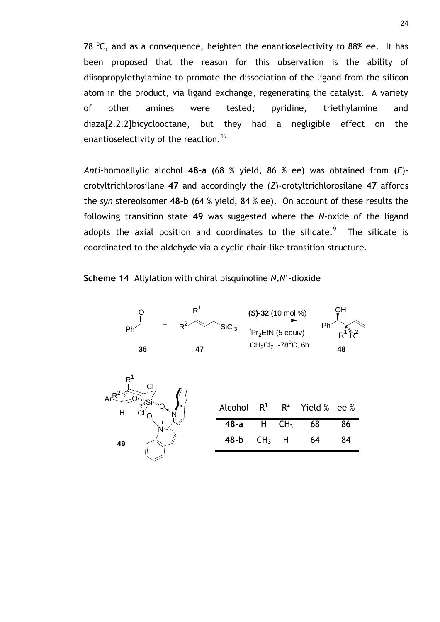78  $\degree$ C, and as a consequence, heighten the enantioselectivity to 88% ee. It has been proposed that the reason for this observation is the ability of diisopropylethylamine to promote the dissociation of the ligand from the silicon atom in the product, via ligand exchange, regenerating the catalyst. A variety of other amines were tested; pyridine, triethylamine and diaza[2.2.2]bicyclooctane, but they had a negligible effect on the enantioselectivity of the reaction.  $^{19}$  $^{19}$  $^{19}$ 

*Anti*-homoallylic alcohol **48-a** (68 % yield, 86 % ee) was obtained from (*E*) crotyltrichlorosilane **47** and accordingly the (*Z*)-crotyltrichlorosilane **47** affords the *syn* stereoisomer **48-b** (64 % yield, 84 % ee). On account of these results the following transition state **49** was suggested where the *N*-oxide of the ligand adopts the axial position and coordinates to the silicate.<sup>[9](#page-13-0)</sup> The silicate is coordinated to the aldehyde via a cyclic chair-like transition structure.

**Scheme 14** Allylation with chiral bisquinoline *N,N*'-dioxide

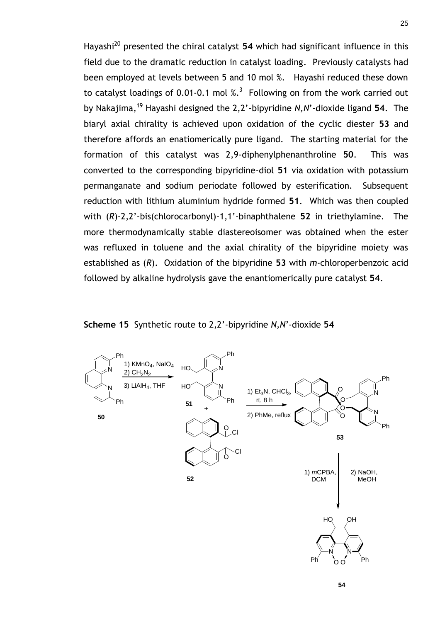Hayashi<sup>20</sup> presented the chiral catalyst **54** which had significant influence in this field due to the dramatic reduction in catalyst loading. Previously catalysts had been employed at levels between 5 and 10 mol %. Hayashi reduced these down tocatalyst loadings of 0.01-0.1 mol  $\%$ .<sup>3</sup> Following on from the work carried out by Nakajima, [19](#page-23-0) Hayashi designed the 2,2'-bipyridine *N,N*'-dioxide ligand **54**. The biaryl axial chirality is achieved upon oxidation of the cyclic diester **53** and therefore affords an enatiomerically pure ligand. The starting material for the formation of this catalyst was 2,9-diphenylphenanthroline **50**. This was converted to the corresponding bipyridine-diol **51** via oxidation with potassium permanganate and sodium periodate followed by esterification. Subsequent reduction with lithium aluminium hydride formed **51**. Which was then coupled with (*R*)-2,2'-bis(chlorocarbonyl)-1,1'-binaphthalene **52** in triethylamine. The more thermodynamically stable diastereoisomer was obtained when the ester was refluxed in toluene and the axial chirality of the bipyridine moiety was established as (*R*). Oxidation of the bipyridine **53** with *m*-chloroperbenzoic acid followed by alkaline hydrolysis gave the enantiomerically pure catalyst **54**.

#### **Scheme 15** Synthetic route to 2,2'-bipyridine *N,N*'-dioxide **54**

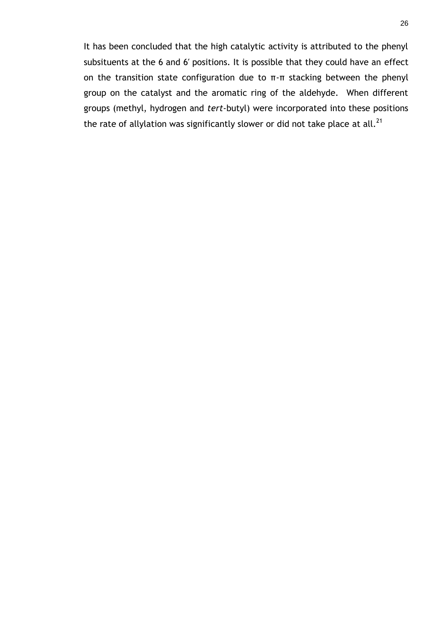It has been concluded that the high catalytic activity is attributed to the phenyl subsituents at the 6 and 6′ positions. It is possible that they could have an effect on the transition state configuration due to π-π stacking between the phenyl group on the catalyst and the aromatic ring of the aldehyde. When different groups (methyl, hydrogen and *tert*-butyl) were incorporated into these positions the rate of allylation was significantly slower or did not take place at all.  $^{21}$  $^{21}$  $^{21}$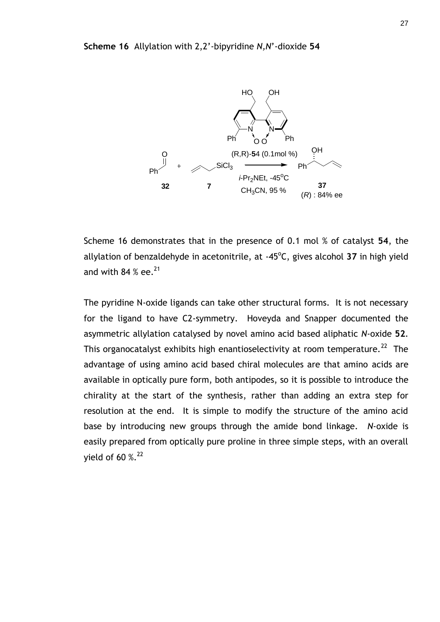

<span id="page-27-0"></span>Scheme 16 demonstrates that in the presence of 0.1 mol % of catalyst **54**, the allylation of benzaldehyde in acetonitrile, at -45°C, gives alcohol 37 in high yield and with 84  $%$  ee.<sup>21</sup>

<span id="page-27-1"></span>The pyridine N-oxide ligands can take other structural forms. It is not necessary for the ligand to have C2-symmetry. Hoveyda and Snapper documented the asymmetric allylation catalysed by novel amino acid based aliphatic *N*-oxide **52**. This organocatalyst exhibits high enantioselectivity at room temperature.<sup>22</sup> The advantage of using amino acid based chiral molecules are that amino acids are available in optically pure form, both antipodes, so it is possible to introduce the chirality at the start of the synthesis, rather than adding an extra step for resolution at the end. It is simple to modify the structure of the amino acid base by introducing new groups through the amide bond linkage. *N*-oxide is easily prepared from optically pure proline in three simple steps, with an overall vield of 60  $\%$ .<sup>[22](#page-27-1)</sup>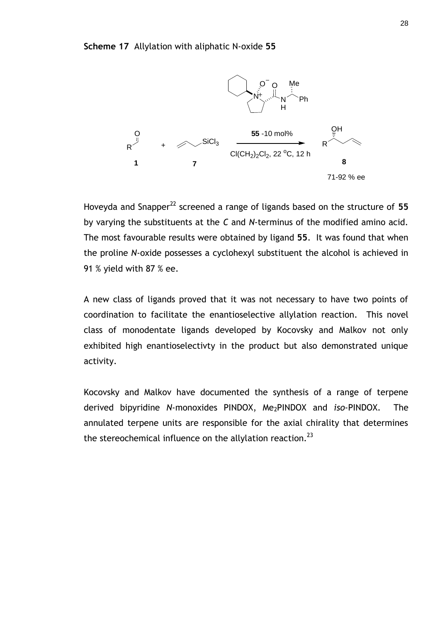

Hoveyda and Snapper<sup>[22](#page-27-1)</sup> screened a range of ligands based on the structure of 55 by varying the substituents at the *C* and *N-*terminus of the modified amino acid. The most favourable results were obtained by ligand **55**. It was found that when the proline *N*-oxide possesses a cyclohexyl substituent the alcohol is achieved in 91 % yield with 87 % ee.

A new class of ligands proved that it was not necessary to have two points of coordination to facilitate the enantioselective allylation reaction. This novel class of monodentate ligands developed by Kocovsky and Malkov not only exhibited high enantioselectivty in the product but also demonstrated unique activity.

Kocovsky and Malkov have documented the synthesis of a range of terpene derived bipyridine *N*-monoxides PINDOX, Me2PINDOX and *iso*-PINDOX. The annulated terpene units are responsible for the axial chirality that determines the stereochemical influence on the allylation reaction.<sup>23</sup>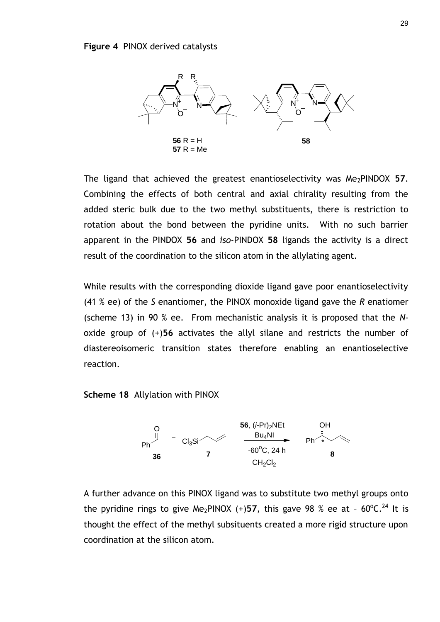

The ligand that achieved the greatest enantioselectivity was Me<sub>2</sub>PINDOX 57. Combining the effects of both central and axial chirality resulting from the added steric bulk due to the two methyl substituents, there is restriction to rotation about the bond between the pyridine units. With no such barrier apparent in the PINDOX **56** and *iso*-PINDOX **58** ligands the activity is a direct result of the coordination to the silicon atom in the allylating agent.

While results with the corresponding dioxide ligand gave poor enantioselectivity (41 % ee) of the *S* enantiomer, the PINOX monoxide ligand gave the *R* enatiomer (scheme 13) in 90 % ee. From mechanistic analysis it is proposed that the *N*oxide group of (+)**56** activates the allyl silane and restricts the number of diastereoisomeric transition states therefore enabling an enantioselective reaction.

**Scheme 18** Allylation with PINOX



A further advance on this PINOX ligand was to substitute two methyl groups onto the pyridine rings to give Me<sub>2</sub>PINOX (+)57, this gave 98 % ee at -  $60^{\circ}$ C.<sup>24</sup> It is thought the effect of the methyl subsituents created a more rigid structure upon coordination at the silicon atom.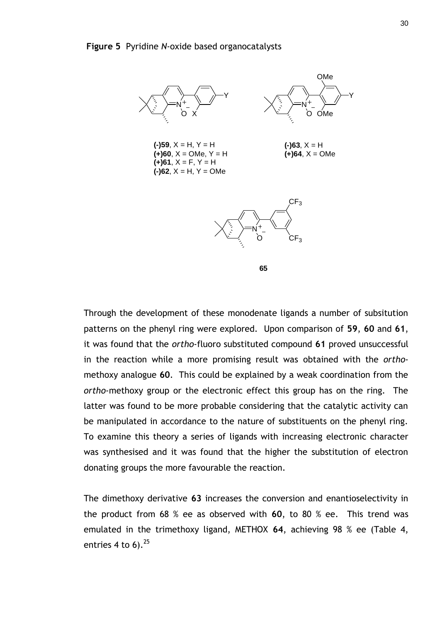

Through the development of these monodenate ligands a number of subsitution patterns on the phenyl ring were explored. Upon comparison of **59**, **60** and **61**, it was found that the *ortho*-fluoro substituted compound **61** proved unsuccessful in the reaction while a more promising result was obtained with the *ortho*methoxy analogue **60**. This could be explained by a weak coordination from the *ortho-*methoxy group or the electronic effect this group has on the ring. The latter was found to be more probable considering that the catalytic activity can be manipulated in accordance to the nature of substituents on the phenyl ring. To examine this theory a series of ligands with increasing electronic character was synthesised and it was found that the higher the substitution of electron donating groups the more favourable the reaction.

<span id="page-30-0"></span>The dimethoxy derivative **63** increases the conversion and enantioselectivity in the product from 68 % ee as observed with **60**, to 80 % ee. This trend was emulated in the trimethoxy ligand, METHOX **64**, achieving 98 % ee (Table 4, entries 4 to 6). $^{25}$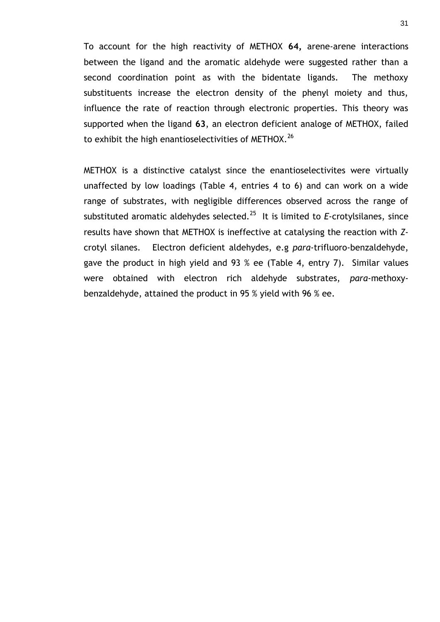To account for the high reactivity of METHOX **64,** arene-arene interactions between the ligand and the aromatic aldehyde were suggested rather than a second coordination point as with the bidentate ligands. The methoxy substituents increase the electron density of the phenyl moiety and thus, influence the rate of reaction through electronic properties. This theory was supported when the ligand **63**, an electron deficient analoge of METHOX, failed to exhibit the high enantioselectivities of METHOX.<sup>26</sup>

METHOX is a distinctive catalyst since the enantioselectivites were virtually unaffected by low loadings (Table 4, entries 4 to 6) and can work on a wide range of substrates, with negligible differences observed across the range of substituted aromatic aldehydes selected.<sup>[25](#page-30-0)</sup> It is limited to *E*-crotylsilanes, since results have shown that METHOX is ineffective at catalysing the reaction with *Z*crotyl silanes. Electron deficient aldehydes, e.g *para*-trifluoro-benzaldehyde, gave the product in high yield and 93 % ee (Table 4, entry 7). Similar values were obtained with electron rich aldehyde substrates, *para*-methoxybenzaldehyde, attained the product in 95 % yield with 96 % ee.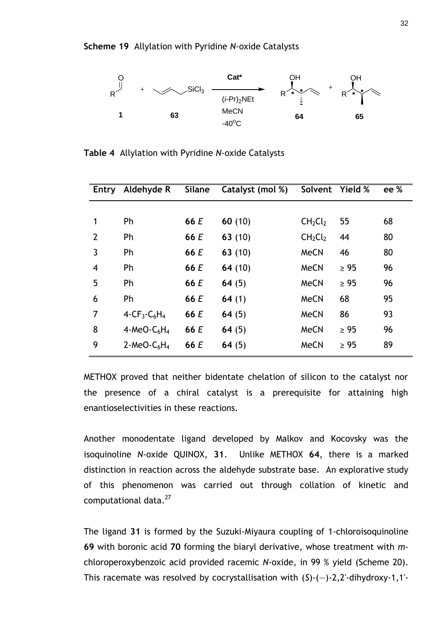

**Table 4** Allylation with Pyridine *N*-oxide Catalysts

|                | Entry Aldehyde R                                 | Silane | Catalyst (mol %) | Solvent Yield %                 |           | ee % |
|----------------|--------------------------------------------------|--------|------------------|---------------------------------|-----------|------|
|                |                                                  |        |                  |                                 |           |      |
| 1              | Ph                                               | 66 E   | 60(10)           | CH <sub>2</sub> Cl <sub>2</sub> | 55        | 68   |
| $\overline{2}$ | Ph                                               | 66 E   | 63(10)           | CH <sub>2</sub> Cl <sub>2</sub> | 44        | 80   |
| 3              | Ph                                               | 66 E   | 63(10)           | <b>MeCN</b>                     | 46        | 80   |
| $\overline{4}$ | Ph                                               | 66 E   | 64(10)           | <b>MeCN</b>                     | $\geq 95$ | 96   |
| 5              | Ph                                               | 66 E   | 64 $(5)$         | <b>MeCN</b>                     | $\geq 95$ | 96   |
| 6              | Ph                                               | 66 E   | 64 $(1)$         | <b>MeCN</b>                     | 68        | 95   |
| $\overline{7}$ | 4-CF <sub>3</sub> -C <sub>6</sub> H <sub>4</sub> | 66 E   | 64 $(5)$         | <b>MeCN</b>                     | 86        | 93   |
| 8              | $4-MeO-C6H4$                                     | 66 E   | 64 $(5)$         | <b>MeCN</b>                     | $\geq 95$ | 96   |
| 9              | $2-MeO-C6H4$                                     | 66 E   | 64 $(5)$         | <b>MeCN</b>                     | $\geq 95$ | 89   |

METHOX proved that neither bidentate chelation of silicon to the catalyst nor the presence of a chiral catalyst is a prerequisite for attaining high enantioselectivities in these reactions.

Another monodentate ligand developed by Malkov and Kocovsky was the isoquinoline *N*-oxide QUINOX, **31**. Unlike METHOX **64**, there is a marked distinction in reaction across the aldehyde substrate base. An explorative study of this phenomenon was carried out through collation of kinetic and computational data.<sup>27</sup>

The ligand **31** is formed by the Suzuki-Miyaura coupling of 1-chloroisoquinoline **69** with boronic acid **70** forming the biaryl derivative, whose treatment with *m*chloroperoxybenzoic acid provided racemic *N*-oxide, in 99 % yield (Scheme 20). This racemate was resolved by cocrystallisation with (*S*)-(―)-2,2′-dihydroxy-1,1′-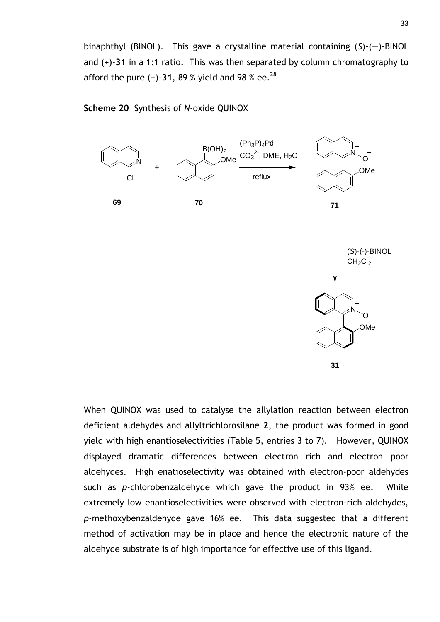binaphthyl (BINOL). This gave a crystalline material containing (*S*)-(―)-BINOL and (+)-**31** in a 1:1 ratio. This was then separated by column chromatography to afford the pure  $(+)$ -31, 89 % yield and 98 % ee.<sup>28</sup>

<span id="page-33-0"></span>**Scheme 20** Synthesis of *N*-oxide QUINOX



When QUINOX was used to catalyse the allylation reaction between electron deficient aldehydes and allyltrichlorosilane **2**, the product was formed in good yield with high enantioselectivities (Table 5, entries 3 to 7). However, QUINOX displayed dramatic differences between electron rich and electron poor aldehydes. High enatioselectivity was obtained with electron-poor aldehydes such as *p*-chlorobenzaldehyde which gave the product in 93% ee. While extremely low enantioselectivities were observed with electron-rich aldehydes, *p*-methoxybenzaldehyde gave 16% ee. This data suggested that a different method of activation may be in place and hence the electronic nature of the aldehyde substrate is of high importance for effective use of this ligand.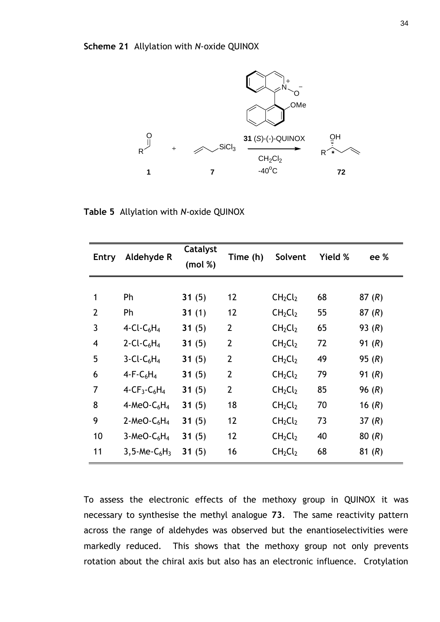

**Table 5** Allylation with *N*-oxide QUINOX

| <b>Entry</b>   | Aldehyde R                              | Catalyst<br>(mod %) | Time (h)       | Solvent                         | Yield % | ee %     |
|----------------|-----------------------------------------|---------------------|----------------|---------------------------------|---------|----------|
|                |                                         |                     |                |                                 |         |          |
| 1              | Ph                                      | 31(5)               | 12             | CH <sub>2</sub> Cl <sub>2</sub> | 68      | 87(R)    |
| $\overline{2}$ | Ph                                      | 31 $(1)$            | 12             | CH <sub>2</sub> Cl <sub>2</sub> | 55      | 87(R)    |
| 3              | 4-Cl-C <sub>6</sub> H <sub>4</sub>      | 31(5)               | $\overline{2}$ | CH <sub>2</sub> Cl <sub>2</sub> | 65      | 93 $(R)$ |
| $\overline{4}$ | 2-Cl-C <sub>6</sub> H <sub>4</sub>      | 31(5)               | $\overline{2}$ | CH <sub>2</sub> Cl <sub>2</sub> | 72      | 91 $(R)$ |
| 5              | $3$ -Cl-C <sub>6</sub> H <sub>4</sub>   | 31(5)               | $\overline{2}$ | CH <sub>2</sub> Cl <sub>2</sub> | 49      | 95(R)    |
| 6              | $4-F-C_6H_4$                            | 31(5)               | $\overline{2}$ | CH <sub>2</sub> Cl <sub>2</sub> | 79      | 91 $(R)$ |
| $\overline{7}$ | 4- $CF_3$ - $C_6H_4$                    | 31(5)               | $\overline{2}$ | CH <sub>2</sub> Cl <sub>2</sub> | 85      | 96(R)    |
| 8              | 4-MeO- $C_6H_4$                         | 31(5)               | 18             | CH <sub>2</sub> Cl <sub>2</sub> | 70      | 16 $(R)$ |
| 9              | 2-MeO- $C_6H_4$                         | 31(5)               | 12             | CH <sub>2</sub> Cl <sub>2</sub> | 73      | 37 $(R)$ |
| 10             | $3-MeO-C6H4$                            | 31(5)               | 12             | CH <sub>2</sub> Cl <sub>2</sub> | 40      | 80(R)    |
| 11             | $3,5$ -Me-C <sub>6</sub> H <sub>3</sub> | 31 $(5)$            | 16             | CH <sub>2</sub> Cl <sub>2</sub> | 68      | 81 $(R)$ |

To assess the electronic effects of the methoxy group in QUINOX it was necessary to synthesise the methyl analogue **73**. The same reactivity pattern across the range of aldehydes was observed but the enantioselectivities were markedly reduced. This shows that the methoxy group not only prevents rotation about the chiral axis but also has an electronic influence. Crotylation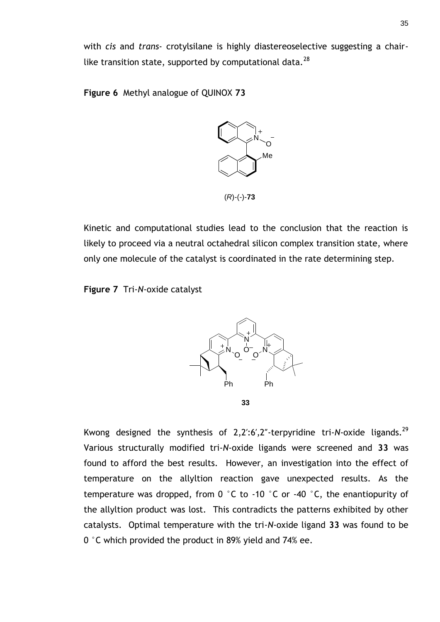with *cis* and *trans*- crotylsilane is highly diastereoselective suggesting a chairlike transition state, supported by computational data. $^{28}$  $^{28}$  $^{28}$ 

**Figure 6** Methyl analogue of QUINOX **73**



Kinetic and computational studies lead to the conclusion that the reaction is likely to proceed via a neutral octahedral silicon complex transition state, where only one molecule of the catalyst is coordinated in the rate determining step.

**Figure 7** Tri-*N*-oxide catalyst



Kwong designed the synthesis of  $2,2$ ':6',2"-terpyridine tri-N-oxide ligands.<sup>29</sup> Various structurally modified tri-*N*-oxide ligands were screened and **33** was found to afford the best results. However, an investigation into the effect of temperature on the allyltion reaction gave unexpected results. As the temperature was dropped, from  $0 \degree C$  to -10  $\degree C$  or -40  $\degree C$ , the enantiopurity of the allyltion product was lost. This contradicts the patterns exhibited by other catalysts. Optimal temperature with the tri-*N*-oxide ligand **33** was found to be 0 °C which provided the product in 89% yield and 74% ee.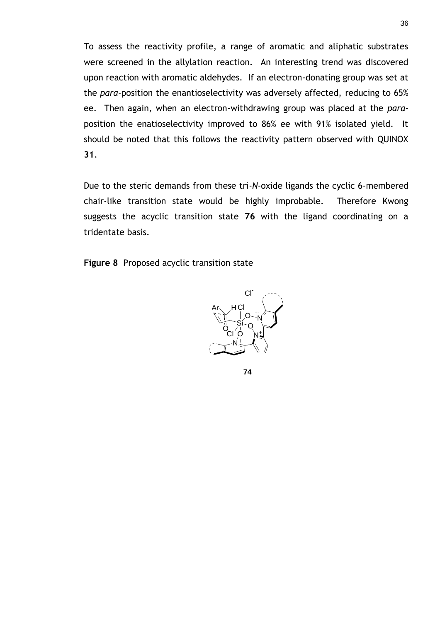To assess the reactivity profile, a range of aromatic and aliphatic substrates were screened in the allylation reaction. An interesting trend was discovered upon reaction with aromatic aldehydes. If an electron-donating group was set at the *para*-position the enantioselectivity was adversely affected, reducing to 65% ee. Then again, when an electron-withdrawing group was placed at the *para*position the enatioselectivity improved to 86% ee with 91% isolated yield. It should be noted that this follows the reactivity pattern observed with QUINOX **31**.

Due to the steric demands from these tri-*N*-oxide ligands the cyclic 6-membered chair-like transition state would be highly improbable. Therefore Kwong suggests the acyclic transition state **76** with the ligand coordinating on a tridentate basis.

**Figure 8** Proposed acyclic transition state



**74**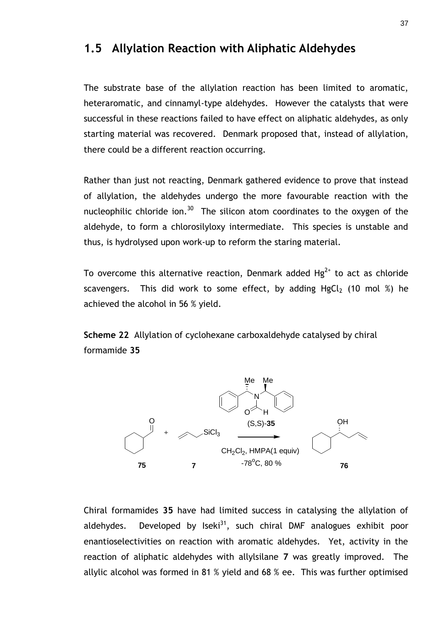### **1.5 Allylation Reaction with Aliphatic Aldehydes**

The substrate base of the allylation reaction has been limited to aromatic, heteraromatic, and cinnamyl-type aldehydes. However the catalysts that were successful in these reactions failed to have effect on aliphatic aldehydes, as only starting material was recovered. Denmark proposed that, instead of allylation, there could be a different reaction occurring.

Rather than just not reacting, Denmark gathered evidence to prove that instead of allylation, the aldehydes undergo the more favourable reaction with the nucleophilic chloride ion.<sup>30</sup> The silicon atom coordinates to the oxygen of the aldehyde, to form a chlorosilyloxy intermediate. This species is unstable and thus, is hydrolysed upon work-up to reform the staring material.

To overcome this alternative reaction, Denmark added  $Hg^{2+}$  to act as chloride scavengers. This did work to some effect, by adding HgCl<sub>2</sub> (10 mol %) he achieved the alcohol in 56 % yield.

**Scheme 22** Allylation of cyclohexane carboxaldehyde catalysed by chiral formamide **35**



<span id="page-37-0"></span>Chiral formamides **35** have had limited success in catalysing the allylation of aldehydes. Developed by Iseki<sup>31</sup>, such chiral DMF analogues exhibit poor enantioselectivities on reaction with aromatic aldehydes. Yet, activity in the reaction of aliphatic aldehydes with allylsilane **7** was greatly improved. The allylic alcohol was formed in 81 % yield and 68 % ee. This was further optimised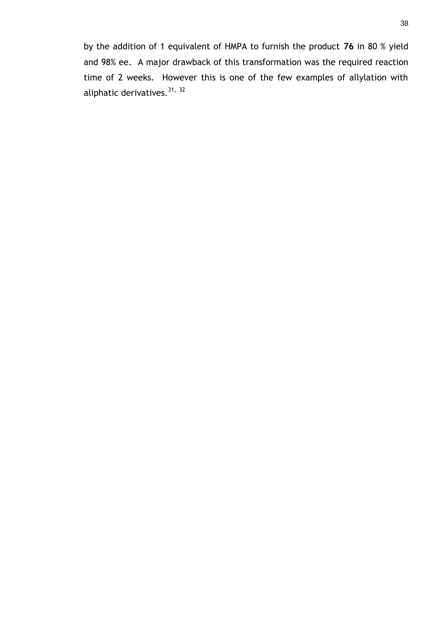by the addition of 1 equivalent of HMPA to furnish the product **76** in 80 % yield and 98% ee. A major drawback of this transformation was the required reaction time of 2 weeks. However this is one of the few examples of allylation with aliphatic derivatives.  $31, 32$  $31, 32$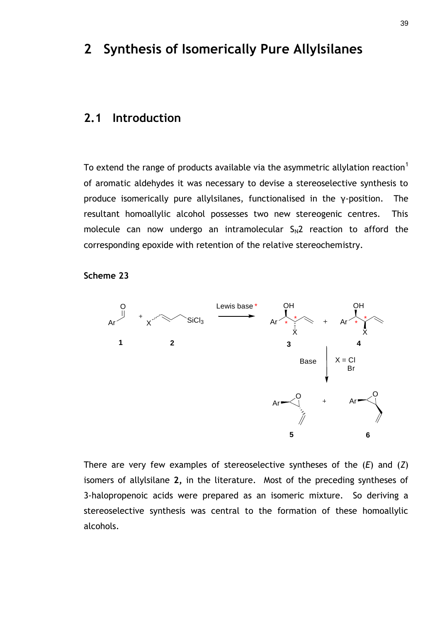# **2 Synthesis of Isomerically Pure Allylsilanes**

#### **2.1 Introduction**

To extend the range of products available via the asymmetric allylation reaction<sup>[1](#page-8-0)</sup> of aromatic aldehydes it was necessary to devise a stereoselective synthesis to produce isomerically pure allylsilanes, functionalised in the γ-position. The resultant homoallylic alcohol possesses two new stereogenic centres. This molecule can now undergo an intramolecular  $S_N2$  reaction to afford the corresponding epoxide with retention of the relative stereochemistry.





There are very few examples of stereoselective syntheses of the (*E*) and (*Z*) isomers of allylsilane **2,** in the literature. Most of the preceding syntheses of 3-halopropenoic acids were prepared as an isomeric mixture. So deriving a stereoselective synthesis was central to the formation of these homoallylic alcohols.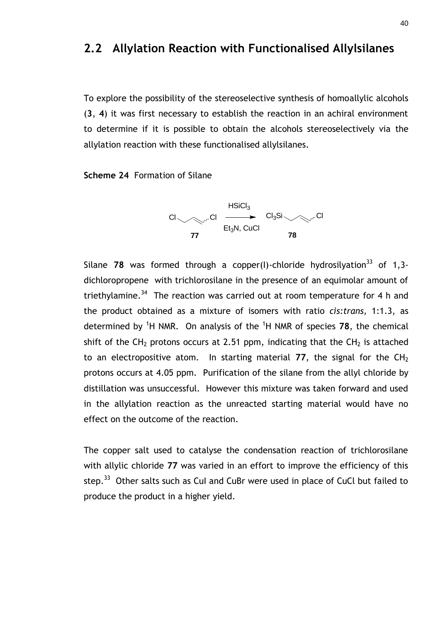#### **2.2 Allylation Reaction with Functionalised Allylsilanes**

To explore the possibility of the stereoselective synthesis of homoallylic alcohols (**3**, **4**) it was first necessary to establish the reaction in an achiral environment to determine if it is possible to obtain the alcohols stereoselectively via the allylation reaction with these functionalised allylsilanes.

**Scheme 24** Formation of Silane

<span id="page-40-0"></span>

<span id="page-40-1"></span>Silane **78** was formed through a copper(I)-chloride hydrosilyation<sup>33</sup> of 1,3dichloropropene with trichlorosilane in the presence of an equimolar amount of triethylamine.<sup>34</sup> The reaction was carried out at room temperature for 4 h and the product obtained as a mixture of isomers with ratio *cis:trans,* 1:1.3, as determined by <sup>1</sup>H NMR. On analysis of the <sup>1</sup>H NMR of species **78**, the chemical shift of the CH<sub>2</sub> protons occurs at 2.51 ppm, indicating that the CH<sub>2</sub> is attached to an electropositive atom. In starting material  $77$ , the signal for the  $CH<sub>2</sub>$ protons occurs at 4.05 ppm. Purification of the silane from the allyl chloride by distillation was unsuccessful. However this mixture was taken forward and used in the allylation reaction as the unreacted starting material would have no effect on the outcome of the reaction.

The copper salt used to catalyse the condensation reaction of trichlorosilane with allylic chloride **77** was varied in an effort to improve the efficiency of this step.<sup>[33](#page-40-0)</sup> Other salts such as CuI and CuBr were used in place of CuCl but failed to produce the product in a higher yield.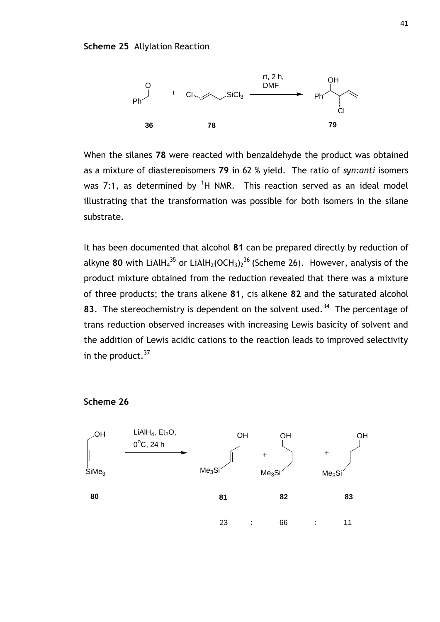

When the silanes **78** were reacted with benzaldehyde the product was obtained as a mixture of diastereoisomers **79** in 62 % yield. The ratio of *syn:anti* isomers was 7:1, as determined by  $1$ H NMR. This reaction served as an ideal model illustrating that the transformation was possible for both isomers in the silane substrate.

It has been documented that alcohol **81** can be prepared directly by reduction of alkyne 80 with LiAlH4<sup>35</sup> or LiAlH<sub>2</sub>(OCH<sub>3</sub>)<sub>2</sub><sup>36</sup> (Scheme 26). However, analysis of the product mixture obtained from the reduction revealed that there was a mixture of three products; the trans alkene **81**, cis alkene **82** and the saturated alcohol **83.** The stereochemistry is dependent on the solvent used.<sup>[34](#page-40-1)</sup> The percentage of trans reduction observed increases with increasing Lewis basicity of solvent and the addition of Lewis acidic cations to the reaction leads to improved selectivity in the product. $37$ 



**Scheme 26**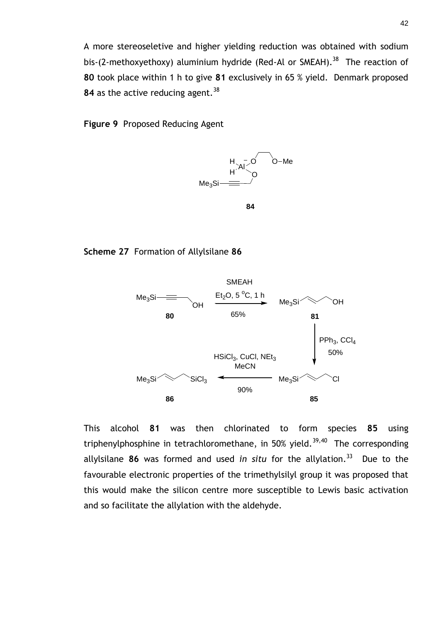A more stereoseletive and higher yielding reduction was obtained with sodium bis-(2-methoxyethoxy) aluminium hydride (Red-Al or SMEAH).<sup>38</sup> The reaction of **80** took place within 1 h to give **81** exclusively in 65 % yield. Denmark proposed 84 as the active reducing agent.<sup>[38](#page-42-0)</sup>

**Figure 9** Proposed Reducing Agent

<span id="page-42-0"></span>

**Scheme 27** Formation of Allylsilane **86**



This alcohol **81** was then chlorinated to form species **85** using triphenylphosphine in tetrachloromethane, in 50% yield.<sup>39,40</sup> The corresponding allylsilane **86** was formed and used *in situ* for the allylation. [33](#page-40-0) Due to the favourable electronic properties of the trimethylsilyl group it was proposed that this would make the silicon centre more susceptible to Lewis basic activation and so facilitate the allylation with the aldehyde.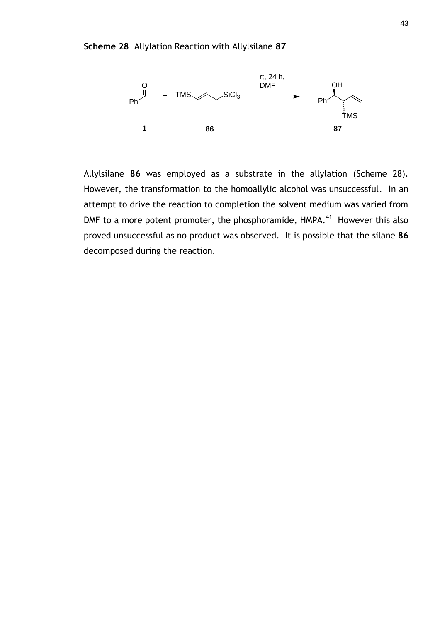**Scheme 28** Allylation Reaction with Allylsilane **87**



Allylsilane **86** was employed as a substrate in the allylation (Scheme 28). However, the transformation to the homoallylic alcohol was unsuccessful. In an attempt to drive the reaction to completion the solvent medium was varied from DMF to a more potent promoter, the phosphoramide, HMPA.<sup>41</sup> However this also proved unsuccessful as no product was observed. It is possible that the silane **86** decomposed during the reaction.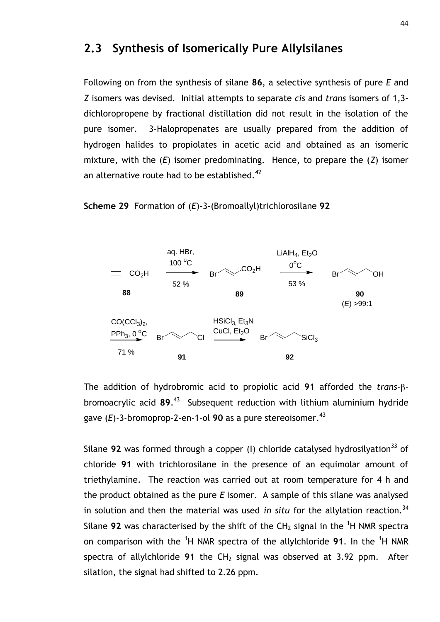#### **2.3 Synthesis of Isomerically Pure Allylsilanes**

Following on from the synthesis of silane **86**, a selective synthesis of pure *E* and *Z* isomers was devised. Initial attempts to separate *cis* and *trans* isomers of 1,3 dichloropropene by fractional distillation did not result in the isolation of the pure isomer. 3-Halopropenates are usually prepared from the addition of hydrogen halides to propiolates in acetic acid and obtained as an isomeric mixture, with the (*E*) isomer predominating. Hence, to prepare the (*Z*) isomer an alternative route had to be established. $42$ 

**Scheme 29** Formation of (*E*)-3-(Bromoallyl)trichlorosilane **92**



<span id="page-44-0"></span>The addition of hydrobromic acid to propiolic acid 91 afforded the *trans*- $\beta$ bromoacrylic acid **89**. 43 Subsequent reduction with lithium aluminium hydride gave (*E*)-3-bromoprop-2-en-1-ol **90** as a pure stereoisomer.[43](#page-44-0)

Silane 92 was formed through a copper (I) chloride catalysed hydrosilyation<sup>[33](#page-40-0)</sup> of chloride **91** with trichlorosilane in the presence of an equimolar amount of triethylamine. The reaction was carried out at room temperature for 4 h and the product obtained as the pure *E* isomer. A sample of this silane was analysed in solution and then the material was used *in situ* for the allylation reaction.<sup>[34](#page-40-1)</sup> Silane **92** was characterised by the shift of the CH<sub>2</sub> signal in the <sup>1</sup>H NMR spectra on comparison with the <sup>1</sup>H NMR spectra of the allylchloride 91. In the <sup>1</sup>H NMR spectra of allylchloride 91 the  $CH<sub>2</sub>$  signal was observed at 3.92 ppm. After silation, the signal had shifted to 2.26 ppm.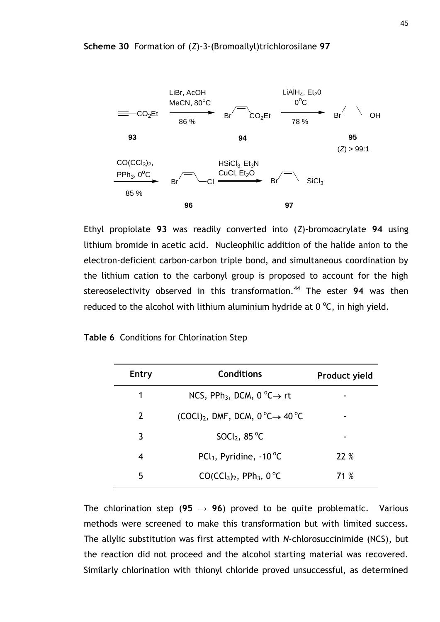

Ethyl propiolate **93** was readily converted into (*Z*)-bromoacrylate **94** using lithium bromide in acetic acid. Nucleophilic addition of the halide anion to the electron-deficient carbon-carbon triple bond, and simultaneous coordination by the lithium cation to the carbonyl group is proposed to account for the high stereoselectivity observed in this transformation.<sup>44</sup> The ester 94 was then reduced to the alcohol with lithium aluminium hydride at  $0^{\circ}C$ , in high yield.

**Table 6** Conditions for Chlorination Step

| Entry          | <b>Conditions</b>                                                    | Product yield |  |  |
|----------------|----------------------------------------------------------------------|---------------|--|--|
| 1              | NCS, PPh <sub>3</sub> , DCM, $0^{\circ}C \rightarrow rt$             |               |  |  |
| $\overline{2}$ | (COCl) <sub>2</sub> , DMF, DCM, $0^{\circ}C \rightarrow 40^{\circ}C$ |               |  |  |
| 3              | SOCl <sub>2</sub> , 85 $^{\circ}$ C                                  |               |  |  |
| 4              | PCl <sub>3</sub> , Pyridine, $-10^{\circ}$ C                         | 22 %          |  |  |
| 5              | $CO(CCl3)2$ , PPh <sub>3</sub> , 0 <sup>o</sup> C                    | 71 %          |  |  |

The chlorination step (95  $\rightarrow$  96) proved to be quite problematic. Various methods were screened to make this transformation but with limited success. The allylic substitution was first attempted with *N*-chlorosuccinimide (NCS), but the reaction did not proceed and the alcohol starting material was recovered. Similarly chlorination with thionyl chloride proved unsuccessful, as determined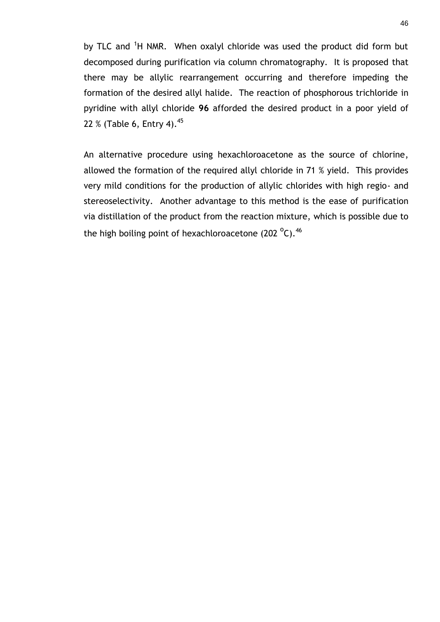by TLC and <sup>1</sup>H NMR. When oxalyl chloride was used the product did form but decomposed during purification via column chromatography. It is proposed that there may be allylic rearrangement occurring and therefore impeding the formation of the desired allyl halide. The reaction of phosphorous trichloride in pyridine with allyl chloride **96** afforded the desired product in a poor yield of 22 % (Table 6, Entry 4).<sup>45</sup>

An alternative procedure using hexachloroacetone as the source of chlorine, allowed the formation of the required allyl chloride in 71 % yield. This provides very mild conditions for the production of allylic chlorides with high regio- and stereoselectivity. Another advantage to this method is the ease of purification via distillation of the product from the reaction mixture, which is possible due to the high boiling point of hexachloroacetone (202  $^{\circ}$ C).<sup>46</sup>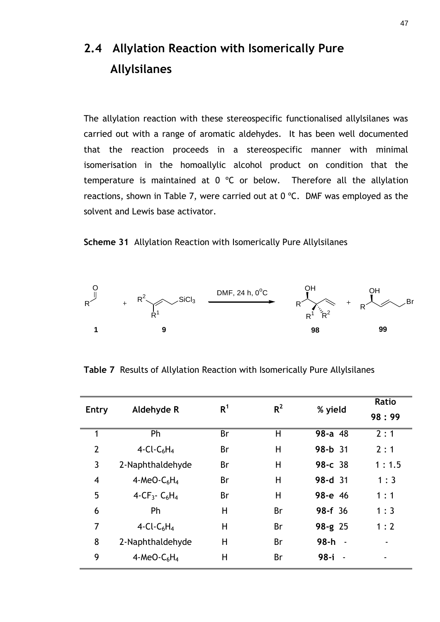# **2.4 Allylation Reaction with Isomerically Pure Allylsilanes**

The allylation reaction with these stereospecific functionalised allylsilanes was carried out with a range of aromatic aldehydes. It has been well documented that the reaction proceeds in a stereospecific manner with minimal isomerisation in the homoallylic alcohol product on condition that the temperature is maintained at 0 ºC or below. Therefore all the allylation reactions, shown in Table 7, were carried out at  $0^{\circ}$ C. DMF was employed as the solvent and Lewis base activator.

**Scheme 31** Allylation Reaction with Isomerically Pure Allylsilanes



**Table 7** Results of Allylation Reaction with Isomerically Pure Allylsilanes

| <b>Entry</b>   | Aldehyde R                                        | R <sup>1</sup> | $R^2$ | % yield          | Ratio |
|----------------|---------------------------------------------------|----------------|-------|------------------|-------|
|                |                                                   |                |       |                  | 98:99 |
| 1              | Ph                                                | Br             | H     | 98-a 48          | 2:1   |
| $\overline{2}$ | 4-Cl- $C_6H_4$                                    | Br             | H     | 98-b 31          | 2:1   |
| 3              | 2-Naphthaldehyde                                  | Br             | H     | 98-c 38          | 1:1.5 |
| 4              | 4-MeO- $C_6H_4$                                   | Br             | H     | 98-d 31          | 1:3   |
| 5              | 4-CF <sub>3</sub> - C <sub>6</sub> H <sub>4</sub> | Br             | H     | 98-e 46          | 1:1   |
| 6              | Ph                                                | H              | Br    | 98-f 36          | 1:3   |
| 7              | 4-Cl-C <sub>6</sub> H <sub>4</sub>                | $\mathsf{H}$   | Br    | $98-g$ 25        | 1:2   |
| 8              | 2-Naphthaldehyde                                  | H              | Br    | $98-h$<br>$\sim$ |       |
| 9              | $4-MeO-C6H4$                                      | Н              | Br    | 98-i<br>$\sim$   |       |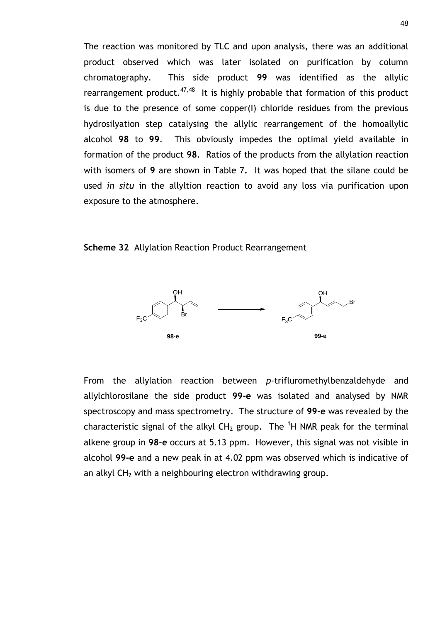The reaction was monitored by TLC and upon analysis, there was an additional product observed which was later isolated on purification by column chromatography. This side product **99** was identified as the allylic rearrangement product. $47,48$  It is highly probable that formation of this product is due to the presence of some copper(I) chloride residues from the previous hydrosilyation step catalysing the allylic rearrangement of the homoallylic alcohol **98** to **99**. This obviously impedes the optimal yield available in formation of the product **98**. Ratios of the products from the allylation reaction with isomers of **9** are shown in Table 7**.** It was hoped that the silane could be used *in situ* in the allyltion reaction to avoid any loss via purification upon exposure to the atmosphere.

**Scheme 32** Allylation Reaction Product Rearrangement



From the allylation reaction between *p*-trifluromethylbenzaldehyde and allylchlorosilane the side product **99-e** was isolated and analysed by NMR spectroscopy and mass spectrometry. The structure of **99-e** was revealed by the characteristic signal of the alkyl  $CH_2$  group. The <sup>1</sup>H NMR peak for the terminal alkene group in **98-e** occurs at 5.13 ppm. However, this signal was not visible in alcohol **99-e** and a new peak in at 4.02 ppm was observed which is indicative of an alkyl  $CH<sub>2</sub>$  with a neighbouring electron withdrawing group.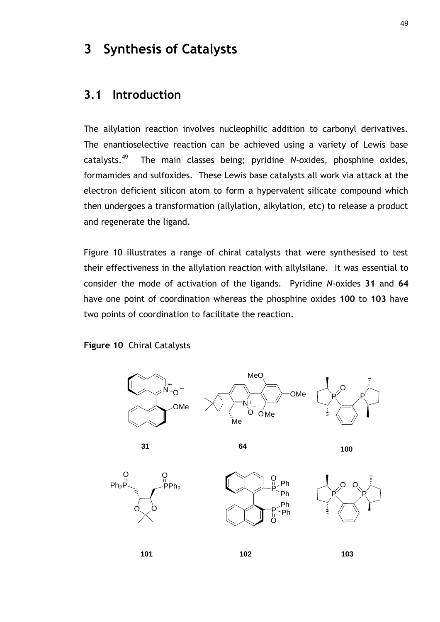# **3 Synthesis of Catalysts**

## **3.1 Introduction**

The allylation reaction involves nucleophilic addition to carbonyl derivatives. The enantioselective reaction can be achieved using a variety of Lewis base catalysts.<sup>49</sup> The main classes being; pyridine *N*-oxides, phosphine oxides, formamides and sulfoxides. These Lewis base catalysts all work via attack at the electron deficient silicon atom to form a hypervalent silicate compound which then undergoes a transformation (allylation, alkylation, etc) to release a product and regenerate the ligand.

Figure 10 illustrates a range of chiral catalysts that were synthesised to test their effectiveness in the allylation reaction with allylsilane. It was essential to consider the mode of activation of the ligands. Pyridine *N*-oxides **31** and **64**  have one point of coordination whereas the phosphine oxides **100** to **103** have two points of coordination to facilitate the reaction.

**Figure 10** Chiral Catalysts

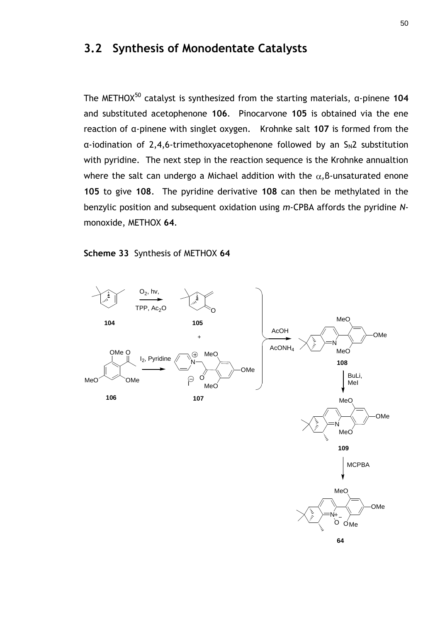## **3.2 Synthesis of Monodentate Catalysts**

The METHOX<sup>50</sup> catalyst is synthesized from the starting materials, α-pinene **104** and substituted acetophenone **106**. Pinocarvone **105** is obtained via the ene reaction of α-pinene with singlet oxygen. Krohnke salt **107** is formed from the  $\alpha$ -iodination of 2,4,6-trimethoxyacetophenone followed by an  $S_N$ 2 substitution with pyridine. The next step in the reaction sequence is the Krohnke annualtion where the salt can undergo a Michael addition with the  $\alpha$ , B-unsaturated enone **105** to give **108**. The pyridine derivative **108** can then be methylated in the benzylic position and subsequent oxidation using *m*-CPBA affords the pyridine *N*monoxide, METHOX **64**.

**Scheme 33** Synthesis of METHOX **64**

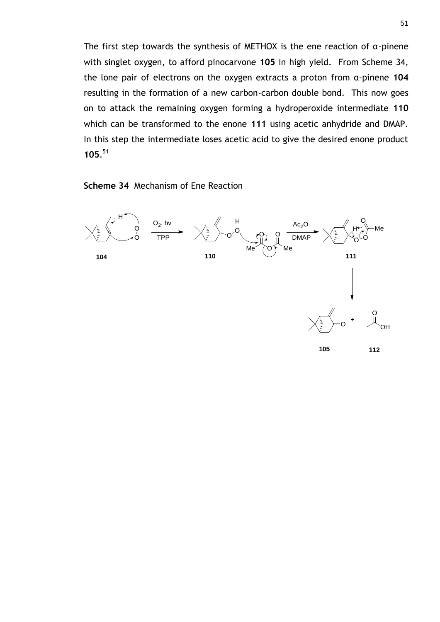The first step towards the synthesis of METHOX is the ene reaction of α-pinene with singlet oxygen, to afford pinocarvone **105** in high yield. From Scheme 34, the lone pair of electrons on the oxygen extracts a proton from α-pinene **104** resulting in the formation of a new carbon-carbon double bond. This now goes on to attack the remaining oxygen forming a hydroperoxide intermediate **110** which can be transformed to the enone **111** using acetic anhydride and DMAP. In this step the intermediate loses acetic acid to give the desired enone product **105**. 51

#### **Scheme 34** Mechanism of Ene Reaction

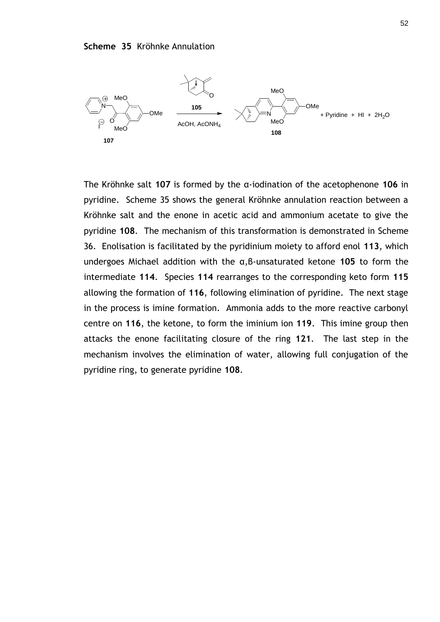

The Kröhnke salt **107** is formed by the α-iodination of the acetophenone **106** in pyridine. Scheme 35 shows the general Kröhnke annulation reaction between a Kröhnke salt and the enone in acetic acid and ammonium acetate to give the pyridine **108**. The mechanism of this transformation is demonstrated in Scheme 36. Enolisation is facilitated by the pyridinium moiety to afford enol **113**, which undergoes Michael addition with the α,β-unsaturated ketone **105** to form the intermediate **114**. Species **114** rearranges to the corresponding keto form **115** allowing the formation of **116**, following elimination of pyridine. The next stage in the process is imine formation. Ammonia adds to the more reactive carbonyl centre on **116**, the ketone, to form the iminium ion **119**. This imine group then attacks the enone facilitating closure of the ring **121**. The last step in the mechanism involves the elimination of water, allowing full conjugation of the pyridine ring, to generate pyridine **108**.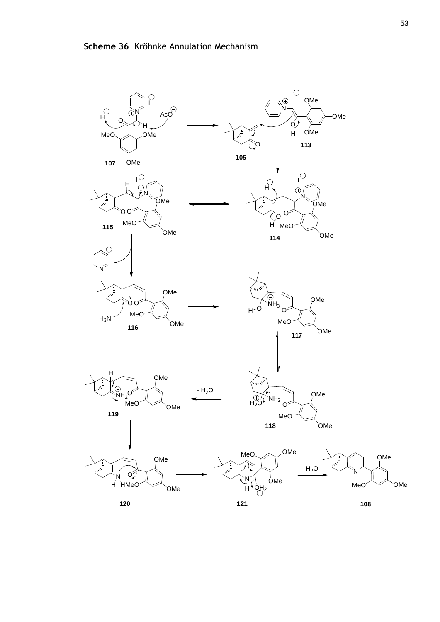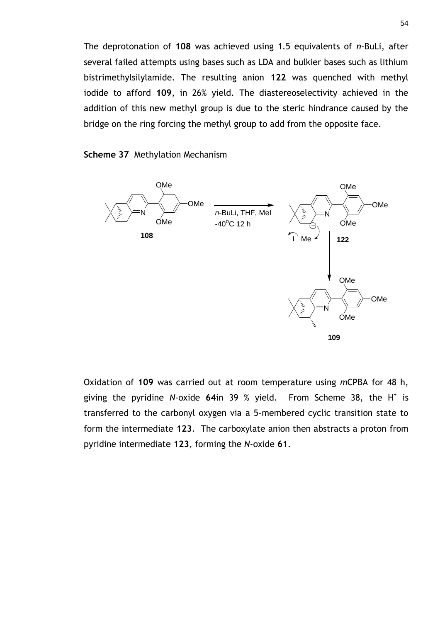The deprotonation of **108** was achieved using 1.5 equivalents of *n*-BuLi, after several failed attempts using bases such as LDA and bulkier bases such as lithium bistrimethylsilylamide. The resulting anion **122** was quenched with methyl iodide to afford **109**, in 26% yield. The diastereoselectivity achieved in the addition of this new methyl group is due to the steric hindrance caused by the bridge on the ring forcing the methyl group to add from the opposite face.

#### **Scheme 37** Methylation Mechanism



Oxidation of **109** was carried out at room temperature using *m*CPBA for 48 h, giving the pyridine N-oxide 64in 39 % yield. From Scheme 38, the H<sup>+</sup> is transferred to the carbonyl oxygen via a 5-membered cyclic transition state to form the intermediate **123**. The carboxylate anion then abstracts a proton from pyridine intermediate **123**, forming the *N*-oxide **61**.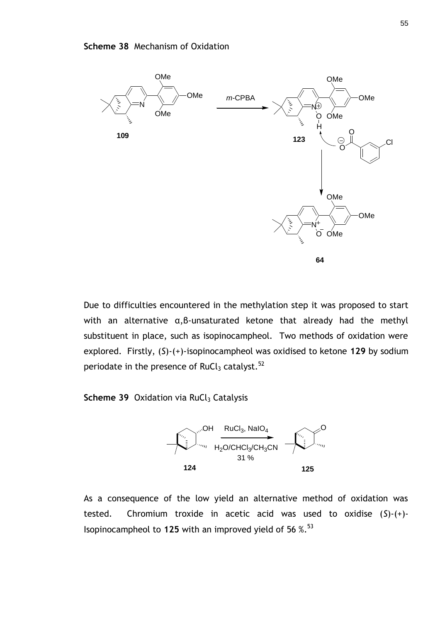

Due to difficulties encountered in the methylation step it was proposed to start with an alternative α,β-unsaturated ketone that already had the methyl substituent in place, such as isopinocampheol. Two methods of oxidation were explored. Firstly, (*S*)-(+)-isopinocampheol was oxidised to ketone **129** by sodium periodate in the presence of RuCl<sub>3</sub> catalyst.<sup>52</sup>

**Scheme 39 Oxidation via RuCl<sub>3</sub> Catalysis** 



As a consequence of the low yield an alternative method of oxidation was tested. Chromium troxide in acetic acid was used to oxidise (*S*)-(+)- Isopinocampheol to 125 with an improved vield of 56  $\%$ .<sup>53</sup>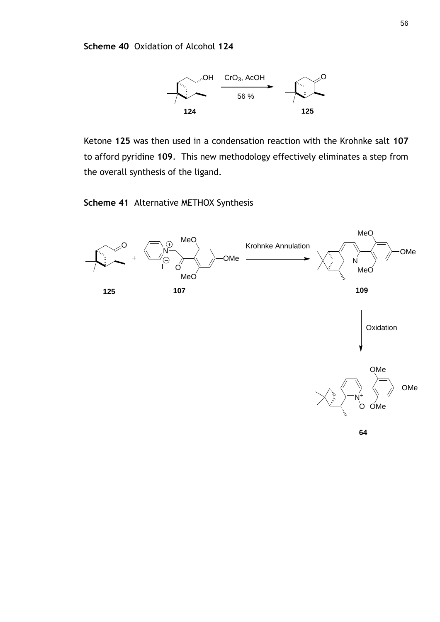

Ketone **125** was then used in a condensation reaction with the Krohnke salt **107** to afford pyridine **109**. This new methodology effectively eliminates a step from the overall synthesis of the ligand.

**Scheme 41** Alternative METHOX Synthesis

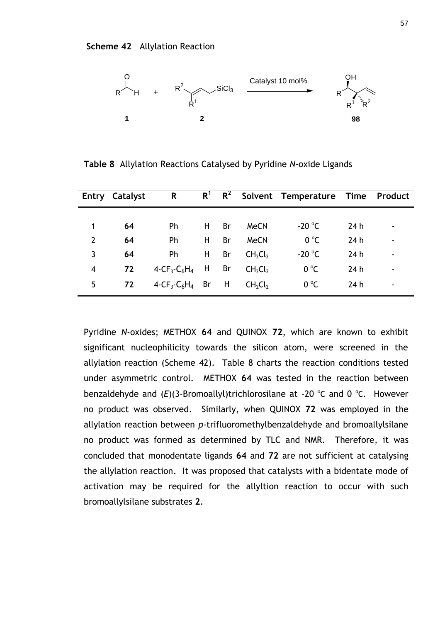

**Table 8** Allylation Reactions Catalysed by Pyridine *N*-oxide Ligands

|                | Entry Catalyst | R                                                   | $R^1$ |    |                                 | $R^2$ Solvent Temperature Time Product |      |  |
|----------------|----------------|-----------------------------------------------------|-------|----|---------------------------------|----------------------------------------|------|--|
|                |                |                                                     |       |    |                                 |                                        |      |  |
|                | 64             | Ph                                                  | H.    | Br | MeCN                            | $-20$ °C                               | 24 h |  |
| $\overline{2}$ | 64             | Ph                                                  | H     | Br | <b>MeCN</b>                     | $0^{\circ}$ C                          | 24h  |  |
| 3              | 64             | Ph                                                  | H     | Br | CH <sub>2</sub> Cl <sub>2</sub> | $-20$ °C                               | 24h  |  |
| 4              | 72             | 4-CF <sub>3</sub> -C <sub>6</sub> H <sub>4</sub>    | H Br  |    | CH <sub>2</sub> Cl <sub>2</sub> | $0^{\circ}$ C                          | 24h  |  |
| 5              | 72             | 4-CF <sub>3</sub> -C <sub>6</sub> H <sub>4</sub> Br |       | H  | CH <sub>2</sub> Cl <sub>2</sub> | $0^{\circ}$ C                          | 24 h |  |

Pyridine *N*-oxides; METHOX **64** and QUINOX **72**, which are known to exhibit significant nucleophilicity towards the silicon atom, were screened in the allylation reaction (Scheme 42). Table 8 charts the reaction conditions tested under asymmetric control. METHOX **64** was tested in the reaction between benzaldehyde and (E)(3-Bromoallyl)trichlorosilane at -20 °C and 0 °C. However no product was observed. Similarly, when QUINOX **72** was employed in the allylation reaction between *p*-trifluoromethylbenzaldehyde and bromoallylsilane no product was formed as determined by TLC and NMR. Therefore, it was concluded that monodentate ligands **64** and **72** are not sufficient at catalysing the allylation reaction**.** It was proposed that catalysts with a bidentate mode of activation may be required for the allyltion reaction to occur with such bromoallylsilane substrates **2**.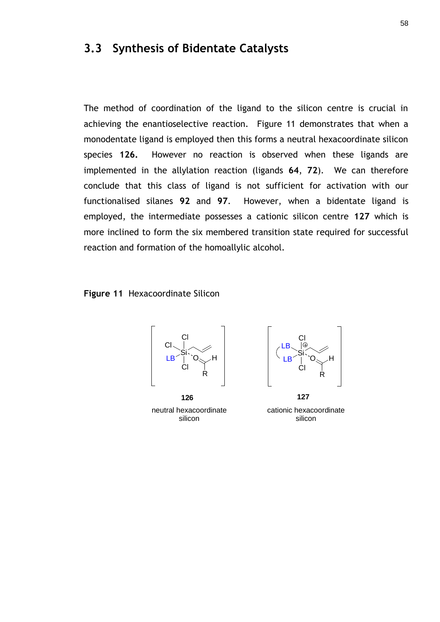### **3.3 Synthesis of Bidentate Catalysts**

The method of coordination of the ligand to the silicon centre is crucial in achieving the enantioselective reaction. Figure 11 demonstrates that when a monodentate ligand is employed then this forms a neutral hexacoordinate silicon species **126.** However no reaction is observed when these ligands are implemented in the allylation reaction (ligands **64**, **72**). We can therefore conclude that this class of ligand is not sufficient for activation with our functionalised silanes **92** and **97**. However, when a bidentate ligand is employed, the intermediate possesses a cationic silicon centre **127** which is more inclined to form the six membered transition state required for successful reaction and formation of the homoallylic alcohol.

**Figure 11** Hexacoordinate Silicon



neutral hexacoordinate silicon **126 127**



cationic hexacoordinate silicon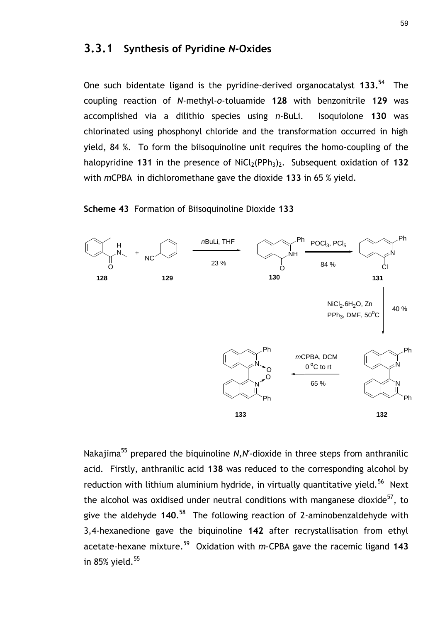#### **3.3.1 Synthesis of Pyridine** *N***-Oxides**

One such bidentate ligand is the pyridine-derived organocatalyst **133.** <sup>54</sup> The coupling reaction of *N*-methyl-*o*-toluamide **128** with benzonitrile **129** was accomplished via a dilithio species using *n*-BuLi. Isoquiolone **130** was chlorinated using phosphonyl chloride and the transformation occurred in high yield, 84 %. To form the biisoquinoline unit requires the homo-coupling of the halopyridine **131** in the presence of  $NiCl<sub>2</sub>(PPh<sub>3</sub>)<sub>2</sub>$ . Subsequent oxidation of **132** with *m*CPBA in dichloromethane gave the dioxide **133** in 65 % yield.

**Scheme 43** Formation of Biisoquinoline Dioxide **133**



<span id="page-59-1"></span><span id="page-59-0"></span>Nakajima<sup>55</sup> prepared the biquinoline *N,N*′-dioxide in three steps from anthranilic acid. Firstly, anthranilic acid **138** was reduced to the corresponding alcohol by reduction with lithium aluminium hydride, in virtually quantitative yield.<sup>56</sup> Next the alcohol was oxidised under neutral conditions with manganese dioxide<sup>57</sup>, to give the aldehyde **140**. 58 The following reaction of 2-aminobenzaldehyde with 3,4-hexanedione gave the biquinoline **142** after recrystallisation from ethyl acetate-hexane mixture.<sup>59</sup> Oxidation with *m*-CPBA gave the racemic ligand **143** in 85% yield. $55$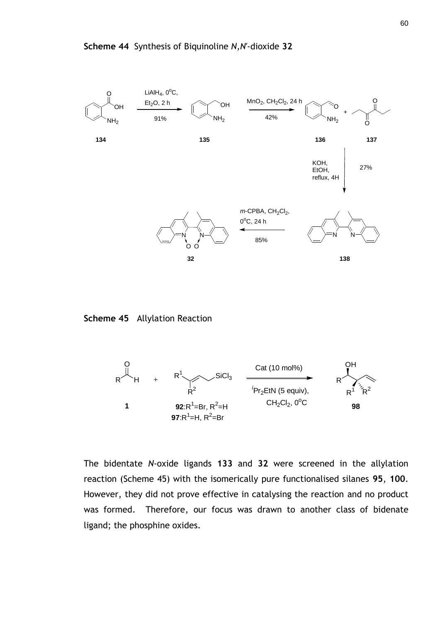

**Scheme 45** Allylation Reaction



The bidentate *N*-oxide ligands **133** and **32** were screened in the allylation reaction (Scheme 45) with the isomerically pure functionalised silanes **95**, **100**. However, they did not prove effective in catalysing the reaction and no product was formed. Therefore, our focus was drawn to another class of bidenate ligand; the phosphine oxides.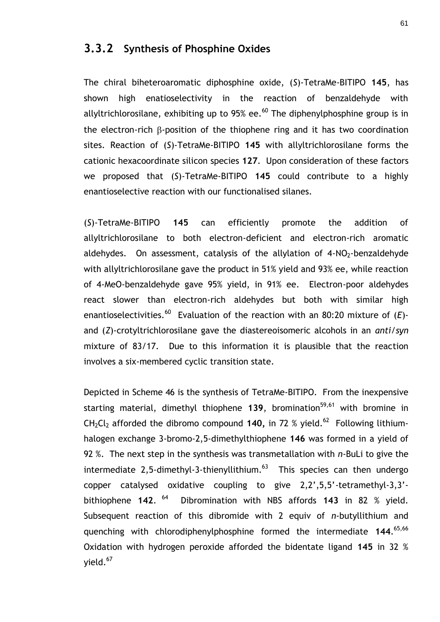#### **3.3.2 Synthesis of Phosphine Oxides**

<span id="page-61-0"></span>The chiral biheteroaromatic diphosphine oxide, (*S*)-TetraMe-BITIPO **145**, has shown high enatioselectivity in the reaction of benzaldehyde with allyltrichlorosilane, exhibiting up to 95% ee.<sup>60</sup> The diphenylphosphine group is in the electron-rich  $\beta$ -position of the thiophene ring and it has two coordination sites. Reaction of (*S*)-TetraMe-BITIPO **145** with allyltrichlorosilane forms the cationic hexacoordinate silicon species **127**. Upon consideration of these factors we proposed that (*S*)-TetraMe-BITIPO **145** could contribute to a highly enantioselective reaction with our functionalised silanes.

(*S*)-TetraMe-BITIPO **145** can efficiently promote the addition of allyltrichlorosilane to both electron-deficient and electron-rich aromatic aldehydes. On assessment, catalysis of the allylation of  $4-NO<sub>2</sub>$ -benzaldehyde with allyltrichlorosilane gave the product in 51% yield and 93% ee, while reaction of 4-MeO-benzaldehyde gave 95% yield, in 91% ee. Electron-poor aldehydes react slower than electron-rich aldehydes but both with similar high enantioselectivities.<sup>[60](#page-61-0)</sup> Evaluation of the reaction with an 80:20 mixture of (*E*)and (*Z*)-crotyltrichlorosilane gave the diastereoisomeric alcohols in an *anti/syn*  mixture of 83/17. Due to this information it is plausible that the reaction involves a six-membered cyclic transition state.

Depicted in Scheme 46 is the synthesis of TetraMe-BITIPO. From the inexpensive starting material, dimethyl thiophene 139, bromination<sup>[59,](#page-59-1)61</sup> with bromine in  $CH_2Cl_2$  afforded the dibromo compound 140, in 72 % yield.<sup>62</sup> Following lithiumhalogen exchange 3-bromo-2,5-dimethylthiophene **146** was formed in a yield of 92 %. The next step in the synthesis was transmetallation with *n*-BuLi to give the intermediate 2,5-dimethyl-3-thienyllithium. $^{63}$  This species can then undergo copper catalysed oxidative coupling to give 2,2',5,5'-tetramethyl-3,3' bithiophene **142**. 64 Dibromination with NBS affords **143** in 82 % yield. Subsequent reaction of this dibromide with 2 equiv of *n*-butyllithium and quenching with chlorodiphenylphosphine formed the intermediate **144**. 65,66 Oxidation with hydrogen peroxide afforded the bidentate ligand **145** in 32 % vield. $67$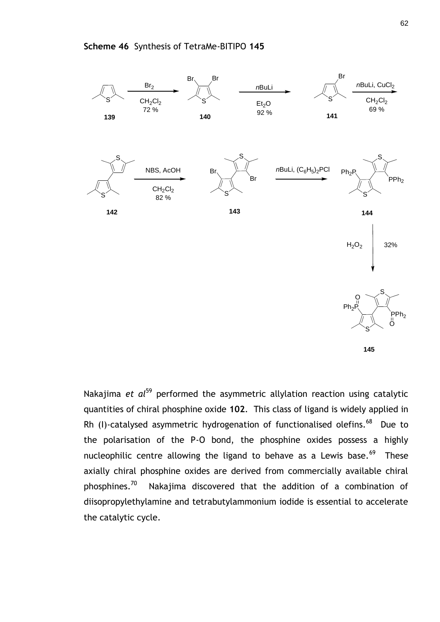

<span id="page-62-0"></span>Nakajima *et al*[59](#page-59-1) performed the asymmetric allylation reaction using catalytic quantities of chiral phosphine oxide **102**. This class of ligand is widely applied in Rh (I)-catalysed asymmetric hydrogenation of functionalised olefins.<sup>68</sup> Due to the polarisation of the P-O bond, the phosphine oxides possess a highly nucleophilic centre allowing the ligand to behave as a Lewis base.<sup>69</sup> These axially chiral phosphine oxides are derived from commercially available chiral phosphines.<sup>70</sup> Nakajima discovered that the addition of a combination of diisopropylethylamine and tetrabutylammonium iodide is essential to accelerate the catalytic cycle.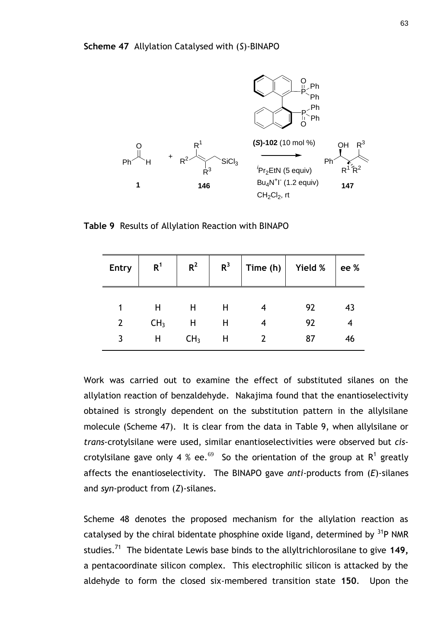

**Table 9** Results of Allylation Reaction with BINAPO

| <b>Entry</b> | R <sup>1</sup>  | $R^2$           | R <sup>3</sup> | Time (h) | Yield % | ee % |
|--------------|-----------------|-----------------|----------------|----------|---------|------|
|              |                 |                 |                |          | 92      | 43   |
|              | CH <sub>3</sub> | Н               | Η              |          | 92      |      |
| 3            |                 | CH <sub>3</sub> |                |          | 87      | 46   |

Work was carried out to examine the effect of substituted silanes on the allylation reaction of benzaldehyde. Nakajima found that the enantioselectivity obtained is strongly dependent on the substitution pattern in the allylsilane molecule (Scheme 47). It is clear from the data in Table 9, when allylsilane or *trans*-crotylsilane were used, similar enantioselectivities were observed but *cis*-crotylsilane gave only 4 % ee.<sup>[69](#page-62-0)</sup> So the orientation of the group at R<sup>1</sup> greatly affects the enantioselectivity. The BINAPO gave *anti*-products from (*E*)-silanes and *syn-*product from (*Z*)-silanes.

Scheme 48 denotes the proposed mechanism for the allylation reaction as catalysed by the chiral bidentate phosphine oxide ligand, determined by  $31P$  NMR studies.<sup>71</sup> The bidentate Lewis base binds to the allyltrichlorosilane to give **149,** a pentacoordinate silicon complex. This electrophilic silicon is attacked by the aldehyde to form the closed six-membered transition state **150**. Upon the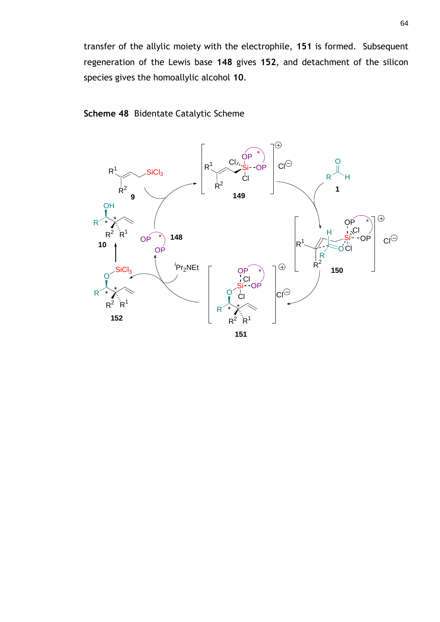transfer of the allylic moiety with the electrophile, **151** is formed. Subsequent regeneration of the Lewis base **148** gives **152**, and detachment of the silicon species gives the homoallylic alcohol **10**.

**Scheme 48** Bidentate Catalytic Scheme

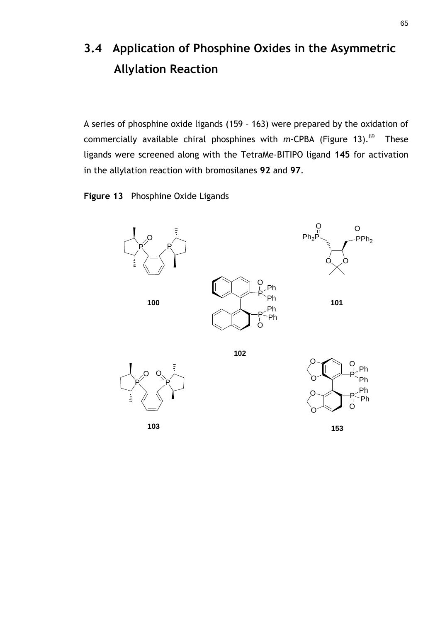# **3.4 Application of Phosphine Oxides in the Asymmetric Allylation Reaction**

A series of phosphine oxide ligands (159 – 163) were prepared by the oxidation of commercially available chiral phosphines with *m*-CPBA (Figure 13).<sup>[69](#page-62-0)</sup> These ligands were screened along with the TetraMe-BITIPO ligand **145** for activation in the allylation reaction with bromosilanes **92** and **97**.

**Figure 13** Phosphine Oxide Ligands



65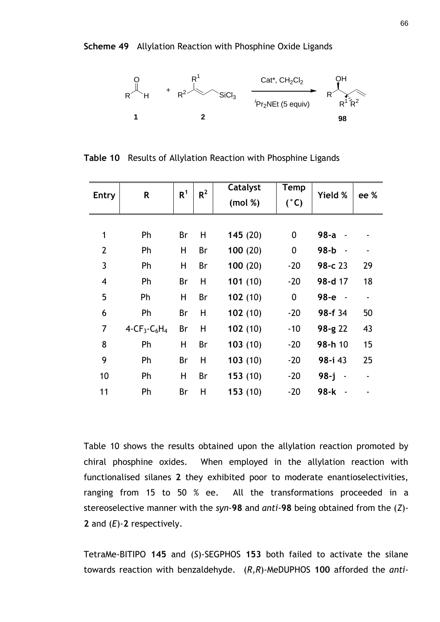**Scheme 49** Allylation Reaction with Phosphine Oxide Ligands



|  |  | Table 10 Results of Allylation Reaction with Phosphine Ligands |
|--|--|----------------------------------------------------------------|
|  |  |                                                                |

| <b>Entry</b>             | R                                                   | R <sup>1</sup> | $R^2$ | <b>Catalyst</b> | <b>Temp</b>      | Yield %            | ee % |
|--------------------------|-----------------------------------------------------|----------------|-------|-----------------|------------------|--------------------|------|
|                          |                                                     |                |       | (mod %)         | $(^{\circ}C)$    |                    |      |
|                          |                                                     |                |       |                 |                  |                    |      |
| 1                        | Ph                                                  | Br             | Η     | 145(20)         | 0                | $98-a$             |      |
| $\overline{2}$           | Ph                                                  | Η              | Br    | 100(20)         | $\boldsymbol{0}$ | $98-b$<br>$\sim$   |      |
| 3                        | Ph                                                  | Н              | Br    | 100(20)         | $-20$            | 98-c 23            | 29   |
| $\overline{\mathcal{A}}$ | Ph                                                  | Br             | H     | 101(10)         | $-20$            | 98-d 17            | 18   |
| 5                        | Ph                                                  | H              | Br    | 102(10)         | $\mathbf 0$      | 98-e -             |      |
| 6                        | Ph                                                  | Br             | Η     | 102(10)         | $-20$            | 98-f 34            | 50   |
| $\overline{7}$           | $4$ -CF <sub>3</sub> -C <sub>6</sub> H <sub>4</sub> | Br             | H     | 102(10)         | $-10$            | 98-g 22            | 43   |
| 8                        | Ph                                                  | H              | Br    | 103(10)         | $-20$            | 98-h 10            | 15   |
| 9                        | Ph                                                  | Br             | Η     | 103(10)         | $-20$            | 98-i 43            | 25   |
| 10                       | Ph                                                  | H              | Br    | 153(10)         | $-20$            | $98 - j$<br>$\sim$ |      |
| 11                       | Ph                                                  | Br             | Η     | 153(10)         | $-20$            | 98-k<br>$\sim$     |      |

Table 10 shows the results obtained upon the allylation reaction promoted by chiral phosphine oxides. When employed in the allylation reaction with functionalised silanes **2** they exhibited poor to moderate enantioselectivities, ranging from 15 to 50 % ee. All the transformations proceeded in a stereoselective manner with the *syn*-**98** and *anti*-**98** being obtained from the (*Z*)- **2** and (*E*)-**2** respectively.

TetraMe-BITIPO **145** and (*S*)-SEGPHOS **153** both failed to activate the silane towards reaction with benzaldehyde. (*R,R*)-MeDUPHOS **100** afforded the *anti-*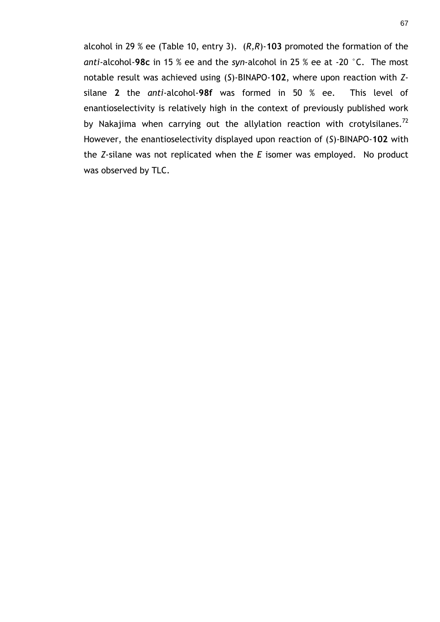alcohol in 29 % ee (Table 10, entry 3). (*R,R*)-**103** promoted the formation of the *anti*-alcohol-**98c** in 15 % ee and the *syn*-alcohol in 25 % ee at -20 °C. The most notable result was achieved using (*S*)-BINAPO-**102**, where upon reaction with *Z*silane **2** the *anti-*alcohol-**98f** was formed in 50 % ee. This level of enantioselectivity is relatively high in the context of previously published work by Nakajima when carrying out the allylation reaction with crotylsilanes.<sup>72</sup> However, the enantioselectivity displayed upon reaction of (*S*)-BINAPO-**102** with the *Z*-silane was not replicated when the *E* isomer was employed. No product was observed by TLC.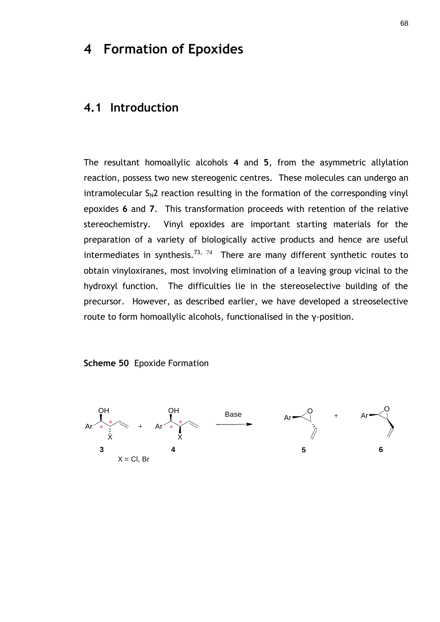## **4 Formation of Epoxides**

#### **4.1 Introduction**

The resultant homoallylic alcohols **4** and **5**, from the asymmetric allylation reaction, possess two new stereogenic centres. These molecules can undergo an intramolecular  $S_N2$  reaction resulting in the formation of the corresponding vinyl epoxides **6** and **7**. This transformation proceeds with retention of the relative stereochemistry. Vinyl epoxides are important starting materials for the preparation of a variety of biologically active products and hence are useful intermediates in synthesis.<sup>73, 74</sup> There are many different synthetic routes to obtain vinyloxiranes, most involving elimination of a leaving group vicinal to the hydroxyl function. The difficulties lie in the stereoselective building of the precursor. However, as described earlier, we have developed a streoselective route to form homoallylic alcohols, functionalised in the γ-position.

#### **Scheme 50** Epoxide Formation

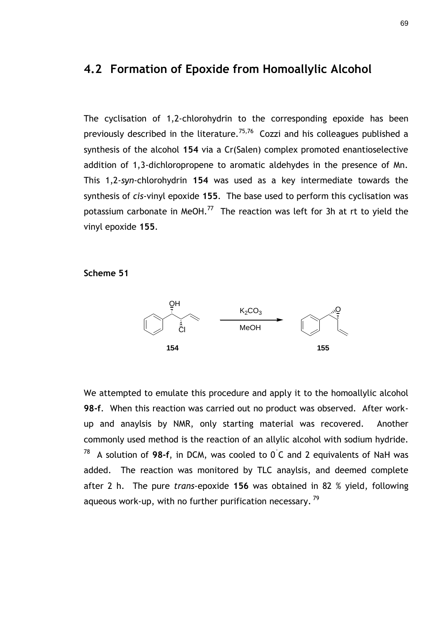#### **4.2 Formation of Epoxide from Homoallylic Alcohol**

The cyclisation of 1,2-chlorohydrin to the corresponding epoxide has been previously described in the literature.<sup>75,76</sup> Cozzi and his colleagues published a synthesis of the alcohol **154** via a Cr(Salen) complex promoted enantioselective addition of 1,3-dichloropropene to aromatic aldehydes in the presence of Mn. This 1,2-*syn*-chlorohydrin **154** was used as a key intermediate towards the synthesis of *cis*-vinyl epoxide **155**. The base used to perform this cyclisation was potassium carbonate in MeOH.<sup>77</sup> The reaction was left for 3h at rt to yield the vinyl epoxide **155**.

**Scheme 51**



We attempted to emulate this procedure and apply it to the homoallylic alcohol **98-f**. When this reaction was carried out no product was observed. After workup and anaylsis by NMR, only starting material was recovered. Another commonly used method is the reaction of an allylic alcohol with sodium hydride. 78 A solution of **98-f**, in DCM, was cooled to 0° C and 2 equivalents of NaH was added. The reaction was monitored by TLC anaylsis, and deemed complete after 2 h. The pure *trans*-epoxide **156** was obtained in 82 % yield, following aqueous work-up, with no further purification necessary. <sup>79</sup>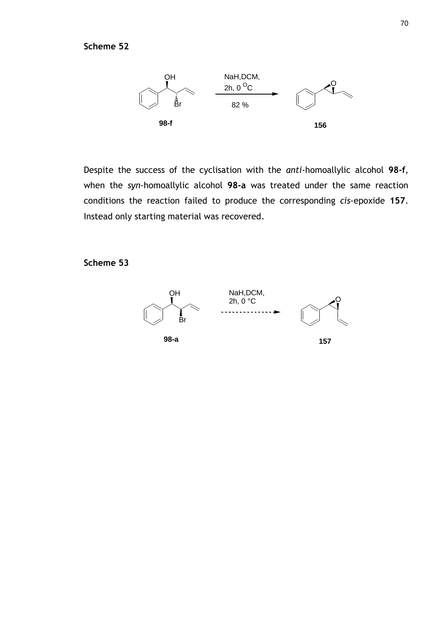

Despite the success of the cyclisation with the *anti*-homoallylic alcohol **98-f**, when the *syn*-homoallylic alcohol **98-a** was treated under the same reaction conditions the reaction failed to produce the corresponding *cis*-epoxide **157**. Instead only starting material was recovered.

#### **Scheme 53**

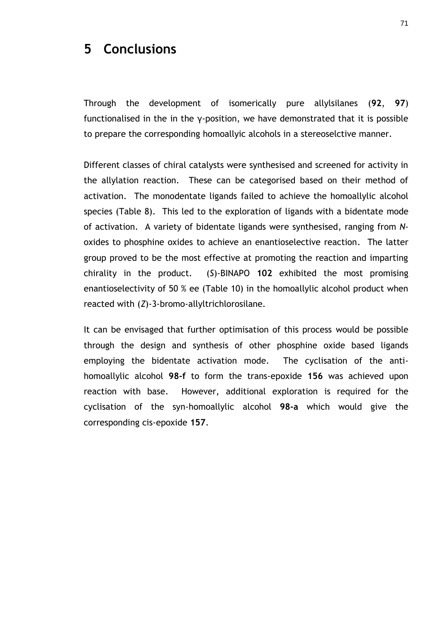# **5 Conclusions**

Through the development of isomerically pure allylsilanes (**92**, **97**) functionalised in the in the  $\gamma$ -position, we have demonstrated that it is possible to prepare the corresponding homoallyic alcohols in a stereoselctive manner.

Different classes of chiral catalysts were synthesised and screened for activity in the allylation reaction. These can be categorised based on their method of activation. The monodentate ligands failed to achieve the homoallylic alcohol species (Table 8). This led to the exploration of ligands with a bidentate mode of activation. A variety of bidentate ligands were synthesised, ranging from *N*oxides to phosphine oxides to achieve an enantioselective reaction. The latter group proved to be the most effective at promoting the reaction and imparting chirality in the product. (*S*)-BINAPO **102** exhibited the most promising enantioselectivity of 50 % ee (Table 10) in the homoallylic alcohol product when reacted with (*Z*)-3-bromo-allyltrichlorosilane.

It can be envisaged that further optimisation of this process would be possible through the design and synthesis of other phosphine oxide based ligands employing the bidentate activation mode. The cyclisation of the antihomoallylic alcohol **98-f** to form the trans-epoxide **156** was achieved upon reaction with base. However, additional exploration is required for the cyclisation of the syn-homoallylic alcohol **98-a** which would give the corresponding cis-epoxide **157**.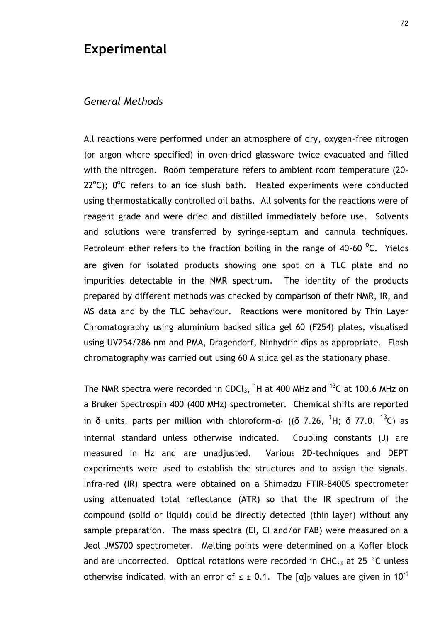# **Experimental**

# *General Methods*

All reactions were performed under an atmosphere of dry, oxygen-free nitrogen (or argon where specified) in oven-dried glassware twice evacuated and filled with the nitrogen. Room temperature refers to ambient room temperature (20-  $22^{\circ}$ C);  $0^{\circ}$ C refers to an ice slush bath. Heated experiments were conducted using thermostatically controlled oil baths. All solvents for the reactions were of reagent grade and were dried and distilled immediately before use. Solvents and solutions were transferred by syringe-septum and cannula techniques. Petroleum ether refers to the fraction boiling in the range of 40-60  $^{\circ}$ C. Yields are given for isolated products showing one spot on a TLC plate and no impurities detectable in the NMR spectrum. The identity of the products prepared by different methods was checked by comparison of their NMR, IR, and MS data and by the TLC behaviour. Reactions were monitored by Thin Layer Chromatography using aluminium backed silica gel 60 (F254) plates, visualised using UV254/286 nm and PMA, Dragendorf, Ninhydrin dips as appropriate. Flash chromatography was carried out using 60 A silica gel as the stationary phase.

The NMR spectra were recorded in CDCl<sub>3</sub>, <sup>1</sup>H at 400 MHz and <sup>13</sup>C at 100.6 MHz on a Bruker Spectrospin 400 (400 MHz) spectrometer. Chemical shifts are reported in δ units, parts per million with chloroform- $d_1$  ((δ 7.26, <sup>1</sup>H; δ 77.0, <sup>13</sup>C) as internal standard unless otherwise indicated. Coupling constants (J) are measured in Hz and are unadjusted. Various 2D-techniques and DEPT experiments were used to establish the structures and to assign the signals. Infra-red (IR) spectra were obtained on a Shimadzu FTIR-8400S spectrometer using attenuated total reflectance (ATR) so that the IR spectrum of the compound (solid or liquid) could be directly detected (thin layer) without any sample preparation. The mass spectra (EI, CI and/or FAB) were measured on a Jeol JMS700 spectrometer. Melting points were determined on a Kofler block and are uncorrected. Optical rotations were recorded in CHCl $_3$  at 25  $^\circ$ C unless otherwise indicated, with an error of  $\leq \pm 0.1$ . The  $\lceil \alpha \rceil_D$  values are given in 10<sup>-1</sup>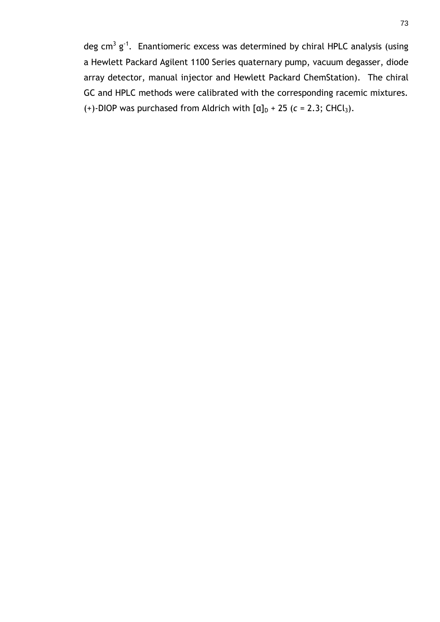deg cm<sup>3</sup> g<sup>-1</sup>. Enantiomeric excess was determined by chiral HPLC analysis (using a Hewlett Packard Agilent 1100 Series quaternary pump, vacuum degasser, diode array detector, manual injector and Hewlett Packard ChemStation). The chiral GC and HPLC methods were calibrated with the corresponding racemic mixtures. (+)-DIOP was purchased from Aldrich with  $\lceil \alpha \rceil_D$  + 25 (*c* = 2.3; CHCl<sub>3</sub>).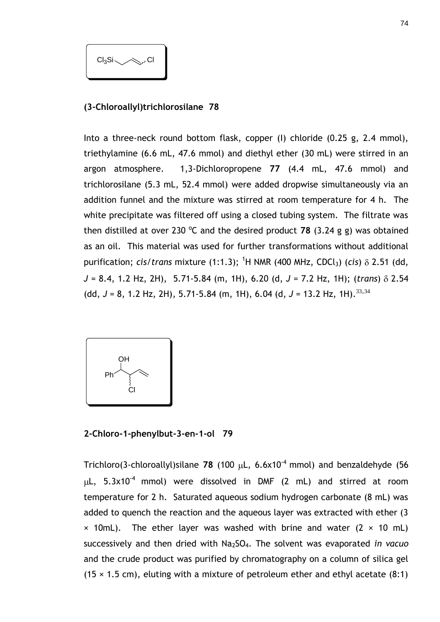

# **(3-Chloroallyl)trichlorosilane 78**

Into a three-neck round bottom flask, copper (I) chloride (0.25 g, 2.4 mmol), triethylamine (6.6 mL, 47.6 mmol) and diethyl ether (30 mL) were stirred in an argon atmosphere. 1,3-Dichloropropene **77** (4.4 mL, 47.6 mmol) and trichlorosilane (5.3 mL, 52.4 mmol) were added dropwise simultaneously via an addition funnel and the mixture was stirred at room temperature for 4 h. The white precipitate was filtered off using a closed tubing system. The filtrate was then distilled at over 230  $^{\circ}$ C and the desired product 78 (3.24 g g) was obtained as an oil. This material was used for further transformations without additional purification; *cis/trans* mixture (1:1.3); <sup>1</sup>H NMR (400 MHz, CDCl<sub>3</sub>) (*cis*)  $\delta$  2.51 (dd, *J* = 8.4, 1.2 Hz, 2H), 5.71-5.84 (m, 1H), 6.20 (d, *J* = 7.2 Hz, 1H); (*trans*) 2.54 (dd,  $J = 8$ , 1.2 Hz, 2H), 5.71-5.84 (m, 1H), 6.04 (d,  $J = 13.2$  Hz, 1H).<sup>[33](#page-40-0),[34](#page-40-1)</sup>



**2-Chloro-1-phenylbut-3-en-1-ol 79** 

Trichloro(3-chloroallyl)silane  $78$  (100  $\mu$ L, 6.6x10<sup>-4</sup> mmol) and benzaldehyde (56  $\mu$ L, 5.3x10<sup>-4</sup> mmol) were dissolved in DMF (2 mL) and stirred at room temperature for 2 h. Saturated aqueous sodium hydrogen carbonate (8 mL) was added to quench the reaction and the aqueous layer was extracted with ether (3  $\times$  10mL). The ether layer was washed with brine and water (2  $\times$  10 mL) successively and then dried with Na2SO4. The solvent was evaporated *in vacuo* and the crude product was purified by chromatography on a column of silica gel  $(15 \times 1.5 \text{ cm})$ , eluting with a mixture of petroleum ether and ethyl acetate (8:1)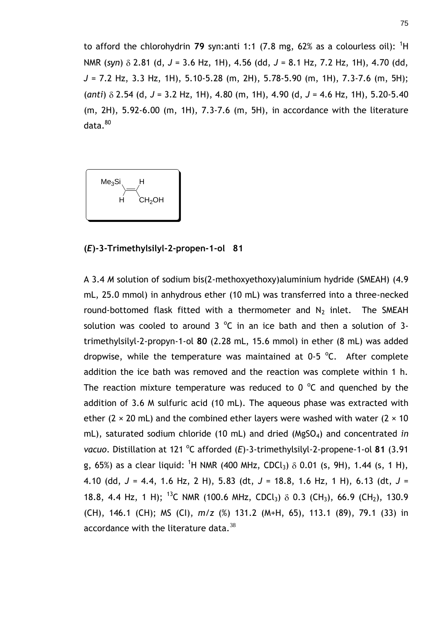to afford the chlorohydrin 79 syn: anti 1:1  $(7.8 \text{ mg}, 62\% \text{ as a colourless oil})$ :  $^{1}$ H NMR (*syn*) 2.81 (d, *J* = 3.6 Hz, 1H), 4.56 (dd, *J* = 8.1 Hz, 7.2 Hz, 1H), 4.70 (dd, *J* = 7.2 Hz, 3.3 Hz, 1H), 5.10-5.28 (m, 2H), 5.78-5.90 (m, 1H), 7.3-7.6 (m, 5H); (*anti*) 2.54 (d, *J* = 3.2 Hz, 1H), 4.80 (m, 1H), 4.90 (d, *J* = 4.6 Hz, 1H), 5.20-5.40 (m, 2H), 5.92-6.00 (m, 1H), 7.3-7.6 (m, 5H), in accordance with the literature data.<sup>80</sup>



#### **(***E***)-3-Trimethylsilyl-2-propen-1-ol 81**

A 3.4 *M* solution of sodium bis(2-methoxyethoxy)aluminium hydride (SMEAH) (4.9 mL, 25.0 mmol) in anhydrous ether (10 mL) was transferred into a three-necked round-bottomed flask fitted with a thermometer and  $N_2$  inlet. The SMEAH solution was cooled to around 3  $^{\circ}$ C in an ice bath and then a solution of 3trimethylsilyl-2-propyn-1-ol **80** (2.28 mL, 15.6 mmol) in ether (8 mL) was added dropwise, while the temperature was maintained at  $0.5$  °C. After complete addition the ice bath was removed and the reaction was complete within 1 h. The reaction mixture temperature was reduced to  $0^{\circ}$ C and quenched by the addition of 3.6 M sulfuric acid (10 mL). The aqueous phase was extracted with ether (2  $\times$  20 mL) and the combined ether layers were washed with water (2  $\times$  10 mL), saturated sodium chloride (10 mL) and dried (MgSO<sub>4</sub>) and concentrated *in* vacuo. Distillation at 121 °C afforded (E)-3-trimethylsilyl-2-propene-1-ol 81 (3.91 g, 65%) as a clear liquid: <sup>1</sup>H NMR (400 MHz, CDCl<sub>3</sub>)  $\delta$  0.01 (s, 9H), 1.44 (s, 1 H), 4.10 (dd, *J* = 4.4, 1.6 Hz, 2 H), 5.83 (dt, *J* = 18.8, 1.6 Hz, 1 H), 6.13 (dt, *J* = 18.8, 4.4 Hz, 1 H); <sup>13</sup>C NMR (100.6 MHz, CDCl<sub>3</sub>)  $\delta$  0.3 (CH<sub>3</sub>), 66.9 (CH<sub>2</sub>), 130.9 (CH), 146.1 (CH); MS (CI), *m/z* (%) 131.2 (M+H, 65), 113.1 (89), 79.1 (33) in accordance with the literature data. $38$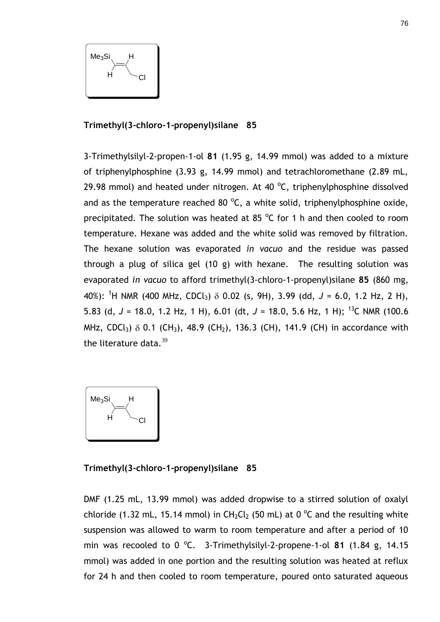

## **Trimethyl(3-chloro-1-propenyl)silane 85**

3-Trimethylsilyl-2-propen-1-ol **81** (1.95 g, 14.99 mmol) was added to a mixture of triphenylphosphine (3.93 g, 14.99 mmol) and tetrachloromethane (2.89 mL, 29.98 mmol) and heated under nitrogen. At 40  $^{\circ}$ C, triphenylphosphine dissolved and as the temperature reached 80  $^{\circ}$ C, a white solid, triphenylphosphine oxide, precipitated. The solution was heated at 85  $^{\circ}$ C for 1 h and then cooled to room temperature. Hexane was added and the white solid was removed by filtration. The hexane solution was evaporated *in vacuo* and the residue was passed through a plug of silica gel (10 g) with hexane. The resulting solution was evaporated *in vacuo* to afford trimethyl(3-chloro-1-propenyl)silane **85** (860 mg, 40%): <sup>1</sup>H NMR (400 MHz, CDCl<sub>3</sub>)  $\delta$  0.02 (s, 9H), 3.99 (dd, J = 6.0, 1.2 Hz, 2 H), 5.83 (d, *J* = 18.0, 1.2 Hz, 1 H), 6.01 (dt, *J* = 18.0, 5.6 Hz, 1 H); <sup>13</sup>C NMR (100.6 MHz, CDCl<sub>3</sub>)  $\delta$  0.1 (CH<sub>3</sub>), 48.9 (CH<sub>2</sub>), 136.3 (CH), 141.9 (CH) in accordance with the literature data. $39$ 



**Trimethyl(3-chloro-1-propenyl)silane 85**

DMF (1.25 mL, 13.99 mmol) was added dropwise to a stirred solution of oxalyl chloride (1.32 mL, 15.14 mmol) in  $CH_2Cl_2$  (50 mL) at 0 °C and the resulting white suspension was allowed to warm to room temperature and after a period of 10 min was recooled to 0 °C. 3-Trimethylsilyl-2-propene-1-ol 81 (1.84 g, 14.15 mmol) was added in one portion and the resulting solution was heated at reflux for 24 h and then cooled to room temperature, poured onto saturated aqueous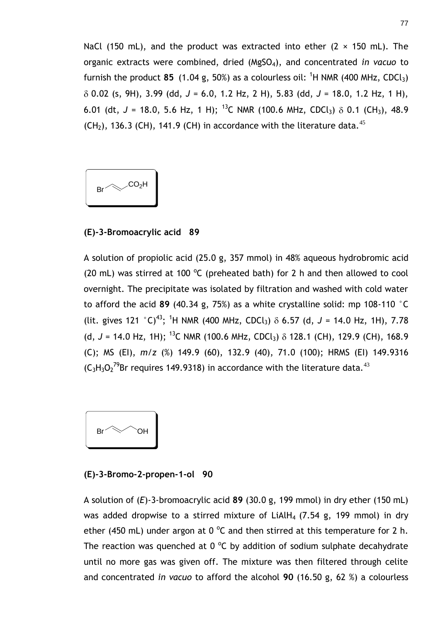NaCl (150 mL), and the product was extracted into ether  $(2 \times 150 \text{ mL})$ . The organic extracts were combined, dried (MgSO4), and concentrated *in vacuo* to furnish the product 85  $(1.04 \text{ g}, 50\%)$  as a colourless oil: <sup>1</sup>H NMR  $(400 \text{ MHz}, \text{CDCl}_3)$ 0.02 (s, 9H), 3.99 (dd, *J* = 6.0, 1.2 Hz, 2 H), 5.83 (dd, *J* = 18.0, 1.2 Hz, 1 H), 6.01 (dt,  $J = 18.0$ , 5.6 Hz, 1 H); <sup>13</sup>C NMR (100.6 MHz, CDCl<sub>3</sub>)  $\delta$  0.1 (CH<sub>3</sub>), 48.9  $(CH<sub>2</sub>)$ , 136.3 (CH), 141.9 (CH) in accordance with the literature data.<sup>[45](#page-46-0)</sup>



#### **(E)-3-Bromoacrylic acid 89**

A solution of propiolic acid (25.0 g, 357 mmol) in 48% aqueous hydrobromic acid (20 mL) was stirred at 100  $^{\circ}$ C (preheated bath) for 2 h and then allowed to cool overnight. The precipitate was isolated by filtration and washed with cold water to afford the acid **89** (40.34 g, 75%) as a white crystalline solid: mp 108-110 °C (lit. gives 121 °C)<sup>[43](#page-44-0)</sup>; <sup>1</sup>H NMR (400 MHz, CDCl<sub>3</sub>)  $\delta$  6.57 (d, J = 14.0 Hz, 1H), 7.78 (d,  $J = 14.0$  Hz, 1H); <sup>13</sup>C NMR (100.6 MHz, CDCl<sub>3</sub>)  $\delta$  128.1 (CH), 129.9 (CH), 168.9 (C); MS (EI), *m/z* (%) 149.9 (60), 132.9 (40), 71.0 (100); HRMS (EI) 149.9316  $(C_3H_3O_2^{79}$ Br requires 149.9318) in accordance with the literature data.<sup>[43](#page-44-0)</sup>



### **(E)-3-Bromo-2-propen-1-ol 90**

A solution of (*E*)-3-bromoacrylic acid **89** (30.0 g, 199 mmol) in dry ether (150 mL) was added dropwise to a stirred mixture of LiAlH<sub>4</sub> (7.54 g, 199 mmol) in dry ether (450 mL) under argon at 0  $^{\circ}$ C and then stirred at this temperature for 2 h. The reaction was quenched at  $0^{\circ}$ C by addition of sodium sulphate decahydrate until no more gas was given off. The mixture was then filtered through celite and concentrated *in vacuo* to afford the alcohol **90** (16.50 g, 62 %) a colourless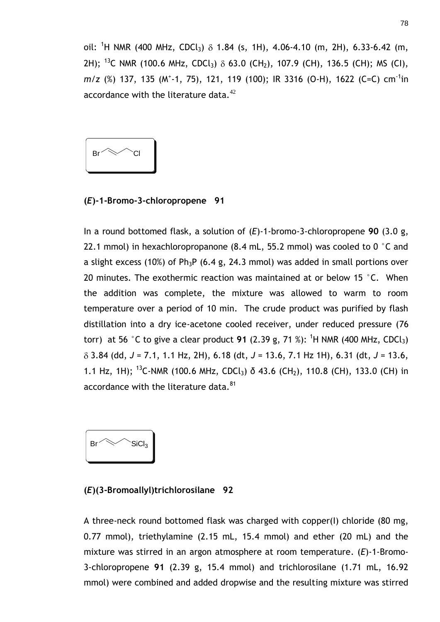oil: <sup>1</sup>H NMR (400 MHz, CDCl<sub>3</sub>)  $\delta$  1.84 (s, 1H), 4.06-4.10 (m, 2H), 6.33-6.42 (m, 2H); <sup>13</sup>C NMR (100.6 MHz, CDCl<sub>3</sub>)  $\delta$  63.0 (CH<sub>2</sub>), 107.9 (CH), 136.5 (CH); MS (CI), *m/z* (%) 137, 135 (M<sup>+</sup>-1, 75), 121, 119 (100); IR 3316 (O-H), 1622 (C=C) cm<sup>-1</sup>in accordance with the literature data. $42$ 



### **(***E***)-1-Bromo-3-chloropropene 91**

In a round bottomed flask, a solution of (*E*)-1-bromo-3-chloropropene **90** (3.0 g, 22.1 mmol) in hexachloropropanone (8.4 mL, 55.2 mmol) was cooled to 0 °C and a slight excess (10%) of  $Ph_3P$  (6.4 g, 24.3 mmol) was added in small portions over 20 minutes. The exothermic reaction was maintained at or below 15 °C. When the addition was complete, the mixture was allowed to warm to room temperature over a period of 10 min. The crude product was purified by flash distillation into a dry ice-acetone cooled receiver, under reduced pressure (76 torr) at 56 °C to give a clear product 91 (2.39 g, 71 %): <sup>1</sup>H NMR (400 MHz, CDCl<sub>3</sub>) 3.84 (dd, *J* = 7.1, 1.1 Hz, 2H), 6.18 (dt, *J* = 13.6, 7.1 Hz 1H), 6.31 (dt, *J* = 13.6, 1.1 Hz, 1H); <sup>13</sup>C-NMR (100.6 MHz, CDCl<sub>3</sub>)  $\delta$  43.6 (CH<sub>2</sub>), 110.8 (CH), 133.0 (CH) in accordance with the literature data.<sup>81</sup>

<span id="page-78-0"></span>

## **(***E***)(3-Bromoallyl)trichlorosilane 92**

A three-neck round bottomed flask was charged with copper(I) chloride (80 mg, 0.77 mmol), triethylamine (2.15 mL, 15.4 mmol) and ether (20 mL) and the mixture was stirred in an argon atmosphere at room temperature. (*E*)-1-Bromo-3-chloropropene **91** (2.39 g, 15.4 mmol) and trichlorosilane (1.71 mL, 16.92 mmol) were combined and added dropwise and the resulting mixture was stirred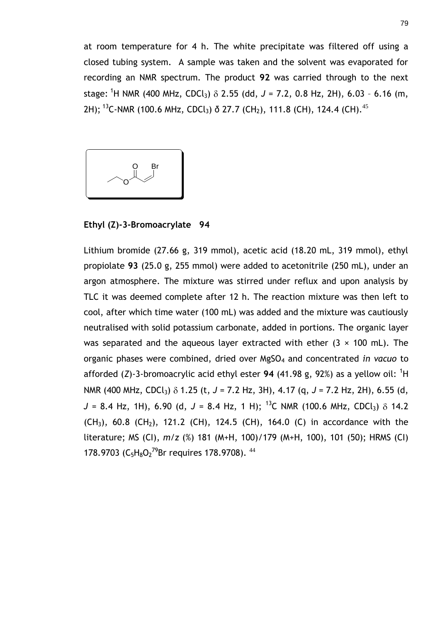at room temperature for 4 h. The white precipitate was filtered off using a closed tubing system. A sample was taken and the solvent was evaporated for recording an NMR spectrum. The product **92** was carried through to the next stage: <sup>1</sup>H NMR (400 MHz, CDCl3) 2.55 (dd, *J =* 7.2, 0.8 Hz, 2H), 6.03 – 6.16 (m, 2H);  $^{13}$ C-NMR (100.6 MHz, CDCl<sub>3</sub>) δ 27.7 (CH<sub>2</sub>), 111.8 (CH), 124.4 (CH).<sup>[45](#page-46-0)</sup>



**Ethyl (Z)-3-Bromoacrylate 94**

Lithium bromide (27.66 g, 319 mmol), acetic acid (18.20 mL, 319 mmol), ethyl propiolate **93** (25.0 g, 255 mmol) were added to acetonitrile (250 mL), under an argon atmosphere. The mixture was stirred under reflux and upon analysis by TLC it was deemed complete after 12 h. The reaction mixture was then left to cool, after which time water (100 mL) was added and the mixture was cautiously neutralised with solid potassium carbonate, added in portions. The organic layer was separated and the aqueous layer extracted with ether  $(3 \times 100 \text{ mL})$ . The organic phases were combined, dried over MgSO<sup>4</sup> and concentrated *in vacuo* to afforded (*Z*)-3-bromoacrylic acid ethyl ester **94** (41.98 g, 92%) as a yellow oil: <sup>1</sup>H NMR (400 MHz, CDCl<sub>3</sub>)  $\delta$  1.25 (t, J = 7.2 Hz, 3H), 4.17 (q, J = 7.2 Hz, 2H), 6.55 (d,  $J = 8.4$  Hz, 1H), 6.90 (d,  $J = 8.4$  Hz, 1 H); <sup>13</sup>C NMR (100.6 MHz, CDCl<sub>3</sub>)  $\delta$  14.2  $(CH_3)$ , 60.8  $(CH_2)$ , 121.2 (CH), 124.5 (CH), 164.0 (C) in accordance with the literature; MS (CI), *m/z* (%) 181 (M+H, 100)/179 (M+H, 100), 101 (50); HRMS (CI) 178.9703 (C<sub>5</sub>H<sub>8</sub>O<sub>2</sub><sup>79</sup>Br requires 178.9708).<sup>[44](#page-45-0)</sup>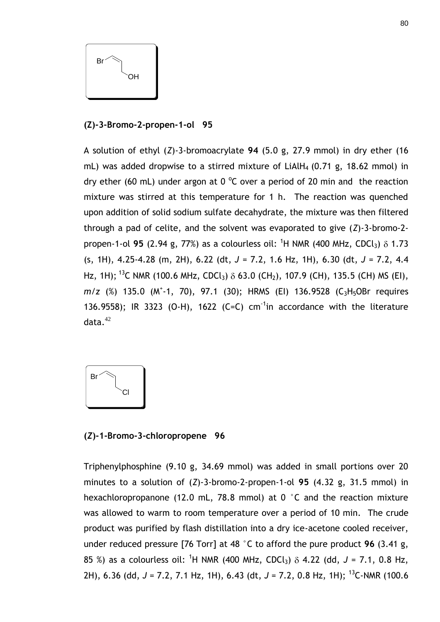

#### **(Z)-3-Bromo-2-propen-1-ol 95**

A solution of ethyl (*Z*)-3-bromoacrylate **94** (5.0 g, 27.9 mmol) in dry ether (16 mL) was added dropwise to a stirred mixture of LiAlH<sub>4</sub>  $(0.71 \text{ g}, 18.62 \text{ mmol})$  in dry ether (60 mL) under argon at 0  $^{\circ}$ C over a period of 20 min and the reaction mixture was stirred at this temperature for 1 h. The reaction was quenched upon addition of solid sodium sulfate decahydrate, the mixture was then filtered through a pad of celite, and the solvent was evaporated to give (*Z*)-3-bromo-2 propen-1-ol **95** (2.94 g, 77%) as a colourless oil: <sup>1</sup>H NMR (400 MHz, CDCl<sub>3</sub>)  $\delta$  1.73 (s, 1H), 4.25-4.28 (m, 2H), 6.22 (dt, *J =* 7.2, 1.6 Hz, 1H), 6.30 (dt, *J =* 7.2, 4.4 Hz, 1H); <sup>13</sup>C NMR (100.6 MHz, CDCl<sub>3</sub>)  $\delta$  63.0 (CH<sub>2</sub>), 107.9 (CH), 135.5 (CH) MS (EI), *m*/z (%) 135.0 (M<sup>+</sup>-1, 70), 97.1 (30); HRMS (EI) 136.9528 (C<sub>3</sub>H<sub>5</sub>OBr requires 136.9558); IR 3323 (O-H), 1622 (C=C)  $cm^{-1}$ in accordance with the literature data. $^{42}$  $^{42}$  $^{42}$ 



#### **(***Z***)-1-Bromo-3-chloropropene 96**

Triphenylphosphine (9.10 g, 34.69 mmol) was added in small portions over 20 minutes to a solution of (*Z*)-3-bromo-2-propen-1-ol **95** (4.32 g, 31.5 mmol) in hexachloropropanone (12.0 mL, 78.8 mmol) at 0 °C and the reaction mixture was allowed to warm to room temperature over a period of 10 min. The crude product was purified by flash distillation into a dry ice-acetone cooled receiver, under reduced pressure [76 Torr] at 48 °C to afford the pure product **96** (3.41 g, 85 %) as a colourless oil: <sup>1</sup>H NMR (400 MHz, CDCl<sub>3</sub>)  $\delta$  4.22 (dd, J = 7.1, 0.8 Hz, 2H), 6.36 (dd, *J =* 7.2, 7.1 Hz, 1H), 6.43 (dt, *J =* 7.2, 0.8 Hz, 1H); <sup>13</sup>C-NMR (100.6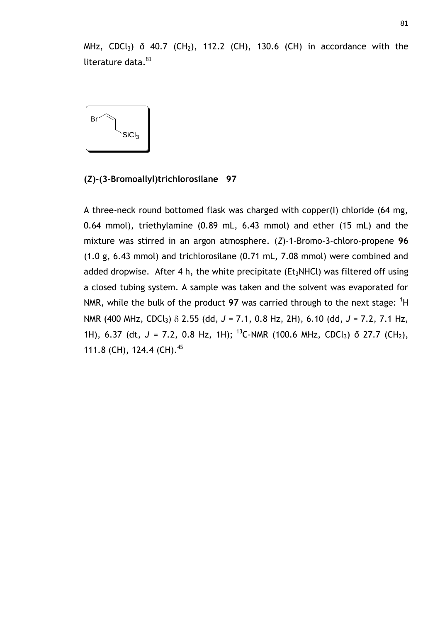MHz, CDCl<sub>3</sub>) δ 40.7 (CH<sub>2</sub>), 112.2 (CH), 130.6 (CH) in accordance with the literature data.  $^{81}$  $^{81}$  $^{81}$ 



## **(***Z***)-(3-Bromoallyl)trichlorosilane 97**

A three-neck round bottomed flask was charged with copper(I) chloride (64 mg, 0.64 mmol), triethylamine (0.89 mL, 6.43 mmol) and ether (15 mL) and the mixture was stirred in an argon atmosphere. (*Z*)-1-Bromo-3-chloro-propene **96** (1.0 g, 6.43 mmol) and trichlorosilane (0.71 mL, 7.08 mmol) were combined and added dropwise. After 4 h, the white precipitate ( $Et<sub>3</sub>NHCl$ ) was filtered off using a closed tubing system. A sample was taken and the solvent was evaporated for NMR, while the bulk of the product 97 was carried through to the next stage: <sup>1</sup>H NMR (400 MHz, CDCl3) 2.55 (dd, *J =* 7.1, 0.8 Hz, 2H), 6.10 (dd, *J =* 7.2, 7.1 Hz, 1H), 6.37 (dt, *J =* 7.2, 0.8 Hz, 1H); <sup>13</sup>C-NMR (100.6 MHz, CDCl3) δ 27.7 (CH2), 111.8 (CH), 124.4 (CH).  $45$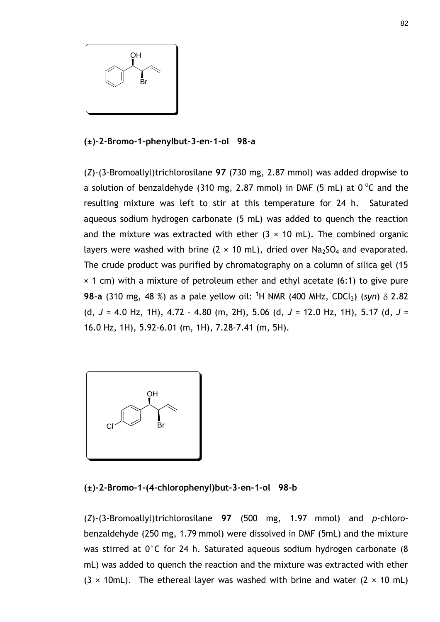

## **(±)-2-Bromo-1-phenylbut-3-en-1-ol 98-a**

(*Z*)-(3-Bromoallyl)trichlorosilane **97** (730 mg, 2.87 mmol) was added dropwise to a solution of benzaldehyde (310 mg, 2.87 mmol) in DMF (5 mL) at  $0^{\circ}$ C and the resulting mixture was left to stir at this temperature for 24 h. Saturated aqueous sodium hydrogen carbonate (5 mL) was added to quench the reaction and the mixture was extracted with ether  $(3 \times 10 \text{ mL})$ . The combined organic layers were washed with brine  $(2 \times 10 \text{ mL})$ , dried over Na<sub>2</sub>SO<sub>4</sub> and evaporated. The crude product was purified by chromatography on a column of silica gel (15  $\times$  1 cm) with a mixture of petroleum ether and ethyl acetate (6:1) to give pure **98-a** (310 mg, 48 %) as a pale yellow oil: <sup>1</sup>H NMR (400 MHz, CDCl<sub>3</sub>) (*syn*)  $\delta$  2.82 (d, *J* = 4.0 Hz, 1H), 4.72 – 4.80 (m, 2H), 5.06 (d, *J* = 12.0 Hz, 1H), 5.17 (d, *J* = 16.0 Hz, 1H), 5.92-6.01 (m, 1H), 7.28-7.41 (m, 5H).



**(±)-2-Bromo-1-(4-chlorophenyl)but-3-en-1-ol 98-b**

(*Z*)-(3-Bromoallyl)trichlorosilane **97** (500 mg, 1.97 mmol) and *p*-chlorobenzaldehyde (250 mg, 1.79 mmol) were dissolved in DMF (5mL) and the mixture was stirred at 0°C for 24 h. Saturated aqueous sodium hydrogen carbonate (8 mL) was added to quench the reaction and the mixture was extracted with ether  $(3 \times 10 \text{ mL})$ . The ethereal layer was washed with brine and water  $(2 \times 10 \text{ mL})$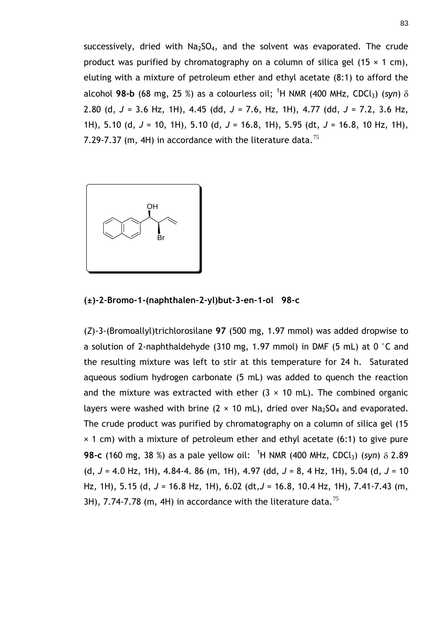successively, dried with  $Na<sub>2</sub>SO<sub>4</sub>$ , and the solvent was evaporated. The crude product was purified by chromatography on a column of silica gel  $(15 \times 1 \text{ cm})$ , eluting with a mixture of petroleum ether and ethyl acetate (8:1) to afford the alcohol **98-b** (68 mg, 25 %) as a colourless oil; <sup>1</sup>H NMR (400 MHz, CDCl<sub>3</sub>) (*syn*)  $\delta$ 2.80 (d, *J* = 3.6 Hz, 1H), 4.45 (dd, *J* = 7.6, Hz, 1H), 4.77 (dd, *J* = 7.2, 3.6 Hz, 1H), 5.10 (d, *J* = 10, 1H), 5.10 (d, *J* = 16.8, 1H), 5.95 (dt, *J* = 16.8, 10 Hz, 1H), 7.29-7.37 (m, 4H) in accordance with the literature data.<sup>[75](#page-69-0)</sup>



**(±)-2-Bromo-1-(naphthalen-2-yl)but-3-en-1-ol 98-c**

(*Z*)-3-(Bromoallyl)trichlorosilane **97** (500 mg, 1.97 mmol) was added dropwise to a solution of 2-naphthaldehyde (310 mg, 1.97 mmol) in DMF (5 mL) at 0 °C and the resulting mixture was left to stir at this temperature for 24 h. Saturated aqueous sodium hydrogen carbonate (5 mL) was added to quench the reaction and the mixture was extracted with ether  $(3 \times 10 \text{ mL})$ . The combined organic layers were washed with brine  $(2 \times 10 \text{ mL})$ , dried over Na<sub>2</sub>SO<sub>4</sub> and evaporated. The crude product was purified by chromatography on a column of silica gel (15  $\times$  1 cm) with a mixture of petroleum ether and ethyl acetate (6:1) to give pure **98-c** (160 mg, 38 %) as a pale yellow oil: <sup>1</sup>H NMR (400 MHz, CDCl<sub>3</sub>) (*syn*)  $\delta$  2.89 (d, *J* = 4.0 Hz, 1H), 4.84-4. 86 (m, 1H), 4.97 (dd, *J* = 8, 4 Hz, 1H), 5.04 (d, *J* = 10 Hz, 1H), 5.15 (d, *J* = 16.8 Hz, 1H), 6.02 (dt,*J* = 16.8, 10.4 Hz, 1H), 7.41-7.43 (m, 3H), 7.74-7.78 (m, 4H) in accordance with the literature data.<sup>[75](#page-69-0)</sup>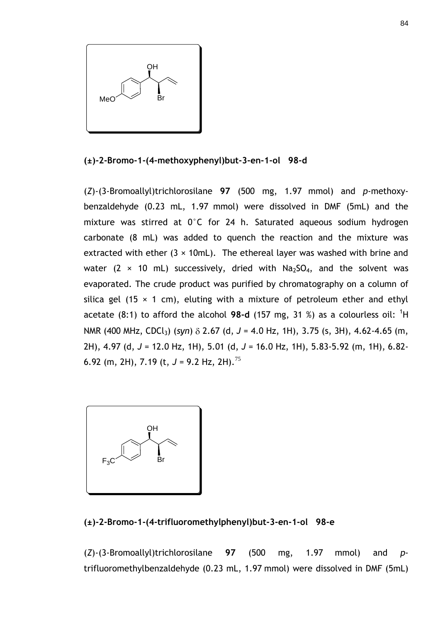

**(±)-2-Bromo-1-(4-methoxyphenyl)but-3-en-1-ol 98-d**

(*Z*)-(3-Bromoallyl)trichlorosilane **97** (500 mg, 1.97 mmol) and *p*-methoxybenzaldehyde (0.23 mL, 1.97 mmol) were dissolved in DMF (5mL) and the mixture was stirred at 0°C for 24 h. Saturated aqueous sodium hydrogen carbonate (8 mL) was added to quench the reaction and the mixture was extracted with ether  $(3 \times 10 \text{mL})$ . The ethereal layer was washed with brine and water  $(2 \times 10 \text{ mL})$  successively, dried with Na<sub>2</sub>SO<sub>4</sub>, and the solvent was evaporated. The crude product was purified by chromatography on a column of silica gel (15  $\times$  1 cm), eluting with a mixture of petroleum ether and ethyl acetate (8:1) to afford the alcohol **98-d** (157 mg, 31 %) as a colourless oil: <sup>1</sup>H NMR (400 MHz, CDCl3) (*syn*) 2.67 (d, *J* = 4.0 Hz, 1H), 3.75 (s, 3H), 4.62-4.65 (m, 2H), 4.97 (d, *J* = 12.0 Hz, 1H), 5.01 (d, *J* = 16.0 Hz, 1H), 5.83-5.92 (m, 1H), 6.82- 6.92 (m, 2H), 7.19 (t,  $J = 9.2$  Hz, 2H).<sup>[75](#page-69-0)</sup>



**(±)-2-Bromo-1-(4-trifluoromethylphenyl)but-3-en-1-ol 98-e**

(*Z*)-(3-Bromoallyl)trichlorosilane **97** (500 mg, 1.97 mmol) and *p*trifluoromethylbenzaldehyde (0.23 mL, 1.97 mmol) were dissolved in DMF (5mL)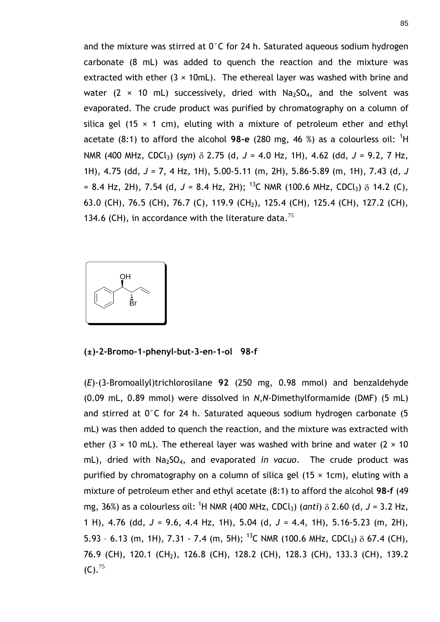and the mixture was stirred at  $0^{\circ}$ C for 24 h. Saturated aqueous sodium hydrogen carbonate (8 mL) was added to quench the reaction and the mixture was extracted with ether  $(3 \times 10 \text{mL})$ . The ethereal layer was washed with brine and water  $(2 \times 10 \text{ mL})$  successively, dried with Na<sub>2</sub>SO<sub>4</sub>, and the solvent was evaporated. The crude product was purified by chromatography on a column of silica gel (15  $\times$  1 cm), eluting with a mixture of petroleum ether and ethyl acetate (8:1) to afford the alcohol **98-e** (280 mg, 46 %) as a colourless oil: <sup>1</sup>H NMR (400 MHz, CDCl3) (*syn*) 2.75 (d, *J* = 4.0 Hz, 1H), 4.62 (dd, *J* = 9.2, 7 Hz, 1H), 4.75 (dd, *J* = 7, 4 Hz, 1H), 5.00-5.11 (m, 2H), 5.86-5.89 (m, 1H), 7.43 (d, *J* = 8.4 Hz, 2H), 7.54 (d,  $J = 8.4$  Hz, 2H); <sup>13</sup>C NMR (100.6 MHz, CDCl<sub>3</sub>)  $\delta$  14.2 (C), 63.0 (CH), 76.5 (CH), 76.7 (C), 119.9 (CH2), 125.4 (CH), 125.4 (CH), 127.2 (CH), 134.6 (CH), in accordance with the literature data.<sup>[75](#page-69-0)</sup>



**(±)-2-Bromo-1-phenyl-but-3-en-1-ol 98-f**

(*E*)-(3-Bromoallyl)trichlorosilane **92** (250 mg, 0.98 mmol) and benzaldehyde (0.09 mL, 0.89 mmol) were dissolved in *N,N*-Dimethylformamide (DMF) (5 mL) and stirred at 0°C for 24 h. Saturated aqueous sodium hydrogen carbonate (5 mL) was then added to quench the reaction, and the mixture was extracted with ether (3  $\times$  10 mL). The ethereal layer was washed with brine and water (2  $\times$  10 mL), dried with Na<sub>2</sub>SO<sub>4</sub>, and evaporated *in vacuo*. The crude product was purified by chromatography on a column of silica gel  $(15 \times 1$ cm), eluting with a mixture of petroleum ether and ethyl acetate (8:1) to afford the alcohol **98-f** (49 mg, 36%) as a colourless oil: <sup>1</sup>H NMR (400 MHz, CDCl<sub>3</sub>) (*anti*)  $\delta$  2.60 (d, J = 3.2 Hz, 1 H), 4.76 (dd, *J* = 9.6, 4.4 Hz, 1H), 5.04 (d, *J* = 4.4, 1H), 5.16-5.23 (m, 2H), 5.93 - 6.13 (m, 1H), 7.31 - 7.4 (m, 5H); <sup>13</sup>C NMR (100.6 MHz, CDCl<sub>3</sub>)  $\delta$  67.4 (CH), 76.9 (CH), 120.1 (CH<sub>2</sub>), 126.8 (CH), 128.2 (CH), 128.3 (CH), 133.3 (CH), 139.2  $(C).^{75}$  $(C).^{75}$  $(C).^{75}$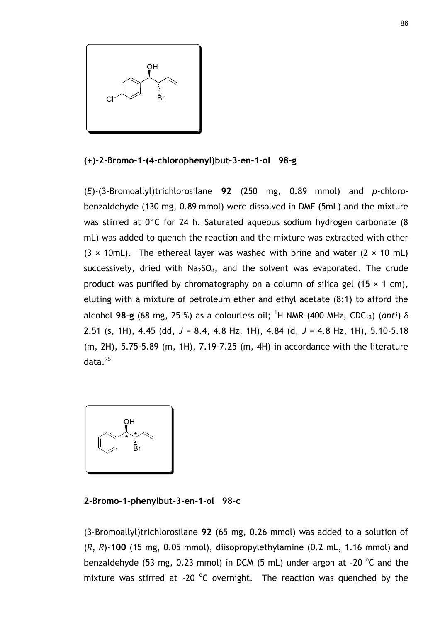

## **(±)-2-Bromo-1-(4-chlorophenyl)but-3-en-1-ol 98-g**

(*E*)-(3-Bromoallyl)trichlorosilane **92** (250 mg, 0.89 mmol) and *p*-chlorobenzaldehyde (130 mg, 0.89 mmol) were dissolved in DMF (5mL) and the mixture was stirred at 0°C for 24 h. Saturated aqueous sodium hydrogen carbonate (8 mL) was added to quench the reaction and the mixture was extracted with ether  $(3 \times 10$ mL). The ethereal layer was washed with brine and water  $(2 \times 10 \text{ mL})$ successively, dried with  $Na<sub>2</sub>SO<sub>4</sub>$ , and the solvent was evaporated. The crude product was purified by chromatography on a column of silica gel  $(15 \times 1 \text{ cm})$ , eluting with a mixture of petroleum ether and ethyl acetate (8:1) to afford the alcohol **98-g** (68 mg, 25 %) as a colourless oil; <sup>1</sup>H NMR (400 MHz, CDCl<sub>3</sub>) (*anti*)  $\delta$ 2.51 (s, 1H), 4.45 (dd, *J* = 8.4, 4.8 Hz, 1H), 4.84 (d, *J* = 4.8 Hz, 1H), 5.10-5.18 (m, 2H), 5.75-5.89 (m, 1H), 7.19-7.25 (m, 4H) in accordance with the literature data. $75$ 



**2-Bromo-1-phenylbut-3-en-1-ol 98-c**

(3-Bromoallyl)trichlorosilane **92** (65 mg, 0.26 mmol) was added to a solution of (*R*, *R*)-**100** (15 mg, 0.05 mmol), diisopropylethylamine (0.2 mL, 1.16 mmol) and benzaldehyde (53 mg, 0.23 mmol) in DCM (5 mL) under argon at -20  $^{\circ}$ C and the mixture was stirred at -20  $^{\circ}$ C overnight. The reaction was quenched by the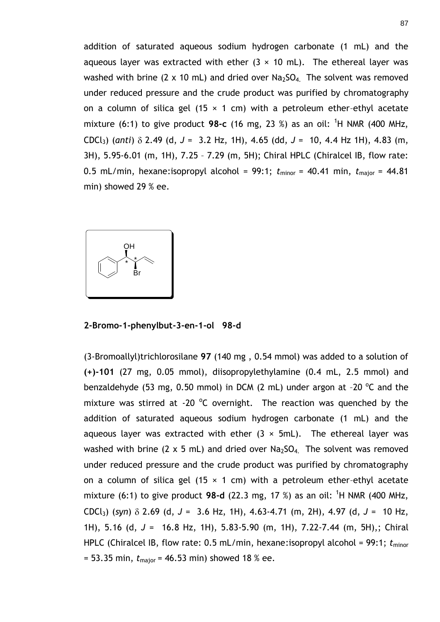addition of saturated aqueous sodium hydrogen carbonate (1 mL) and the aqueous layer was extracted with ether  $(3 \times 10 \text{ mL})$ . The ethereal layer was washed with brine (2 x 10 mL) and dried over  $Na<sub>2</sub>SO<sub>4</sub>$ . The solvent was removed under reduced pressure and the crude product was purified by chromatography on a column of silica gel (15  $\times$  1 cm) with a petroleum ether-ethyl acetate mixture (6:1) to give product **98-c** (16 mg, 23 %) as an oil: <sup>1</sup>H NMR (400 MHz, CDCl3) (*anti*) 2.49 (d, *J* = 3.2 Hz, 1H), 4.65 (dd, *J* = 10, 4.4 Hz 1H), 4.83 (m, 3H), 5.95-6.01 (m, 1H), 7.25 – 7.29 (m, 5H); Chiral HPLC (Chiralcel IB, flow rate: 0.5 mL/min, hexane:isopropyl alcohol = 99:1;  $t_{minor}$  = 40.41 min,  $t_{major}$  = 44.81 min) showed 29 % ee.



**2-Bromo-1-phenylbut-3-en-1-ol 98-d**

(3-Bromoallyl)trichlorosilane **97** (140 mg , 0.54 mmol) was added to a solution of **(+)-101** (27 mg, 0.05 mmol), diisopropylethylamine (0.4 mL, 2.5 mmol) and benzaldehyde (53 mg,  $0.50$  mmol) in DCM (2 mL) under argon at -20  $^{\circ}$ C and the mixture was stirred at -20  $^{\circ}$ C overnight. The reaction was quenched by the addition of saturated aqueous sodium hydrogen carbonate (1 mL) and the aqueous layer was extracted with ether  $(3 \times 5mL)$ . The ethereal layer was washed with brine (2 x 5 mL) and dried over  $Na<sub>2</sub>SO<sub>4</sub>$ . The solvent was removed under reduced pressure and the crude product was purified by chromatography on a column of silica gel (15  $\times$  1 cm) with a petroleum ether-ethyl acetate mixture (6:1) to give product **98-d** (22.3 mg, 17 %) as an oil: <sup>1</sup>H NMR (400 MHz, CDCl<sub>3</sub>) (*syn*)  $\delta$  2.69 (d, J = 3.6 Hz, 1H), 4.63-4.71 (m, 2H), 4.97 (d, J = 10 Hz, 1H), 5.16 (d, *J* = 16.8 Hz, 1H), 5.83-5.90 (m, 1H), 7.22-7.44 (m, 5H),; Chiral HPLC (Chiralcel IB, flow rate: 0.5 mL/min, hexane:isopropyl alcohol = 99:1;  $t_{\text{minor}}$  $= 53.35$  min,  $t_{\text{major}} = 46.53$  min) showed 18 % ee.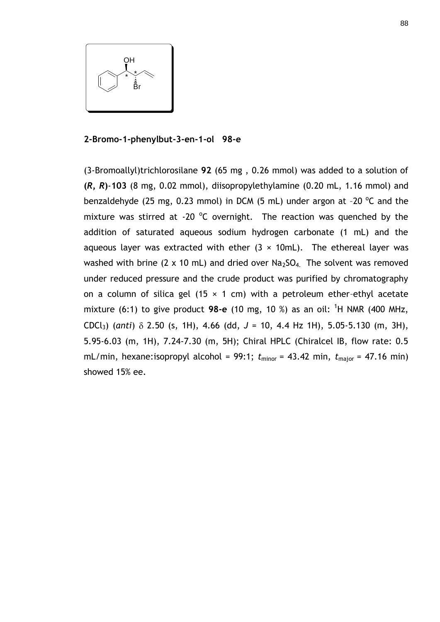

### **2-Bromo-1-phenylbut-3-en-1-ol 98-e**

(3-Bromoallyl)trichlorosilane **92** (65 mg , 0.26 mmol) was added to a solution of **(***R***,** *R***)**-**103** (8 mg, 0.02 mmol), diisopropylethylamine (0.20 mL, 1.16 mmol) and benzaldehyde (25 mg, 0.23 mmol) in DCM (5 mL) under argon at -20  $^{\circ}$ C and the mixture was stirred at -20  $\degree$ C overnight. The reaction was quenched by the addition of saturated aqueous sodium hydrogen carbonate (1 mL) and the aqueous layer was extracted with ether  $(3 \times 10$ mL). The ethereal layer was washed with brine (2 x 10 mL) and dried over  $Na<sub>2</sub>SO<sub>4</sub>$ . The solvent was removed under reduced pressure and the crude product was purified by chromatography on a column of silica gel (15  $\times$  1 cm) with a petroleum ether-ethyl acetate mixture (6:1) to give product **98-e** (10 mg, 10 %) as an oil: <sup>1</sup>H NMR (400 MHz, CDCl3) (*anti*) 2.50 (s, 1H), 4.66 (dd, *J* = 10, 4.4 Hz 1H), 5.05-5.130 (m, 3H), 5.95-6.03 (m, 1H), 7.24-7.30 (m, 5H); Chiral HPLC (Chiralcel IB, flow rate: 0.5 mL/min, hexane:isopropyl alcohol = 99:1;  $t_{\text{minor}}$  = 43.42 min,  $t_{\text{major}}$  = 47.16 min) showed 15% ee.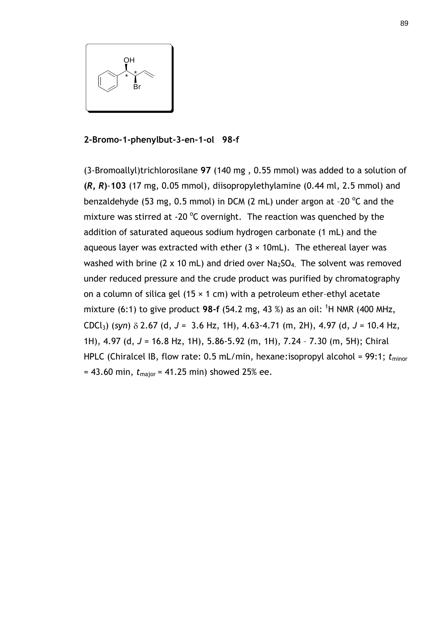

### **2-Bromo-1-phenylbut-3-en-1-ol 98-f**

(3-Bromoallyl)trichlorosilane **97** (140 mg , 0.55 mmol) was added to a solution of **(***R***,** *R***)**-**103** (17 mg, 0.05 mmol), diisopropylethylamine (0.44 ml, 2.5 mmol) and benzaldehyde (53 mg, 0.5 mmol) in DCM (2 mL) under argon at -20  $^{\circ}$ C and the mixture was stirred at -20 °C overnight. The reaction was quenched by the addition of saturated aqueous sodium hydrogen carbonate (1 mL) and the aqueous layer was extracted with ether  $(3 \times 10 \text{ mL})$ . The ethereal layer was washed with brine (2 x 10 mL) and dried over  $Na<sub>2</sub>SO<sub>4</sub>$ . The solvent was removed under reduced pressure and the crude product was purified by chromatography on a column of silica gel (15  $\times$  1 cm) with a petroleum ether-ethyl acetate mixture (6:1) to give product **98-f** (54.2 mg, 43 %) as an oil: <sup>1</sup>H NMR (400 MHz, CDCl3) (*syn*) 2.67 (d, *J* = 3.6 Hz, 1H), 4.63-4.71 (m, 2H), 4.97 (d, *J* = 10.4 Hz, 1H), 4.97 (d, *J* = 16.8 Hz, 1H), 5.86-5.92 (m, 1H), 7.24 – 7.30 (m, 5H); Chiral HPLC (Chiralcel IB, flow rate: 0.5 mL/min, hexane:isopropyl alcohol = 99:1;  $t_{\text{minor}}$  $= 43.60$  min,  $t_{\text{major}} = 41.25$  min) showed 25% ee.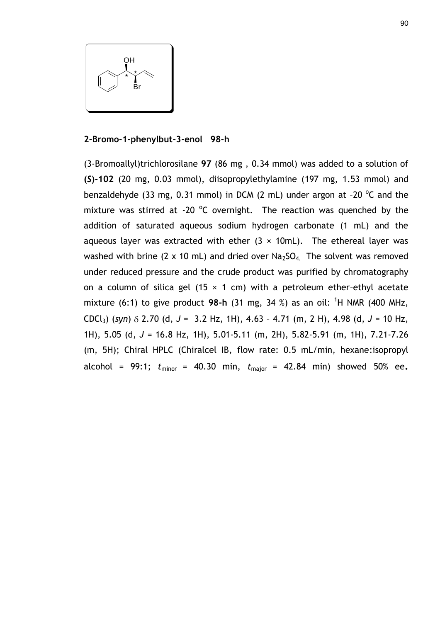

## **2-Bromo-1-phenylbut-3-enol 98-h**

(3-Bromoallyl)trichlorosilane **97** (86 mg , 0.34 mmol) was added to a solution of **(***S***)-102** (20 mg, 0.03 mmol), diisopropylethylamine (197 mg, 1.53 mmol) and benzaldehyde (33 mg,  $0.31$  mmol) in DCM (2 mL) under argon at -20  $^{\circ}$ C and the mixture was stirred at -20  $\degree$ C overnight. The reaction was quenched by the addition of saturated aqueous sodium hydrogen carbonate (1 mL) and the aqueous layer was extracted with ether  $(3 \times 10 \text{ mL})$ . The ethereal layer was washed with brine (2 x 10 mL) and dried over  $Na<sub>2</sub>SO<sub>4</sub>$ . The solvent was removed under reduced pressure and the crude product was purified by chromatography on a column of silica gel (15  $\times$  1 cm) with a petroleum ether-ethyl acetate mixture (6:1) to give product **98-h** (31 mg, 34 %) as an oil: <sup>1</sup>H NMR (400 MHz, CDCl<sub>3</sub>) (*syn*)  $\delta$  2.70 (d, J = 3.2 Hz, 1H), 4.63 - 4.71 (m, 2 H), 4.98 (d, J = 10 Hz, 1H), 5.05 (d, *J* = 16.8 Hz, 1H), 5.01-5.11 (m, 2H), 5.82-5.91 (m, 1H), 7.21-7.26 (m, 5H); Chiral HPLC (Chiralcel IB, flow rate: 0.5 mL/min, hexane:isopropyl alcohol = 99:1;  $t_{minor}$  = 40.30 min,  $t_{major}$  = 42.84 min) showed 50% ee.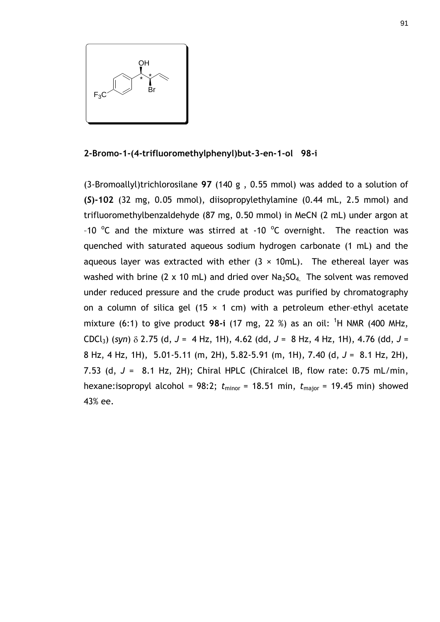

## **2-Bromo-1-(4-trifluoromethylphenyl)but-3-en-1-ol 98-i**

(3-Bromoallyl)trichlorosilane **97** (140 g , 0.55 mmol) was added to a solution of **(***S***)-102** (32 mg, 0.05 mmol), diisopropylethylamine (0.44 mL, 2.5 mmol) and trifluoromethylbenzaldehyde (87 mg, 0.50 mmol) in MeCN (2 mL) under argon at -10 °C and the mixture was stirred at -10 °C overnight. The reaction was quenched with saturated aqueous sodium hydrogen carbonate (1 mL) and the aqueous layer was extracted with ether  $(3 \times 10 \text{ mL})$ . The ethereal layer was washed with brine (2 x 10 mL) and dried over  $Na<sub>2</sub>SO<sub>4</sub>$ . The solvent was removed under reduced pressure and the crude product was purified by chromatography on a column of silica gel (15  $\times$  1 cm) with a petroleum ether-ethyl acetate mixture (6:1) to give product **98-i** (17 mg, 22 %) as an oil: <sup>1</sup>H NMR (400 MHz, CDCl3) (*syn*) 2.75 (d, *J* = 4 Hz, 1H), 4.62 (dd, *J* = 8 Hz, 4 Hz, 1H), 4.76 (dd, *J* = 8 Hz, 4 Hz, 1H), 5.01-5.11 (m, 2H), 5.82-5.91 (m, 1H), 7.40 (d, *J* = 8.1 Hz, 2H), 7.53 (d, *J* = 8.1 Hz, 2H); Chiral HPLC (Chiralcel IB, flow rate: 0.75 mL/min, hexane:isopropyl alcohol = 98:2;  $t_{\text{minor}}$  = 18.51 min,  $t_{\text{major}}$  = 19.45 min) showed 43% ee.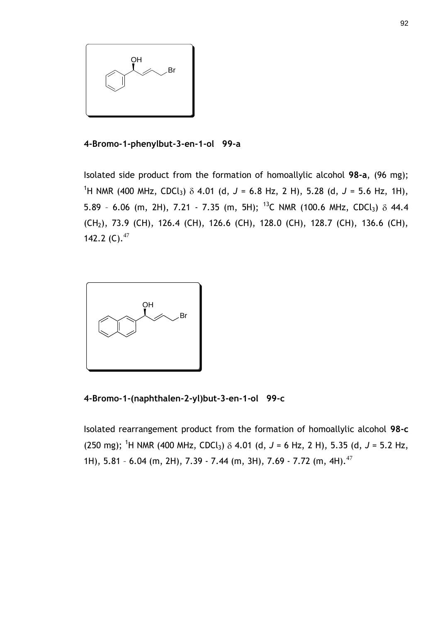

**4-Bromo-1-phenylbut-3-en-1-ol 99-a**

Isolated side product from the formation of homoallylic alcohol **98-a**, (96 mg); <sup>1</sup>H NMR (400 MHz, CDCl<sub>3</sub>)  $\delta$  4.01 (d, J = 6.8 Hz, 2 H), 5.28 (d, J = 5.6 Hz, 1H), 5.89 - 6.06 (m, 2H), 7.21 - 7.35 (m, 5H); <sup>13</sup>C NMR (100.6 MHz, CDCl<sub>3</sub>)  $\delta$  44.4 (CH2), 73.9 (CH), 126.4 (CH), 126.6 (CH), 128.0 (CH), 128.7 (CH), 136.6 (CH), 142.2  $(C).^{47}$  $(C).^{47}$  $(C).^{47}$ 



**4-Bromo-1-(naphthalen-2-yl)but-3-en-1-ol 99-c**

Isolated rearrangement product from the formation of homoallylic alcohol **98-c**   $(250 \text{ mg})$ ; <sup>1</sup>H NMR (400 MHz, CDCl<sub>3</sub>)  $\delta$  4.01 (d, J = 6 Hz, 2 H), 5.35 (d, J = 5.2 Hz, 1H), 5.81 - 6.04 (m, 2H), 7.39 - 7.44 (m, 3H), 7.69 - 7.72 (m, 4H).<sup>[47](#page-48-0)</sup>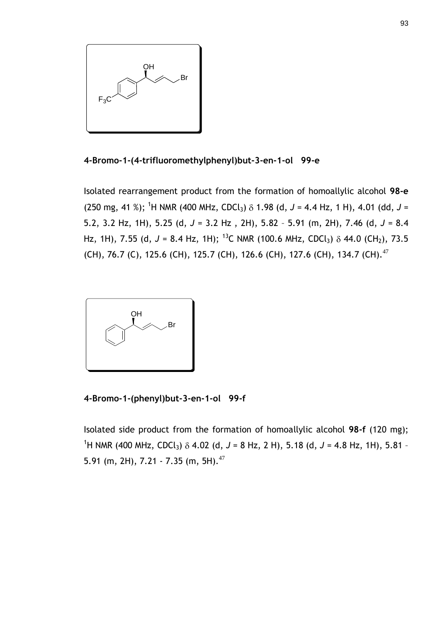

**4-Bromo-1-(4-trifluoromethylphenyl)but-3-en-1-ol 99-e**

Isolated rearrangement product from the formation of homoallylic alcohol **98-e**   $(250 \text{ mg}, 41 \text{ %});$ <sup>1</sup>H NMR (400 MHz, CDCl<sub>3</sub>)  $\delta$  1.98 (d, *J* = 4.4 Hz, 1 H), 4.01 (dd, *J* = 5.2, 3.2 Hz, 1H), 5.25 (d, *J* = 3.2 Hz , 2H), 5.82 – 5.91 (m, 2H), 7.46 (d, *J* = 8.4 Hz, 1H), 7.55 (d,  $J = 8.4$  Hz, 1H); <sup>13</sup>C NMR (100.6 MHz, CDCl<sub>3</sub>)  $\delta$  44.0 (CH<sub>2</sub>), 73.5 (CH), 76.7 (C), 125.6 (CH), 125.7 (CH), 126.6 (CH), 127.6 (CH), 134.7 (CH).<sup>[47](#page-48-0)</sup>



**4-Bromo-1-(phenyl)but-3-en-1-ol 99-f**

Isolated side product from the formation of homoallylic alcohol **98-f** (120 mg); <sup>1</sup>H NMR (400 MHz, CDCl<sub>3</sub>)  $\delta$  4.02 (d, J = 8 Hz, 2 H), 5.18 (d, J = 4.8 Hz, 1H), 5.81 -5.91 (m, 2H), 7.21 - 7.35 (m, 5H). $^{47}$  $^{47}$  $^{47}$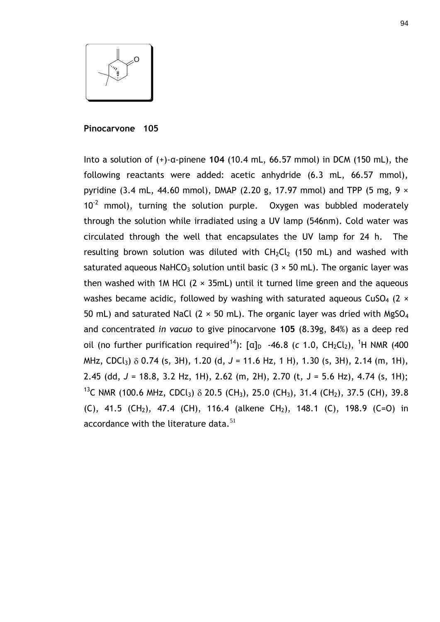

#### **Pinocarvone 105**

Into a solution of (+)-α-pinene **104** (10.4 mL, 66.57 mmol) in DCM (150 mL), the following reactants were added: acetic anhydride (6.3 mL, 66.57 mmol), pyridine (3.4 mL, 44.60 mmol), DMAP (2.20 g, 17.97 mmol) and TPP (5 mg, 9  $\times$  $10^{-2}$  mmol), turning the solution purple. Oxygen was bubbled moderately through the solution while irradiated using a UV lamp (546nm). Cold water was circulated through the well that encapsulates the UV lamp for 24 h. The resulting brown solution was diluted with  $CH_2Cl_2$  (150 mL) and washed with saturated aqueous NaHCO<sub>3</sub> solution until basic  $(3 \times 50 \text{ mL})$ . The organic layer was then washed with 1M HCl  $(2 \times 35m)$  until it turned lime green and the aqueous washes became acidic, followed by washing with saturated aqueous CuSO<sub>4</sub> ( $2 \times$ 50 mL) and saturated NaCl ( $2 \times 50$  mL). The organic layer was dried with MgSO<sub>4</sub> and concentrated *in vacuo* to give pinocarvone **105** (8.39g, 84%) as a deep red oil (no further purification required<sup>14</sup>):  $[a]_D$  -46.8 (c 1.0, CH<sub>2</sub>Cl<sub>2</sub>), <sup>1</sup>H NMR (400 MHz, CDCl3) 0.74 (s, 3H), 1.20 (d, *J* = 11.6 Hz, 1 H), 1.30 (s, 3H), 2.14 (m, 1H), 2.45 (dd, *J* = 18.8, 3.2 Hz, 1H), 2.62 (m, 2H), 2.70 (t, J = 5.6 Hz), 4.74 (s, 1H); <sup>13</sup>C NMR (100.6 MHz, CDCl<sub>3</sub>)  $\delta$  20.5 (CH<sub>3</sub>), 25.0 (CH<sub>3</sub>), 31.4 (CH<sub>2</sub>), 37.5 (CH), 39.8 (C), 41.5 (CH<sub>2</sub>), 47.4 (CH), 116.4 (alkene CH<sub>2</sub>), 148.1 (C), 198.9 (C=O) in accordance with the literature data.<sup>[51](#page-51-0)</sup>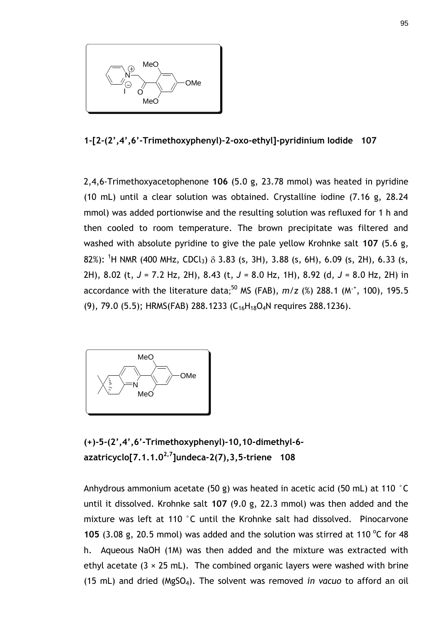

**1-[2-(2',4',6'-Trimethoxyphenyl)-2-oxo-ethyl]-pyridinium Iodide 107**

2,4,6-Trimethoxyacetophenone **106** (5.0 g, 23.78 mmol) was heated in pyridine (10 mL) until a clear solution was obtained. Crystalline iodine (7.16 g, 28.24 mmol) was added portionwise and the resulting solution was refluxed for 1 h and then cooled to room temperature. The brown precipitate was filtered and washed with absolute pyridine to give the pale yellow Krohnke salt **107** (5.6 g, 82%): <sup>1</sup>H NMR (400 MHz, CDCl<sub>3</sub>)  $\delta$  3.83 (s, 3H), 3.88 (s, 6H), 6.09 (s, 2H), 6.33 (s, 2H), 8.02 (t, *J* = 7.2 Hz, 2H), 8.43 (t, *J* = 8.0 Hz, 1H), 8.92 (d, *J* = 8.0 Hz, 2H) in accordance with the literature data;<sup>[50](#page-50-0)</sup> MS (FAB),  $m/z$  (%) 288.1 (M<sup>.+</sup>, 100), 195.5 (9), 79.0 (5.5); HRMS(FAB) 288.1233 (C<sub>16</sub>H<sub>18</sub>O<sub>4</sub>N requires 288.1236).



**(+)-5-(2',4',6'-Trimethoxyphenyl)-10,10-dimethyl-6 azatricyclo[7.1.1.02,7]undeca-2(7),3,5-triene 108**

Anhydrous ammonium acetate (50 g) was heated in acetic acid (50 mL) at 110 °C until it dissolved. Krohnke salt **107** (9.0 g, 22.3 mmol) was then added and the mixture was left at 110 °C until the Krohnke salt had dissolved. Pinocarvone 105  $(3.08 \text{ g}, 20.5 \text{ mmol})$  was added and the solution was stirred at 110 °C for 48 h. Aqueous NaOH (1M) was then added and the mixture was extracted with ethyl acetate  $(3 \times 25 \text{ mL})$ . The combined organic layers were washed with brine (15 mL) and dried (MgSO4). The solvent was removed *in vacuo* to afford an oil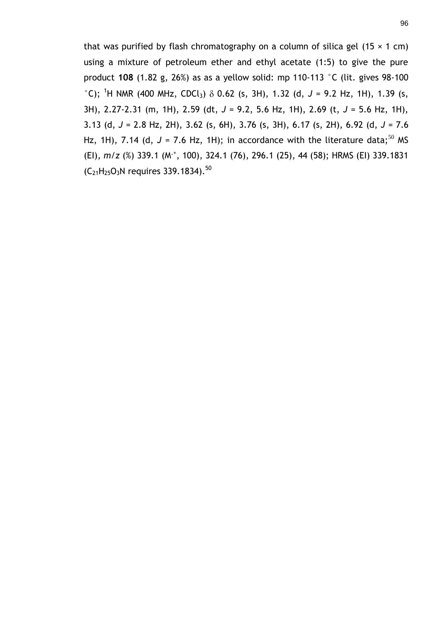that was purified by flash chromatography on a column of silica gel  $(15 \times 1 \text{ cm})$ using a mixture of petroleum ether and ethyl acetate (1:5) to give the pure product **108** (1.82 g, 26%) as as a yellow solid: mp 110-113 °C (lit. gives 98-100  $^{\circ}$ C); <sup>1</sup>H NMR (400 MHz, CDCl<sub>3</sub>)  $\delta$  0.62 (s, 3H), 1.32 (d, J = 9.2 Hz, 1H), 1.39 (s, 3H), 2.27-2.31 (m, 1H), 2.59 (dt, *J* = 9.2, 5.6 Hz, 1H), 2.69 (t, *J* = 5.6 Hz, 1H), 3.13 (d, *J* = 2.8 Hz, 2H), 3.62 (s, 6H), 3.76 (s, 3H), 6.17 (s, 2H), 6.92 (d, *J* = 7.6 Hz, 1H), 7.14 (d,  $J = 7.6$  Hz, 1H); in accordance with the literature data;<sup>[50](#page-50-0)</sup> MS (EI),  $m/z$  (%) 339.1 (M<sup>+</sup>, 100), 324.1 (76), 296.1 (25), 44 (58); HRMS (EI) 339.1831  $(C_{21}H_{25}O_3N$  requires 339.1834).<sup>[50](#page-50-0)</sup>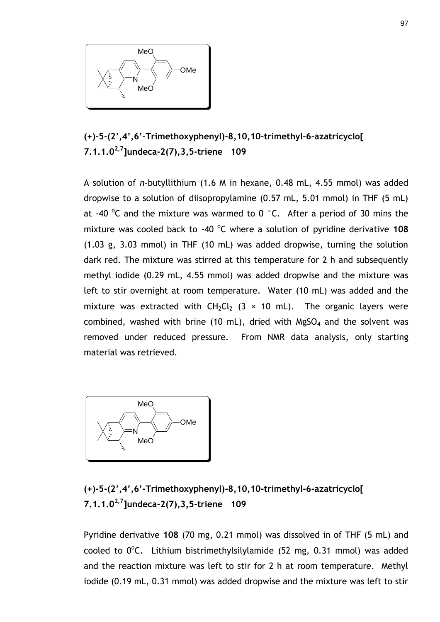

**(+)-5-(2',4',6'-Trimethoxyphenyl)-8,10,10-trimethyl-6-azatricyclo[ 7.1.1.02,7]undeca-2(7),3,5-triene 109**

A solution of *n*-butyllithium (1.6 M in hexane, 0.48 mL, 4.55 mmol) was added dropwise to a solution of diisopropylamine (0.57 mL, 5.01 mmol) in THF (5 mL) at -40  $\degree$ C and the mixture was warmed to 0  $\degree$ C. After a period of 30 mins the mixture was cooled back to -40 °C where a solution of pyridine derivative 108 (1.03 g, 3.03 mmol) in THF (10 mL) was added dropwise, turning the solution dark red. The mixture was stirred at this temperature for 2 h and subsequently methyl iodide (0.29 mL, 4.55 mmol) was added dropwise and the mixture was left to stir overnight at room temperature. Water (10 mL) was added and the mixture was extracted with  $CH_2Cl_2$  (3  $\times$  10 mL). The organic layers were combined, washed with brine (10 mL), dried with  $MgSO<sub>4</sub>$  and the solvent was removed under reduced pressure. From NMR data analysis, only starting material was retrieved.



**(+)-5-(2',4',6'-Trimethoxyphenyl)-8,10,10-trimethyl-6-azatricyclo[ 7.1.1.02,7]undeca-2(7),3,5-triene 109**

Pyridine derivative **108** (70 mg, 0.21 mmol) was dissolved in of THF (5 mL) and cooled to  $0^{\circ}$ C. Lithium bistrimethylsilylamide (52 mg, 0.31 mmol) was added and the reaction mixture was left to stir for 2 h at room temperature. Methyl iodide (0.19 mL, 0.31 mmol) was added dropwise and the mixture was left to stir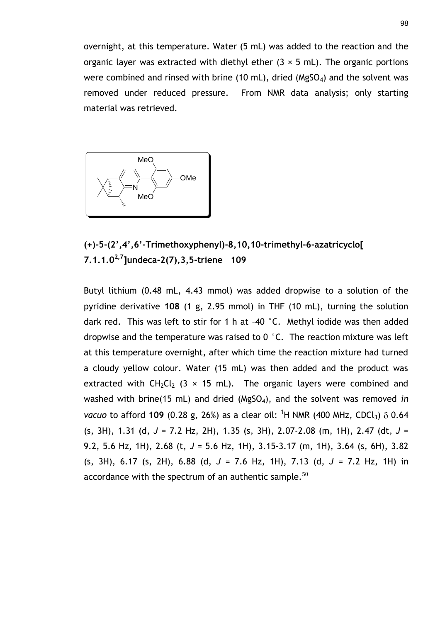overnight, at this temperature. Water (5 mL) was added to the reaction and the organic layer was extracted with diethyl ether  $(3 \times 5 \text{ mL})$ . The organic portions were combined and rinsed with brine (10 mL), dried ( $M$ gSO<sub>4</sub>) and the solvent was removed under reduced pressure. From NMR data analysis; only starting material was retrieved.



**(+)-5-(2',4',6'-Trimethoxyphenyl)-8,10,10-trimethyl-6-azatricyclo[ 7.1.1.02,7]undeca-2(7),3,5-triene 109**

Butyl lithium (0.48 mL, 4.43 mmol) was added dropwise to a solution of the pyridine derivative **108** (1 g, 2.95 mmol) in THF (10 mL), turning the solution dark red. This was left to stir for 1 h at –40 °C. Methyl iodide was then added dropwise and the temperature was raised to  $0<sup>o</sup>$  C. The reaction mixture was left at this temperature overnight, after which time the reaction mixture had turned a cloudy yellow colour. Water (15 mL) was then added and the product was extracted with  $CH_2Cl_2$  (3  $\times$  15 mL). The organic layers were combined and washed with brine(15 mL) and dried (MgSO<sub>4</sub>), and the solvent was removed *in vacuo* to afford **109** (0.28 g, 26%) as a clear oil: <sup>1</sup>H NMR (400 MHz, CDCl<sub>3</sub>)  $\delta$  0.64 (s, 3H), 1.31 (d, *J* = 7.2 Hz, 2H), 1.35 (s, 3H), 2.07-2.08 (m, 1H), 2.47 (dt, *J* = 9.2, 5.6 Hz, 1H), 2.68 (t, *J* = 5.6 Hz, 1H), 3.15-3.17 (m, 1H), 3.64 (s, 6H), 3.82 (s, 3H), 6.17 (s, 2H), 6.88 (d, *J* = 7.6 Hz, 1H), 7.13 (d, *J* = 7.2 Hz, 1H) in accordance with the spectrum of an authentic sample. $50$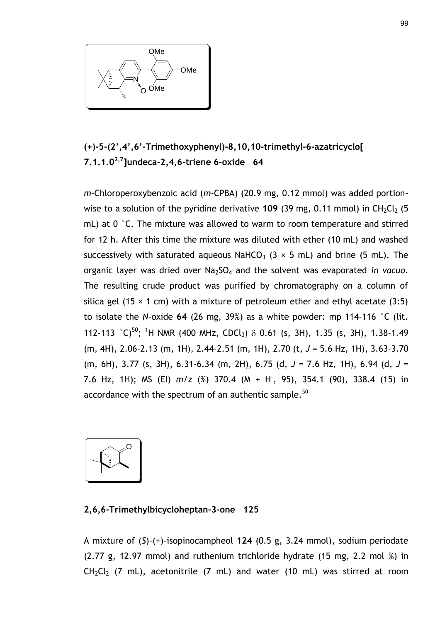

# **(+)-5-(2',4',6'-Trimethoxyphenyl)-8,10,10-trimethyl-6-azatricyclo[ 7.1.1.02,7]undeca-2,4,6-triene 6-oxide 64**

*m*-Chloroperoxybenzoic acid (*m*-CPBA) (20.9 mg, 0.12 mmol) was added portionwise to a solution of the pyridine derivative **109** (39 mg, 0.11 mmol) in  $CH_2Cl_2$  (5 mL) at 0 °C. The mixture was allowed to warm to room temperature and stirred for 12 h. After this time the mixture was diluted with ether (10 mL) and washed successively with saturated aqueous NaHCO<sub>3</sub> (3  $\times$  5 mL) and brine (5 mL). The organic layer was dried over Na2SO<sup>4</sup> and the solvent was evaporated *in vacuo*. The resulting crude product was purified by chromatography on a column of silica gel (15  $\times$  1 cm) with a mixture of petroleum ether and ethyl acetate (3:5) to isolate the *N*-oxide **64** (26 mg, 39%) as a white powder: mp 114-116 °C (lit. 112-113 °C)<sup>[50](#page-50-0)</sup>; <sup>1</sup>H NMR (400 MHz, CDCl<sub>3</sub>)  $\delta$  0.61 (s, 3H), 1.35 (s, 3H), 1.38-1.49 (m, 4H), 2.06-2.13 (m, 1H), 2.44-2.51 (m, 1H), 2.70 (t, *J* = 5.6 Hz, 1H), 3.63-3.70 (m, 6H), 3.77 (s, 3H), 6.31-6.34 (m, 2H), 6.75 (d, *J* = 7.6 Hz, 1H), 6.94 (d, *J* = 7.6 Hz, 1H); MS (EI) *m/z* (%) 370.4 (M + H. , 95), 354.1 (90), 338.4 (15) in accordance with the spectrum of an authentic sample.<sup>[50](#page-50-0)</sup>



## **2,6,6-Trimethylbicycloheptan-3-one 125**

A mixture of (*S*)-(+)-isopinocampheol **124** (0.5 g, 3.24 mmol), sodium periodate (2.77 g, 12.97 mmol) and ruthenium trichloride hydrate (15 mg, 2.2 mol %) in  $CH_2Cl_2$  (7 mL), acetonitrile (7 mL) and water (10 mL) was stirred at room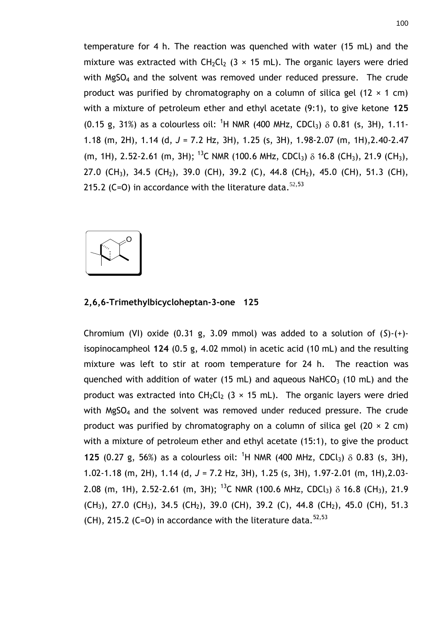temperature for 4 h. The reaction was quenched with water (15 mL) and the mixture was extracted with CH<sub>2</sub>Cl<sub>2</sub> (3  $\times$  15 mL). The organic layers were dried with  $MgSO<sub>4</sub>$  and the solvent was removed under reduced pressure. The crude product was purified by chromatography on a column of silica gel  $(12 \times 1 \text{ cm})$ with a mixture of petroleum ether and ethyl acetate (9:1), to give ketone **125**  $(0.15 \text{ g}, 31\%)$  as a colourless oil: <sup>1</sup>H NMR (400 MHz, CDCl<sub>3</sub>)  $\delta$  0.81 (s, 3H), 1.11-1.18 (m, 2H), 1.14 (d, *J* = 7.2 Hz, 3H), 1.25 (s, 3H), 1.98-2.07 (m, 1H),2.40-2.47 (m, 1H), 2.52-2.61 (m, 3H); <sup>13</sup>C NMR (100.6 MHz, CDCl<sub>3</sub>)  $\delta$  16.8 (CH<sub>3</sub>), 21.9 (CH<sub>3</sub>), 27.0 (CH<sub>3</sub>), 34.5 (CH<sub>2</sub>), 39.0 (CH), 39.2 (C), 44.8 (CH<sub>2</sub>), 45.0 (CH), 51.3 (CH), 215.2 (C=O) in accordance with the literature data.  $52,53$  $52,53$ 



#### **2,6,6-Trimethylbicycloheptan-3-one 125**

Chromium (VI) oxide (0.31 g, 3.09 mmol) was added to a solution of (*S*)-(+) isopinocampheol **124** (0.5 g, 4.02 mmol) in acetic acid (10 mL) and the resulting mixture was left to stir at room temperature for 24 h. The reaction was quenched with addition of water (15 mL) and aqueous NaHCO<sub>3</sub> (10 mL) and the product was extracted into  $CH_2Cl_2$  (3  $\times$  15 mL). The organic layers were dried with MgSO<sub>4</sub> and the solvent was removed under reduced pressure. The crude product was purified by chromatography on a column of silica gel  $(20 \times 2 \text{ cm})$ with a mixture of petroleum ether and ethyl acetate (15:1), to give the product **125** (0.27 g, 56%) as a colourless oil: <sup>1</sup>H NMR (400 MHz, CDCl<sub>3</sub>)  $\delta$  0.83 (s, 3H), 1.02-1.18 (m, 2H), 1.14 (d, *J* = 7.2 Hz, 3H), 1.25 (s, 3H), 1.97-2.01 (m, 1H),2.03- 2.08 (m, 1H), 2.52-2.61 (m, 3H); <sup>13</sup>C NMR (100.6 MHz, CDCl<sub>3</sub>)  $\delta$  16.8 (CH<sub>3</sub>), 21.9  $(CH_3)$ , 27.0 (CH<sub>3</sub>), 34.5 (CH<sub>2</sub>), 39.0 (CH), 39.2 (C), 44.8 (CH<sub>2</sub>), 45.0 (CH), 51.3 (CH), 215.2 (C=O) in accordance with the literature data. $52,53$  $52,53$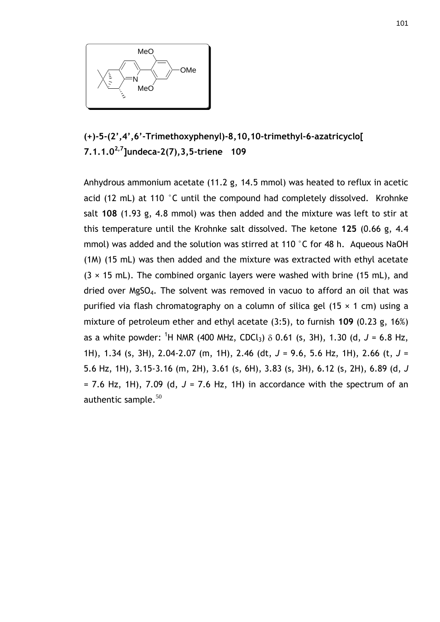

**(+)-5-(2',4',6'-Trimethoxyphenyl)-8,10,10-trimethyl-6-azatricyclo[ 7.1.1.02,7]undeca-2(7),3,5-triene 109**

Anhydrous ammonium acetate (11.2 g, 14.5 mmol) was heated to reflux in acetic acid (12 mL) at 110 °C until the compound had completely dissolved. Krohnke salt **108** (1.93 g, 4.8 mmol) was then added and the mixture was left to stir at this temperature until the Krohnke salt dissolved. The ketone **125** (0.66 g, 4.4 mmol) was added and the solution was stirred at 110 °C for 48 h. Aqueous NaOH (1M) (15 mL) was then added and the mixture was extracted with ethyl acetate  $(3 \times 15 \text{ mL})$ . The combined organic layers were washed with brine (15 mL), and dried over MgSO4. The solvent was removed in vacuo to afford an oil that was purified via flash chromatography on a column of silica gel  $(15 \times 1 \text{ cm})$  using a mixture of petroleum ether and ethyl acetate (3:5), to furnish **109** (0.23 g, 16%) as a white powder: <sup>1</sup>H NMR (400 MHz, CDCl<sub>3</sub>)  $\delta$  0.61 (s, 3H), 1.30 (d, J = 6.8 Hz, 1H), 1.34 (s, 3H), 2.04-2.07 (m, 1H), 2.46 (dt, *J* = 9.6, 5.6 Hz, 1H), 2.66 (t, *J* = 5.6 Hz, 1H), 3.15-3.16 (m, 2H), 3.61 (s, 6H), 3.83 (s, 3H), 6.12 (s, 2H), 6.89 (d, *J*  $= 7.6$  Hz, 1H), 7.09 (d,  $J = 7.6$  Hz, 1H) in accordance with the spectrum of an authentic sample.  $50$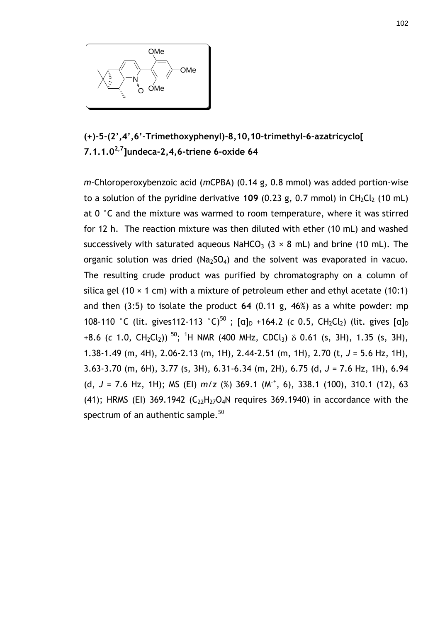

**(+)-5-(2',4',6'-Trimethoxyphenyl)-8,10,10-trimethyl-6-azatricyclo[ 7.1.1.02,7]undeca-2,4,6-triene 6-oxide 64**

*m*-Chloroperoxybenzoic acid (*m*CPBA) (0.14 g, 0.8 mmol) was added portion-wise to a solution of the pyridine derivative  $109$  (0.23 g, 0.7 mmol) in  $CH_2Cl_2$  (10 mL) at 0 °C and the mixture was warmed to room temperature, where it was stirred for 12 h. The reaction mixture was then diluted with ether (10 mL) and washed successively with saturated aqueous NaHCO<sub>3</sub> ( $3 \times 8$  mL) and brine (10 mL). The organic solution was dried ( $Na<sub>2</sub>SO<sub>4</sub>$ ) and the solvent was evaporated in vacuo. The resulting crude product was purified by chromatography on a column of silica gel (10  $\times$  1 cm) with a mixture of petroleum ether and ethyl acetate (10:1) and then (3:5) to isolate the product **64** (0.11 g, 46%) as a white powder: mp 108-110 °C (lit. gives112-113 °C)<sup>[50](#page-50-0)</sup>; [α]<sub>D</sub> +164.2 (c 0.5, CH<sub>2</sub>Cl<sub>2</sub>) (lit. gives [α]<sub>D</sub> +8.6 (c 1.0, CH<sub>2</sub>Cl<sub>2</sub>))<sup>[50](#page-50-0)</sup>; <sup>1</sup>H NMR (400 MHz, CDCl<sub>3</sub>)  $\delta$  0.61 (s, 3H), 1.35 (s, 3H), 1.38-1.49 (m, 4H), 2.06-2.13 (m, 1H), 2.44-2.51 (m, 1H), 2.70 (t, *J* = 5.6 Hz, 1H), 3.63-3.70 (m, 6H), 3.77 (s, 3H), 6.31-6.34 (m, 2H), 6.75 (d, *J* = 7.6 Hz, 1H), 6.94 (d, *J* = 7.6 Hz, 1H); MS (EI) *m/z* (%) 369.1 (M.+, 6), 338.1 (100), 310.1 (12), 63 (41); HRMS (EI) 369.1942 ( $C_{22}H_{27}O_4N$  requires 369.1940) in accordance with the spectrum of an authentic sample. $50$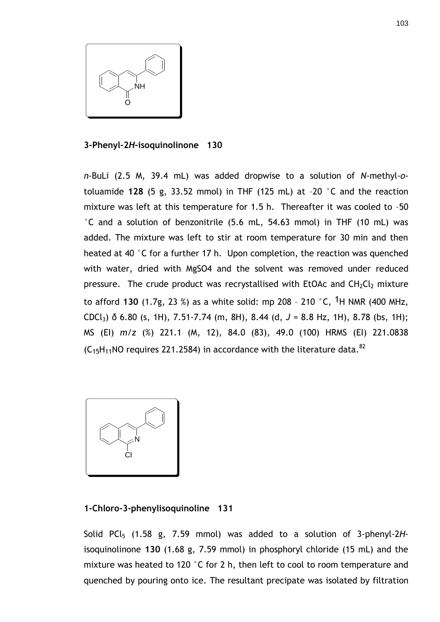

## **3-Phenyl-2***H***-isoquinolinone 130**

*n*-BuLi (2.5 M, 39.4 mL) was added dropwise to a solution of *N*-methyl-*o*toluamide **128** (5 g, 33.52 mmol) in THF (125 mL) at –20 °C and the reaction mixture was left at this temperature for 1.5 h. Thereafter it was cooled to –50 °C and a solution of benzonitrile (5.6 mL, 54.63 mmol) in THF (10 mL) was added. The mixture was left to stir at room temperature for 30 min and then heated at 40 °C for a further 17 h. Upon completion, the reaction was quenched with water, dried with MgSO4 and the solvent was removed under reduced pressure. The crude product was recrystallised with EtOAc and  $CH<sub>2</sub>Cl<sub>2</sub>$  mixture to afford **130** (1.7g, 23 %) as a white solid: mp 208 – 210 °C, 1H NMR (400 MHz, CDCl3) δ 6.80 (s, 1H), 7.51-7.74 (m, 8H), 8.44 (d, *J* = 8.8 Hz, 1H), 8.78 (bs, 1H); MS (EI) *m/z* (%) 221.1 (M, 12), 84.0 (83), 49.0 (100) HRMS (EI) 221.0838  $(C_{15}H_{11}NO$  requires 221.2584) in accordance with the literature data.<sup>82</sup>



## **1-Chloro-3-phenylisoquinoline 131**

Solid PCl<sup>5</sup> (1.58 g, 7.59 mmol) was added to a solution of 3-phenyl-2*H*isoquinolinone **130** (1.68 g, 7.59 mmol) in phosphoryl chloride (15 mL) and the mixture was heated to 120 °C for 2 h, then left to cool to room temperature and quenched by pouring onto ice. The resultant precipate was isolated by filtration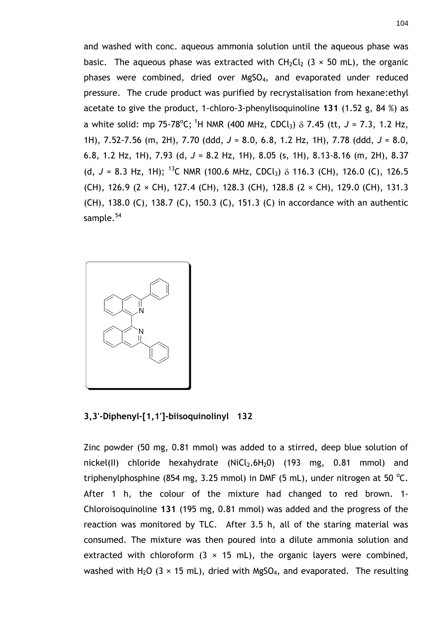and washed with conc. aqueous ammonia solution until the aqueous phase was basic. The aqueous phase was extracted with  $CH_2Cl_2$  (3  $\times$  50 mL), the organic phases were combined, dried over MgSO4, and evaporated under reduced pressure. The crude product was purified by recrystalisation from hexane:ethyl acetate to give the product, 1-chloro-3-phenylisoquinoline **131** (1.52 g, 84 %) as a white solid: mp 75-78°C; <sup>1</sup>H NMR (400 MHz, CDCl<sub>3</sub>)  $\delta$  7.45 (tt, J = 7.3, 1.2 Hz, 1H), 7.52-7.56 (m, 2H), 7.70 (ddd, *J* = 8.0, 6.8, 1.2 Hz, 1H), 7.78 (ddd, *J* = 8.0, 6.8, 1.2 Hz, 1H), 7.93 (d, *J* = 8.2 Hz, 1H), 8.05 (s, 1H), 8.13-8.16 (m, 2H), 8.37 (d,  $J = 8.3$  Hz, 1H); <sup>13</sup>C NMR (100.6 MHz, CDCl<sub>3</sub>)  $\delta$  116.3 (CH), 126.0 (C), 126.5 (CH), 126.9 (2 × CH), 127.4 (CH), 128.3 (CH), 128.8 (2 × CH), 129.0 (CH), 131.3 (CH), 138.0 (C), 138.7 (C), 150.3 (C), 151.3 (C) in accordance with an authentic sample.<sup>[54](#page-59-0)</sup>



**3,3'-Diphenyl-[1,1']-biisoquinolinyl 132**

Zinc powder (50 mg, 0.81 mmol) was added to a stirred, deep blue solution of nickel(II) chloride hexahydrate  $(NiCl<sub>2</sub>.6H<sub>2</sub>O)$  (193 mg, 0.81 mmol) and triphenylphosphine (854 mg, 3.25 mmol) in DMF (5 mL), under nitrogen at 50 °C. After 1 h, the colour of the mixture had changed to red brown. 1- Chloroisoquinoline **131** (195 mg, 0.81 mmol) was added and the progress of the reaction was monitored by TLC. After 3.5 h, all of the staring material was consumed. The mixture was then poured into a dilute ammonia solution and extracted with chloroform  $(3 \times 15 \text{ mL})$ , the organic layers were combined, washed with H<sub>2</sub>O (3  $\times$  15 mL), dried with MgSO<sub>4</sub>, and evaporated. The resulting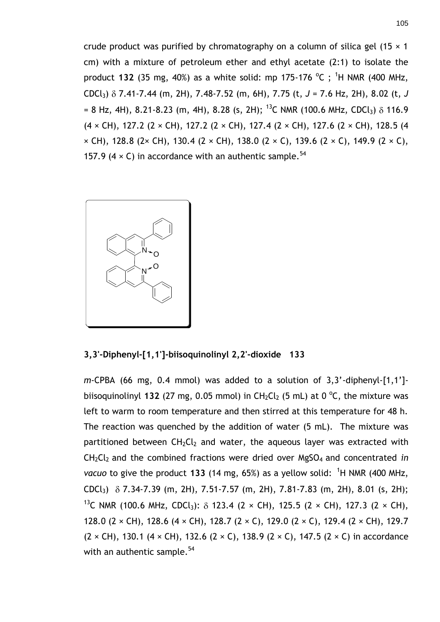crude product was purified by chromatography on a column of silica gel (15  $\times$  1 cm) with a mixture of petroleum ether and ethyl acetate (2:1) to isolate the product 132 (35 mg, 40%) as a white solid: mp 175-176 °C; <sup>1</sup>H NMR (400 MHz, CDCl<sub>3</sub>)  $\delta$  7.41-7.44 (m, 2H), 7.48-7.52 (m, 6H), 7.75 (t, J = 7.6 Hz, 2H), 8.02 (t, J = 8 Hz, 4H), 8.21-8.23 (m, 4H), 8.28 (s, 2H); <sup>13</sup>C NMR (100.6 MHz, CDCl<sub>3</sub>)  $\delta$  116.9  $(4 \times CH)$ , 127.2  $(2 \times CH)$ , 127.2  $(2 \times CH)$ , 127.4  $(2 \times CH)$ , 127.6  $(2 \times CH)$ , 128.5  $(4 \times CH)$  $\times$  CH), 128.8 (2 $\times$  CH), 130.4 (2  $\times$  CH), 138.0 (2  $\times$  C), 139.6 (2  $\times$  C), 149.9 (2  $\times$  C), 157.9 (4  $\times$  C) in accordance with an authentic sample.<sup>[54](#page-59-0)</sup>



**3,3'-Diphenyl-[1,1']-biisoquinolinyl 2,2'-dioxide 133**

*m-*CPBA (66 mg, 0.4 mmol) was added to a solution of 3,3'-diphenyl-[1,1'] biisoquinolinyl 132 (27 mg, 0.05 mmol) in  $CH_2Cl_2$  (5 mL) at 0  $^{\circ}$ C, the mixture was left to warm to room temperature and then stirred at this temperature for 48 h. The reaction was quenched by the addition of water (5 mL). The mixture was partitioned between  $CH_2Cl_2$  and water, the aqueous layer was extracted with CH2Cl2 and the combined fractions were dried over MgSO4 and concentrated *in*  vacuo to give the product 133 (14 mg, 65%) as a yellow solid: <sup>1</sup>H NMR (400 MHz,  $CDC<sub>13</sub>$   $\delta$  7.34-7.39 (m, 2H), 7.51-7.57 (m, 2H), 7.81-7.83 (m, 2H), 8.01 (s, 2H); <sup>13</sup>C NMR (100.6 MHz, CDCl<sub>3</sub>):  $\delta$  123.4 (2 × CH), 125.5 (2 × CH), 127.3 (2 × CH), 128.0 (2 × CH), 128.6 (4 × CH), 128.7 (2 × C), 129.0 (2 × C), 129.4 (2 × CH), 129.7  $(2 \times CH)$ , 130.1  $(4 \times CH)$ , 132.6  $(2 \times C)$ , 138.9  $(2 \times C)$ , 147.5  $(2 \times C)$  in accordance with an authentic sample. [54](#page-59-0)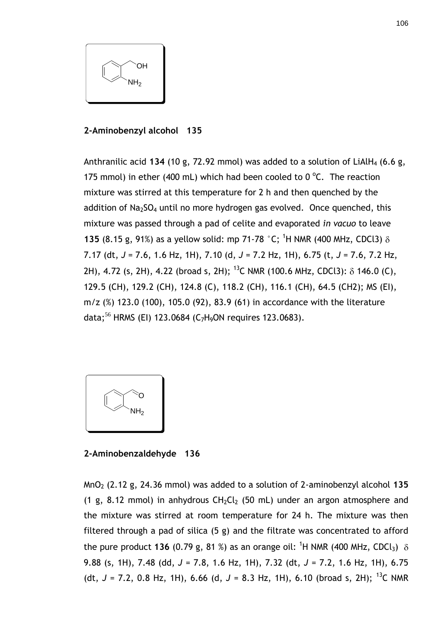

## **2-Aminobenzyl alcohol 135**

Anthranilic acid **134** (10 g, 72.92 mmol) was added to a solution of LiAlH<sup>4</sup> (6.6 g, 175 mmol) in ether (400 mL) which had been cooled to  $0^{\circ}$ C. The reaction mixture was stirred at this temperature for 2 h and then quenched by the addition of  $Na<sub>2</sub>SO<sub>4</sub>$  until no more hydrogen gas evolved. Once quenched, this mixture was passed through a pad of celite and evaporated *in vacuo* to leave **135** (8.15 g, 91%) as a yellow solid: mp 71-78 °C; <sup>1</sup>H NMR (400 MHz, CDCl3) 7.17 (dt, *J* = 7.6, 1.6 Hz, 1H), 7.10 (d, *J* = 7.2 Hz, 1H), 6.75 (t, *J* = 7.6, 7.2 Hz, 2H), 4.72 (s, 2H), 4.22 (broad s, 2H); <sup>13</sup>C NMR (100.6 MHz, CDCl3):  $\delta$  146.0 (C), 129.5 (CH), 129.2 (CH), 124.8 (C), 118.2 (CH), 116.1 (CH), 64.5 (CH2); MS (EI), m/z (%) 123.0 (100), 105.0 (92), 83.9 (61) in accordance with the literature data; [56](#page-59-1) HRMS (EI) 123.0684 (C7H9ON requires 123.0683).



**2-Aminobenzaldehyde 136**

MnO<sup>2</sup> (2.12 g, 24.36 mmol) was added to a solution of 2-aminobenzyl alcohol **135** (1 g, 8.12 mmol) in anhydrous  $CH_2Cl_2$  (50 mL) under an argon atmosphere and the mixture was stirred at room temperature for 24 h. The mixture was then filtered through a pad of silica (5 g) and the filtrate was concentrated to afford the pure product 136 (0.79 g, 81 %) as an orange oil: <sup>1</sup>H NMR (400 MHz, CDCl<sub>3</sub>)  $\delta$ 9.88 (s, 1H), 7.48 (dd, *J* = 7.8, 1.6 Hz, 1H), 7.32 (dt, *J* = 7.2, 1.6 Hz, 1H), 6.75 (dt,  $J = 7.2$ , 0.8 Hz, 1H), 6.66 (d,  $J = 8.3$  Hz, 1H), 6.10 (broad s, 2H); <sup>13</sup>C NMR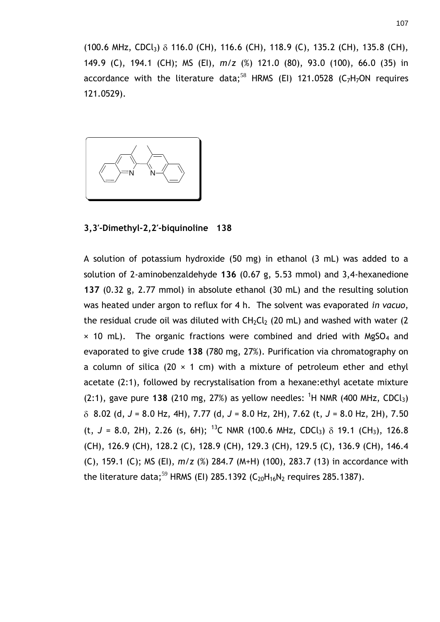$(100.6 \text{ MHz}, \text{CDCl}_3)$   $\delta$  116.0 (CH), 116.6 (CH), 118.9 (C), 135.2 (CH), 135.8 (CH), 149.9 (C), 194.1 (CH); MS (EI), *m/z* (%) 121.0 (80), 93.0 (100), 66.0 (35) in accordance with the literature data;<sup>[58](#page-59-2)</sup> HRMS (EI) 121.0528 (C<sub>7</sub>H<sub>7</sub>ON requires 121.0529).



#### **3,3′-Dimethyl-2,2′-biquinoline 138**

A solution of potassium hydroxide (50 mg) in ethanol (3 mL) was added to a solution of 2-aminobenzaldehyde **136** (0.67 g, 5.53 mmol) and 3,4-hexanedione **137** (0.32 g, 2.77 mmol) in absolute ethanol (30 mL) and the resulting solution was heated under argon to reflux for 4 h. The solvent was evaporated *in vacuo*, the residual crude oil was diluted with  $CH_2Cl_2$  (20 mL) and washed with water (2  $\times$  10 mL). The organic fractions were combined and dried with MgSO<sub>4</sub> and evaporated to give crude **138** (780 mg, 27%). Purification via chromatography on a column of silica (20  $\times$  1 cm) with a mixture of petroleum ether and ethyl acetate (2:1), followed by recrystalisation from a hexane:ethyl acetate mixture  $(2:1)$ , gave pure 138  $(210 \text{ mg}, 27%)$  as yellow needles: <sup>1</sup>H NMR  $(400 \text{ MHz}, \text{CDCl}_3)$  8.02 (d, *J* = 8.0 Hz, 4H), 7.77 (d, *J* = 8.0 Hz, 2H), 7.62 (t, *J* = 8.0 Hz, 2H), 7.50 (t,  $J = 8.0$ , 2H), 2.26 (s, 6H); <sup>13</sup>C NMR (100.6 MHz, CDCl<sub>3</sub>)  $\delta$  19.1 (CH<sub>3</sub>), 126.8 (CH), 126.9 (CH), 128.2 (C), 128.9 (CH), 129.3 (CH), 129.5 (C), 136.9 (CH), 146.4 (C), 159.1 (C); MS (EI), *m/z* (%) 284.7 (M+H) (100), 283.7 (13) in accordance with the literature data;<sup>[59](#page-59-3)</sup> HRMS (EI) 285.1392 (C<sub>20</sub>H<sub>16</sub>N<sub>2</sub> requires 285.1387).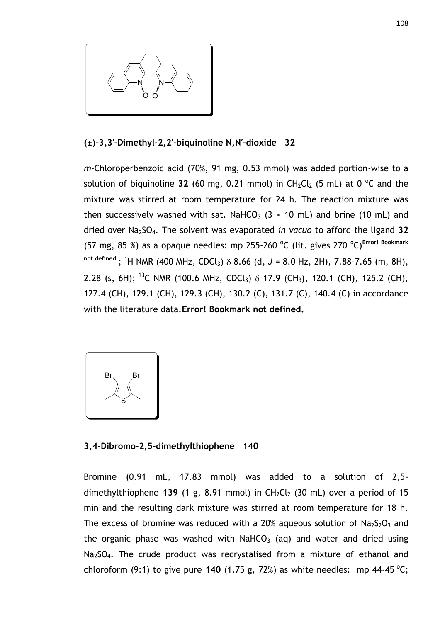

**(±)-3,3′-Dimethyl-2,2′-biquinoline N,N′-dioxide 32**

*m*-Chloroperbenzoic acid (70%, 91 mg, 0.53 mmol) was added portion-wise to a solution of biquinoline 32 (60 mg, 0.21 mmol) in  $CH_2Cl_2$  (5 mL) at 0 <sup>o</sup>C and the mixture was stirred at room temperature for 24 h. The reaction mixture was then successively washed with sat. NaHCO<sub>3</sub> (3  $\times$  10 mL) and brine (10 mL) and dried over Na<sub>2</sub>SO<sub>4</sub>. The solvent was evaporated *in vacuo* to afford the ligand 32 (57 mg, 85 %) as a opaque needles: mp 255-260  $^{\circ}$ C (lit. gives 270  $^{\circ}$ C)<sup>Error! Bookmark</sup> not defined.<sub>;</sub> <sup>1</sup>H NMR (400 MHz, CDCl<sub>3</sub>)  $\delta$  8.66 (d, *J* = 8.0 Hz, 2H), 7.88-7.65 (m, 8H), 2.28 (s, 6H); <sup>13</sup>C NMR (100.6 MHz, CDCl<sub>3</sub>)  $\delta$  17.9 (CH<sub>3</sub>), 120.1 (CH), 125.2 (CH), 127.4 (CH), 129.1 (CH), 129.3 (CH), 130.2 (C), 131.7 (C), 140.4 (C) in accordance with the literature data.**Error! Bookmark not defined.**



### **3,4-Dibromo-2,5-dimethylthiophene 140**

Bromine (0.91 mL, 17.83 mmol) was added to a solution of 2,5 dimethylthiophene **139** (1 g, 8.91 mmol) in  $CH_2Cl_2$  (30 mL) over a period of 15 min and the resulting dark mixture was stirred at room temperature for 18 h. The excess of bromine was reduced with a 20% aqueous solution of  $Na<sub>2</sub>S<sub>2</sub>O<sub>3</sub>$  and the organic phase was washed with NaHCO<sub>3</sub> (aq) and water and dried using Na<sub>2</sub>SO<sub>4</sub>. The crude product was recrystalised from a mixture of ethanol and chloroform  $(9:1)$  to give pure 140  $(1.75 \text{ g}, 72\%)$  as white needles: mp 44-45 °C;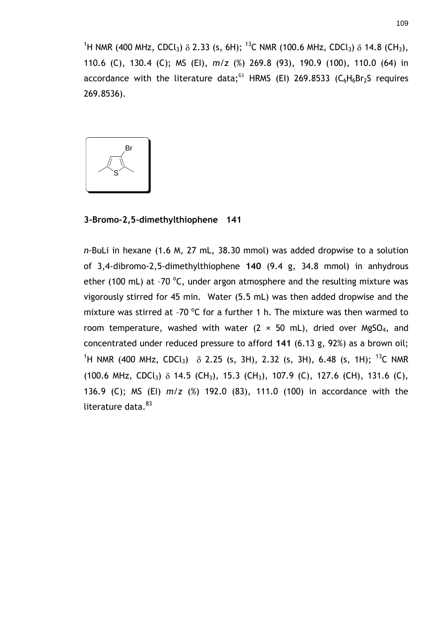<sup>1</sup>H NMR (400 MHz, CDCl<sub>3</sub>)  $\delta$  2.33 (s, 6H); <sup>13</sup>C NMR (100.6 MHz, CDCl<sub>3</sub>)  $\delta$  14.8 (CH<sub>3</sub>), 110.6 (C), 130.4 (C); MS (EI), *m/z* (%) 269.8 (93), 190.9 (100), 110.0 (64) in accordance with the literature data;<sup>[61](#page-61-0)</sup> HRMS (EI) 269.8533 (C<sub>6</sub>H<sub>6</sub>Br<sub>2</sub>S requires 269.8536).



**3-Bromo-2,5-dimethylthiophene 141**

*n*-BuLi in hexane (1.6 M, 27 mL, 38.30 mmol) was added dropwise to a solution of 3,4-dibromo-2,5-dimethylthiophene **140** (9.4 g, 34.8 mmol) in anhydrous ether (100 mL) at -70  $\mathrm{^{\circ}C}$ , under argon atmosphere and the resulting mixture was vigorously stirred for 45 min. Water (5.5 mL) was then added dropwise and the mixture was stirred at -70  $\degree$ C for a further 1 h. The mixture was then warmed to room temperature, washed with water  $(2 \times 50 \text{ mL})$ , dried over MgSO<sub>4</sub>, and concentrated under reduced pressure to afford **141** (6.13 g, 92%) as a brown oil; <sup>1</sup>H NMR (400 MHz, CDCl<sub>3</sub>)  $\delta$  2.25 (s, 3H), 2.32 (s, 3H), 6.48 (s, 1H); <sup>13</sup>C NMR  $(100.6 \text{ MHz}, \text{CDCl}_3)$   $\delta$  14.5  $(\text{CH}_3)$ , 15.3  $(\text{CH}_3)$ , 107.9  $(\text{C})$ , 127.6  $(\text{CH})$ , 131.6  $(\text{C})$ , 136.9 (C); MS (EI) *m/z* (%) 192.0 (83), 111.0 (100) in accordance with the literature data. $83$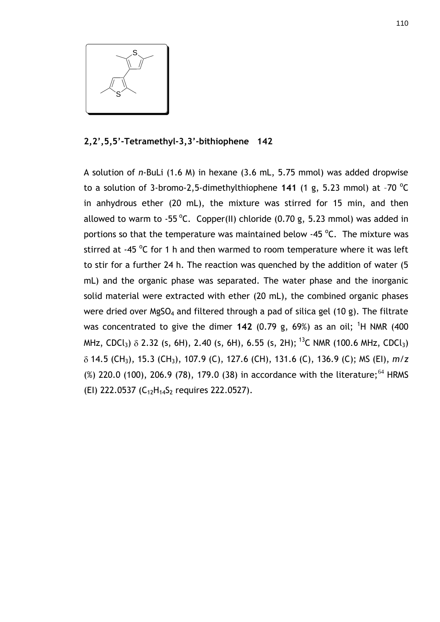

## **2,2',5,5'-Tetramethyl-3,3'-bithiophene 142**

A solution of *n*-BuLi (1.6 M) in hexane (3.6 mL, 5.75 mmol) was added dropwise to a solution of 3-bromo-2,5-dimethylthiophene  $141$  (1 g, 5.23 mmol) at -70  $^{\circ}$ C in anhydrous ether (20 mL), the mixture was stirred for 15 min, and then allowed to warm to  $-55^{\circ}$ C. Copper(II) chloride (0.70 g, 5.23 mmol) was added in portions so that the temperature was maintained below  $-45$  °C. The mixture was stirred at -45  $\mathrm{^{\circ}C}$  for 1 h and then warmed to room temperature where it was left to stir for a further 24 h. The reaction was quenched by the addition of water (5 mL) and the organic phase was separated. The water phase and the inorganic solid material were extracted with ether (20 mL), the combined organic phases were dried over MgSO<sub>4</sub> and filtered through a pad of silica gel  $(10 g)$ . The filtrate was concentrated to give the dimer 142 (0.79 g, 69%) as an oil; <sup>1</sup>H NMR (400 MHz, CDCl<sub>3</sub>)  $\delta$  2.32 (s, 6H), 2.40 (s, 6H), 6.55 (s, 2H); <sup>13</sup>C NMR (100.6 MHz, CDCl<sub>3</sub>) 14.5 (CH3), 15.3 (CH3), 107.9 (C), 127.6 (CH), 131.6 (C), 136.9 (C); MS (EI), *m/z* (%) 220.0 (100), 206.9 (78), 179.0 (38) in accordance with the literature;<sup>[64](#page-61-1)</sup> HRMS (EI) 222.0537 (C<sub>12</sub>H<sub>14</sub>S<sub>2</sub> requires 222.0527).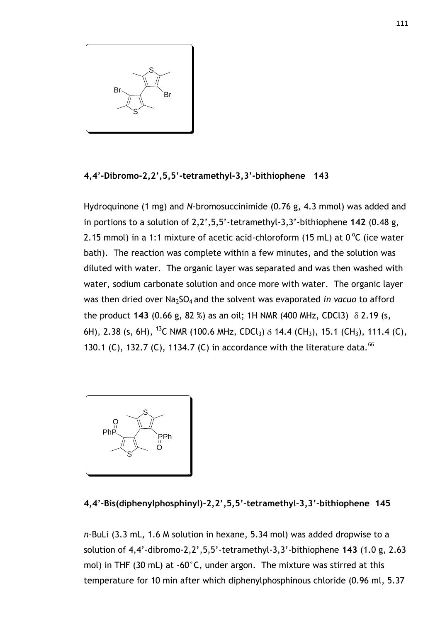

**4,4'-Dibromo-2,2',5,5'-tetramethyl-3,3'-bithiophene 143**

Hydroquinone (1 mg) and *N*-bromosuccinimide (0.76 g, 4.3 mmol) was added and in portions to a solution of 2,2',5,5'-tetramethyl-3,3'-bithiophene **142** (0.48 g, 2.15 mmol) in a 1:1 mixture of acetic acid-chloroform (15 mL) at  $0^{\circ}$ C (ice water bath). The reaction was complete within a few minutes, and the solution was diluted with water. The organic layer was separated and was then washed with water, sodium carbonate solution and once more with water. The organic layer was then dried over Na<sub>2</sub>SO<sub>4</sub> and the solvent was evaporated *in vacuo* to afford the product **143** (0.66 g, 82 %) as an oil; 1H NMR (400 MHz, CDCl3)  $\delta$  2.19 (s, 6H), 2.38 (s, 6H), <sup>13</sup>C NMR (100.6 MHz, CDCl<sub>3</sub>)  $\delta$  14.4 (CH<sub>3</sub>), 15.1 (CH<sub>3</sub>), 111.4 (C), 130.1 (C), 132.7 (C), 1134.7 (C) in accordance with the literature data.  $66$ 



# **4,4'-Bis(diphenylphosphinyl)-2,2',5,5'-tetramethyl-3,3'-bithiophene 145**

*n*-BuLi (3.3 mL, 1.6 M solution in hexane, 5.34 mol) was added dropwise to a solution of 4,4'-dibromo-2,2',5,5'-tetramethyl-3,3'-bithiophene **143** (1.0 g, 2.63 mol) in THF (30 mL) at -60°C, under argon. The mixture was stirred at this temperature for 10 min after which diphenylphosphinous chloride (0.96 ml, 5.37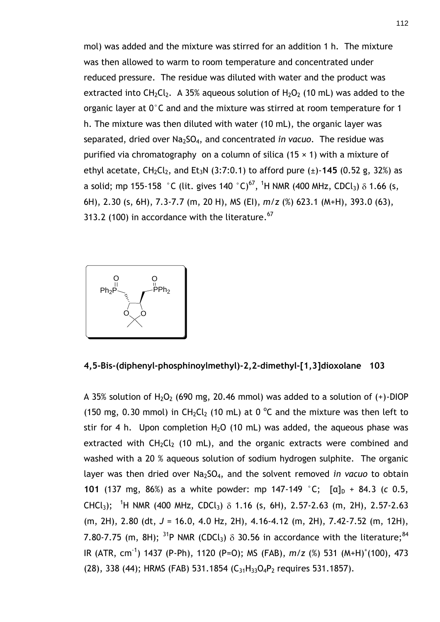mol) was added and the mixture was stirred for an addition 1 h. The mixture was then allowed to warm to room temperature and concentrated under reduced pressure. The residue was diluted with water and the product was extracted into CH<sub>2</sub>Cl<sub>2</sub>. A 35% aqueous solution of H<sub>2</sub>O<sub>2</sub> (10 mL) was added to the organic layer at 0°C and and the mixture was stirred at room temperature for 1 h. The mixture was then diluted with water (10 mL), the organic layer was separated, dried over Na<sub>2</sub>SO<sub>4</sub>, and concentrated *in vacuo*. The residue was purified via chromatography on a column of silica  $(15 \times 1)$  with a mixture of ethyl acetate,  $CH_2Cl_2$ , and  $Et_3N$  (3:7:0.1) to afford pure  $(\pm)$ -145 (0.52 g, 32%) as a solid; mp 155-158  $\degree$ C (lit. gives 140  $\degree$ C) $^{67}$  $^{67}$  $^{67}$ ,  $^{1}$ H NMR (400 MHz, CDCl $_{3}$ )  $\delta$  1.66 (s, 6H), 2.30 (s, 6H), 7.3-7.7 (m, 20 H), MS (EI), *m/z* (%) 623.1 (M+H), 393.0 (63), 313.2 (100) in accordance with the literature.<sup>[67](#page-61-3)</sup>



#### **4,5-Bis-(diphenyl-phosphinoylmethyl)-2,2-dimethyl-[1,3]dioxolane 103**

<span id="page-112-0"></span>A 35% solution of  $H_2O_2$  (690 mg, 20.46 mmol) was added to a solution of  $(+)$ -DIOP (150 mg, 0.30 mmol) in  $CH_2Cl_2$  (10 mL) at 0 °C and the mixture was then left to stir for 4 h. Upon completion  $H_2O$  (10 mL) was added, the aqueous phase was extracted with  $CH_2Cl_2$  (10 mL), and the organic extracts were combined and washed with a 20 % aqueous solution of sodium hydrogen sulphite. The organic layer was then dried over Na<sub>2</sub>SO<sub>4</sub>, and the solvent removed *in vacuo* to obtain **101** (137 mg, 86%) as a white powder: mp 147-149 °C;  $[a]_D + 84.3$  (c 0.5, CHCl<sub>3</sub>); <sup>1</sup>H NMR (400 MHz, CDCl<sub>3</sub>)  $\delta$  1.16 (s, 6H), 2.57-2.63 (m, 2H), 2.57-2.63 (m, 2H), 2.80 (dt, *J* = 16.0, 4.0 Hz, 2H), 4.16-4.12 (m, 2H), 7.42-7.52 (m, 12H), 7.80-7.75 (m, 8H); <sup>31</sup>P NMR (CDCl<sub>3</sub>)  $\delta$  30.56 in accordance with the literature;<sup>84</sup> IR (ATR, cm<sup>-1</sup>) 1437 (P-Ph), 1120 (P=O); MS (FAB), m/z (%) 531 (M+H)<sup>+</sup>(100), 473 (28), 338 (44); HRMS (FAB) 531.1854 ( $C_{31}H_{33}O_4P_2$  requires 531.1857).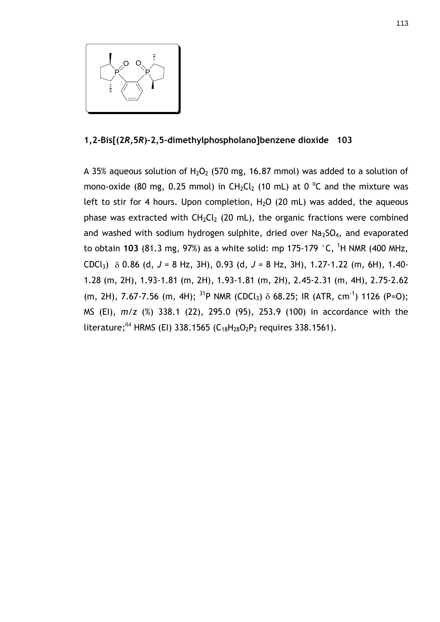

**1,2-Bis[(2***R***,5***R***)-2,5-dimethylphospholano]benzene dioxide 103**

A 35% aqueous solution of  $H_2O_2$  (570 mg, 16.87 mmol) was added to a solution of mono-oxide (80 mg, 0.25 mmol) in  $CH_2Cl_2$  (10 mL) at 0 °C and the mixture was left to stir for 4 hours. Upon completion,  $H<sub>2</sub>O$  (20 mL) was added, the aqueous phase was extracted with  $CH_2Cl_2$  (20 mL), the organic fractions were combined and washed with sodium hydrogen sulphite, dried over  $Na<sub>2</sub>SO<sub>4</sub>$ , and evaporated to obtain **103** (81.3 mg, 97%) as a white solid: mp 175-179 °C, <sup>1</sup>H NMR (400 MHz, CDCl<sub>3</sub>)  $\delta$  0.86 (d, J = 8 Hz, 3H), 0.93 (d, J = 8 Hz, 3H), 1.27-1.22 (m, 6H), 1.40-1.28 (m, 2H), 1.93-1.81 (m, 2H), 1.93-1.81 (m, 2H), 2.45-2.31 (m, 4H), 2.75-2.62 (m, 2H), 7.67-7.56 (m, 4H); <sup>31</sup>P NMR (CDCl<sub>3</sub>)  $\delta$  68.25; IR (ATR, cm<sup>-1</sup>) 1126 (P=O); MS (EI), *m/z* (%) 338.1 (22), 295.0 (95), 253.9 (100) in accordance with the literature;<sup>[84](#page-112-0)</sup> HRMS (EI) 338.1565 (C<sub>18</sub>H<sub>28</sub>O<sub>2</sub>P<sub>2</sub> requires 338.1561).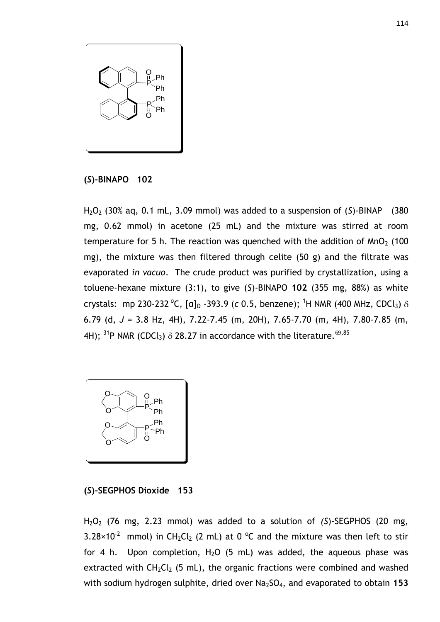

#### **(***S***)-BINAPO 102**

H2O<sup>2</sup> (30% aq, 0.1 mL, 3.09 mmol) was added to a suspension of (*S*)-BINAP (380 mg, 0.62 mmol) in acetone (25 mL) and the mixture was stirred at room temperature for 5 h. The reaction was quenched with the addition of  $MnO<sub>2</sub>$  (100 mg), the mixture was then filtered through celite (50 g) and the filtrate was evaporated *in vacuo*. The crude product was purified by crystallization, using a toluene-hexane mixture (3:1), to give (*S*)-BINAPO **102** (355 mg, 88%) as white crystals: mp 230-232 °C, [α]<sub>D</sub> -393.9 (*c* 0.5, benzene); <sup>1</sup>H NMR (400 MHz, CDCl<sub>3</sub>) 6.79 (d, *J* = 3.8 Hz, 4H), 7.22-7.45 (m, 20H), 7.65-7.70 (m, 4H), 7.80-7.85 (m, 4H); <sup>31</sup>P NMR (CDCl<sub>3</sub>)  $\delta$  28.27 in accordance with the literature.<sup>[69](#page-62-0),85</sup>



**(***S***)-SEGPHOS Dioxide 153**

H2O<sup>2</sup> (76 mg, 2.23 mmol) was added to a solution of *(S*)-SEGPHOS (20 mg, 3.28×10<sup>-2</sup> mmol) in CH<sub>2</sub>Cl<sub>2</sub> (2 mL) at 0 <sup>o</sup>C and the mixture was then left to stir for 4 h. Upon completion,  $H_2O$  (5 mL) was added, the aqueous phase was extracted with  $CH_2Cl_2$  (5 mL), the organic fractions were combined and washed with sodium hydrogen sulphite, dried over Na2SO4, and evaporated to obtain **153**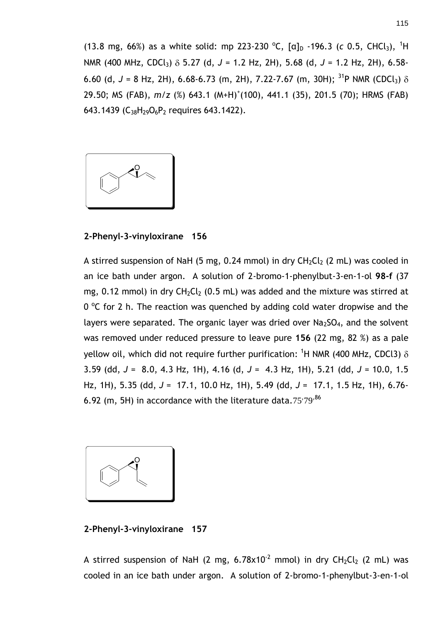(13.8 mg, 66%) as a white solid: mp 223-230 °C,  $[a]_D$  -196.3 (c 0.5, CHCl<sub>3</sub>), <sup>1</sup>H NMR (400 MHz, CDCl3) 5.27 (d, *J* = 1.2 Hz, 2H), 5.68 (d, *J* = 1.2 Hz, 2H), 6.58- 6.60 (d,  $J = 8$  Hz, 2H), 6.68-6.73 (m, 2H), 7.22-7.67 (m, 30H); <sup>31</sup>P NMR (CDCl<sub>3</sub>)  $\delta$ 29.50; MS (FAB),  $m/z$  (%) 643.1 (M+H)<sup>+</sup>(100), 441.1 (35), 201.5 (70); HRMS (FAB) 643.1439 ( $C_{38}H_{29}O_6P_2$  requires 643.1422).



#### **2-Phenyl-3-vinyloxirane 156**

A stirred suspension of NaH (5 mg, 0.24 mmol) in dry  $CH_2Cl_2$  (2 mL) was cooled in an ice bath under argon. A solution of 2-bromo-1-phenylbut-3-en-1-ol **98-f** (37 mg, 0.12 mmol) in dry  $CH_2Cl_2$  (0.5 mL) was added and the mixture was stirred at  $0<sup>o</sup>C$  for 2 h. The reaction was quenched by adding cold water dropwise and the layers were separated. The organic layer was dried over  $Na<sub>2</sub>SO<sub>4</sub>$ , and the solvent was removed under reduced pressure to leave pure **156** (22 mg, 82 %) as a pale yellow oil, which did not require further purification: <sup>1</sup>H NMR (400 MHz, CDCl3)  $\delta$ 3.59 (dd, *J* = 8.0, 4.3 Hz, 1H), 4.16 (d, *J* = 4.3 Hz, 1H), 5.21 (dd, *J* = 10.0, 1.5 Hz, 1H), 5.35 (dd, *J* = 17.1, 10.0 Hz, 1H), 5.49 (dd, *J* = 17.1, 1.5 Hz, 1H), 6.76- 6.92 (m, 5H) in accordance with the literature data.[75](#page-69-0)<sup>,[79](#page-69-1),86</sup>



**2-Phenyl-3-vinyloxirane 157**

A stirred suspension of NaH (2 mg,  $6.78 \times 10^{-2}$  mmol) in dry CH<sub>2</sub>Cl<sub>2</sub> (2 mL) was cooled in an ice bath under argon. A solution of 2-bromo-1-phenylbut-3-en-1-ol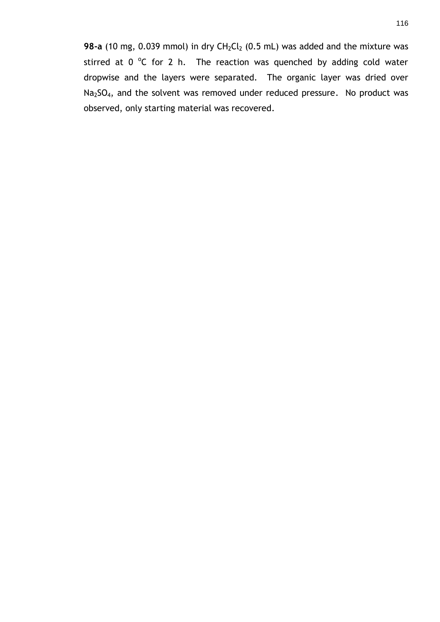**98-a** (10 mg, 0.039 mmol) in dry CH<sub>2</sub>Cl<sub>2</sub> (0.5 mL) was added and the mixture was stirred at  $0^{\circ}$ C for 2 h. The reaction was quenched by adding cold water dropwise and the layers were separated. The organic layer was dried over Na<sub>2</sub>SO<sub>4</sub>, and the solvent was removed under reduced pressure. No product was observed, only starting material was recovered.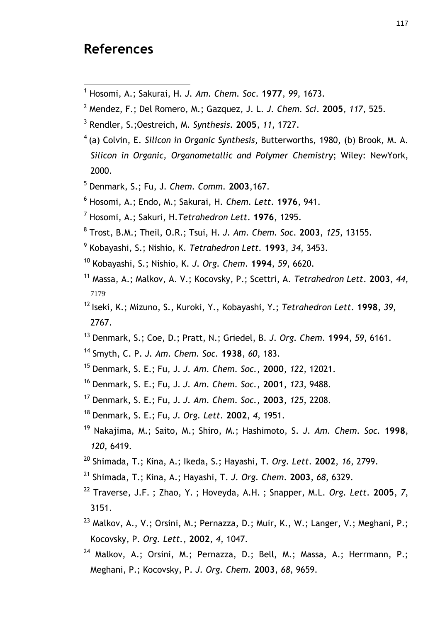# **References**

- Hosomi, A.; Sakurai, H. *J. Am. Chem. Soc*. **1977**, *99*, 1673.
- Mendez, F.; Del Romero, M.; Gazquez, J. L. *J. Chem. Sci*. **2005**, *117*, 525.
- Rendler, S.;Oestreich, M. *Synthesis*. **2005**, *11*, 1727.
- (a) Colvin, E. *Silicon in Organic Synthesis*, Butterworths, 1980, (b) Brook, M. A. *Silicon in Organic, Organometallic and Polymer Chemistry*; Wiley: NewYork, 2000.
- Denmark, S.; Fu, J. *Chem. Comm.* **2003**,167.
- Hosomi, A.; Endo, M.; Sakurai, H. *Chem. Lett*. **1976**, 941.
- Hosomi, A.; Sakuri, H.*Tetrahedron Lett*. **1976**, 1295.
- Trost, B.M.; Theil, O.R.; Tsui, H. *J. Am. Chem. Soc*. **2003**, *125*, 13155.
- Kobayashi, S.; Nishio, K. *Tetrahedron Lett.* **1993**, *34*, 3453.
- Kobayashi, S.; Nishio, K. *J. Org. Chem*. **1994**, *59*, 6620.
- Massa, A.; Malkov, A. V.; Kocovsky, P.; Scettri, A. *Tetrahedron Lett*. **2003**, *44*, .
- Iseki, K.; Mizuno, S., Kuroki, Y., Kobayashi, Y.; *Tetrahedron Lett*. **1998**, *39*, 2767.
- Denmark, S.; Coe, D.; Pratt, N.; Griedel, B. *J. Org. Chem*. **1994**, *59*, 6161.
- Smyth, C. P. *J. Am. Chem. Soc.* **1938**, *60*, 183.
- Denmark, S. E.; Fu, J. *J. Am. Chem. Soc.*, **2000**, *122*, 12021.
- Denmark, S. E.; Fu, J. *J. Am. Chem. Soc.*, **2001**, *123*, 9488.
- Denmark, S. E.; Fu, J. *J. Am. Chem. Soc.*, **2003**, *125*, 2208.
- Denmark, S. E.; Fu, *J. Org. Lett*. **2002**, *4*, 1951.
- Nakajima, M.; Saito, M.; Shiro, M.; Hashimoto, S. *J. Am. Chem. Soc.* **1998**, , 6419.
- Shimada, T.; Kina, A.; Ikeda, S.; Hayashi, T. *Org. Lett*. **2002**, *16*, 2799.
- Shimada, T.; Kina, A.; Hayashi, T. *J. Org. Chem*. **2003**, *68*, 6329.
- Traverse, J.F. ; Zhao, Y. ; Hoveyda, A.H. ; Snapper, M.L. *Org. Lett*. **2005**, *7*, 3151.
- <sup>23</sup> Malkov, A., V.; Orsini, M.; Pernazza, D.; Muir, K., W.; Langer, V.; Meghani, P.; Kocovsky, P. *Org. Lett.*, **2002**, *4*, 1047.
- <sup>24</sup> Malkov, A.; Orsini, M.; Pernazza, D.; Bell, M.; Massa, A.; Herrmann, P.: Meghani, P.; Kocovsky, P. *J. Org. Chem.* **2003**, *68*, 9659.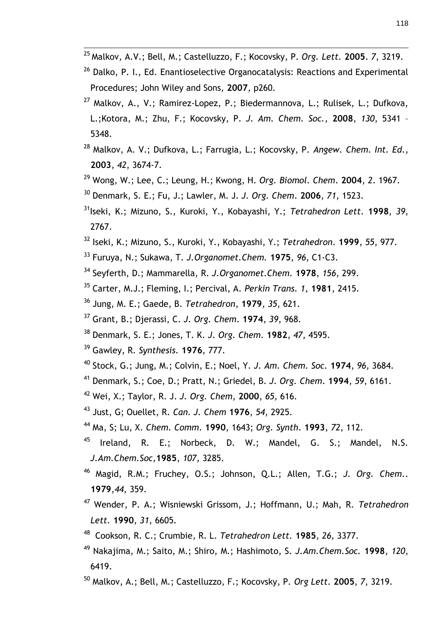- Malkov, A.V.; Bell, M.; Castelluzzo, F.; Kocovsky, P. *Org. Lett.* **2005**. *7*, 3219.
- <sup>26</sup> Dalko, P. I., Ed. Enantioselective Organocatalysis: Reactions and Experimental Procedures; John Wiley and Sons, **2007**, p260.
- Malkov, A., V.; Ramirez-Lopez, P.; Biedermannova, L.; Rulisek, L.; Dufkova, L.;Kotora, M.; Zhu, F.; Kocovsky, P. *J. Am. Chem. Soc.*, **2008**, *130*, 5341 – 5348.
- Malkov, A. V.; Dufkova, L.; Farrugia, L.; Kocovsky, P. *Angew. Chem. Int. Ed.*, , *42*, 3674-7.
- Wong, W.; Lee, C.; Leung, H.; Kwong, H. *Org. Biomol. Chem*. **2004**, *2*. 1967.
- Denmark, S. E.; Fu, J.; Lawler, M. J. *J. Org. Chem*. **2006**, *71*, 1523.
- Iseki, K.; Mizuno, S., Kuroki, Y., Kobayashi, Y.; *Tetrahedron Lett*. **1998**, *39*, 2767.
- Iseki, K.; Mizuno, S., Kuroki, Y., Kobayashi, Y.; *Tetrahedron*. **1999**, *55*, 977.
- Furuya, N.; Sukawa, T. *J.Organomet.Chem.* **1975**, *96*, C1-C3.
- Seyferth, D.; Mammarella, R. *J.Organomet.Chem.* **1978**, *156*, 299.
- Carter, M.J.; Fleming, I.; Percival, A. *Perkin Trans. 1*, **1981**, 2415.
- Jung, M. E.; Gaede, B. *Tetrahedron*, **1979**, *35*, 621.
- Grant, B.; Djerassi, C. *J. Org. Chem*. **1974**, *39*, 968.
- Denmark, S. E.; Jones, T. K. *J. Org. Chem*. **1982**, *47*, 4595.
- Gawley, R. *Synthesis.* **1976**, 777.

- Stock, G.; Jung, M.; Colvin, E.; Noel, Y. *J. Am. Chem. Soc*. **1974**, *96*, 3684.
- Denmark, S.; Coe, D.; Pratt, N.; Griedel, B. *J. Org. Chem*. **1994**, *59*, 6161.
- Wei, X.; Taylor, R. J. *J. Org. Chem,* **2000**, *65,* 616*.*
- Just, G; Ouellet, R. *Can. J. Chem* **1976**, *54*, 2925.
- Ma, S; Lu, X. *Chem. Comm*. **1990**, 1643; *Org. Synth*. **1993**, *72*, 112.
- Ireland, R. E.; Norbeck, D. W.; Mandel, G. S.; Mandel, N.S. *J.Am.Chem.Soc,***1985**, *107*, 3285.
- Magid, R.M.; Fruchey, O.S.; Johnson, Q.L.; Allen, T.G.; *J. Org. Chem.*. ,*44*, 359.
- Wender, P. A.; Wisniewski Grissom, J.; Hoffmann, U.; Mah, R. *Tetrahedron Lett.* **1990**, *31*, 6605.
- Cookson, R. C.; Crumbie, R. L. *Tetrahedron Lett.* **1985**, *26*, 3377.
- Nakajima, M.; Saito, M.; Shiro, M.; Hashimoto, S. *J.Am.Chem.Soc.* **1998**, *120*, 6419.
- Malkov, A.; Bell, M.; Castelluzzo, F.; Kocovsky, P. *Org Lett*. **2005**, *7*, 3219.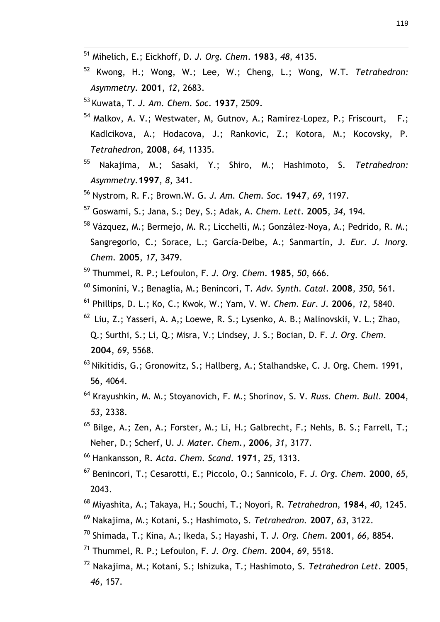- Mihelich, E.; Eickhoff, D. *J. Org. Chem*. **1983**, *48*, 4135.
- Kwong, H.; Wong, W.; Lee, W.; Cheng, L.; Wong, W.T. *Tetrahedron: Asymmetry.* **2001**, *12*, 2683.
- Kuwata, T. *J. Am. Chem. Soc*. **1937**, 2509.

- <sup>54</sup> Malkov, A. V.; Westwater, M. Gutnov, A.; Ramirez-Lopez, P.; Friscourt, F.; Kadlcikova, A.; Hodacova, J.; Rankovic, Z.; Kotora, M.; Kocovsky, P. *Tetrahedron*, **2008**, *64*, 11335.
- Nakajima, M.; Sasaki, Y.; Shiro, M.; Hashimoto, S. *Tetrahedron: Asymmetry.***1997**, *8*, 341.
- Nystrom, R. F.; Brown.W. G. *J. Am. Chem. Soc.* **1947**, *69*, 1197.
- Goswami, S.; Jana, S.; Dey, S.; Adak, A. *Chem. Lett*. **2005**, *34*, 194.
- Vázquez, M.; Bermejo, M. R.; Licchelli, M.; González-Noya, A.; Pedrido, R. M.; Sangregorio, C.; Sorace, L.; García-Deibe, A.; Sanmartín, J. *Eur. J. Inorg. Chem.* **2005**, *17*, 3479.
- Thummel, R. P.; Lefoulon, F. *J. Org. Chem*. **1985**, *50*, 666.
- Simonini, V.; Benaglia, M.; Benincori, T. *Adv. Synth. Catal*. **2008**, *350*, 561.
- Phillips, D. L.; Ko, C.; Kwok, W.; Yam, V. W. *Chem. Eur. J*. **2006**, *12*, 5840.
- Liu, Z.; Yasseri, A. A,; Loewe, R. S.; Lysenko, A. B.; Malinovskii, V. L.; Zhao, Q.; Surthi, S.; Li, Q.; Misra, V.; Lindsey, J. S.; Bocian, D. F. *J. Org. Chem*. , *69*, 5568.
- Nikitidis, G.; Gronowitz, S.; Hallberg, A.; Stalhandske, C. J. Org. Chem. 1991, 56, 4064.
- Krayushkin, M. M.; Stoyanovich, F. M.; Shorinov, S. V. *Russ. Chem. Bull.* **2004**, , 2338.
- Bilge, A.; Zen, A.; Forster, M.; Li, H.; Galbrecht, F.; Nehls, B. S.; Farrell, T.; Neher, D.; Scherf, U. *J. Mater. Chem.*, **2006**, *31*, 3177.
- Hankansson, R. *Acta*. *Chem. Scand*. **1971**, *25*, 1313.
- Benincori, T.; Cesarotti, E.; Piccolo, O.; Sannicolo, F. *J. Org. Chem*. **2000**, *65*, 2043.
- Miyashita, A.; Takaya, H.; Souchi, T.; Noyori, R. *Tetrahedron*, **1984**, *40*, 1245.
- Nakajima, M.; Kotani, S.; Hashimoto, S. *Tetrahedron.* **2007**, *63*, 3122.
- Shimada, T.; Kina, A.; Ikeda, S.; Hayashi, T. *J. Org. Chem*. **2001**, *66*, 8854.
- Thummel, R. P.; Lefoulon, F. *J. Org. Chem*. **2004**, *69*, 5518.
- Nakajima, M.; Kotani, S.; Ishizuka, T.; Hashimoto, S. *Tetrahedron Lett*. **2005**, , 157.